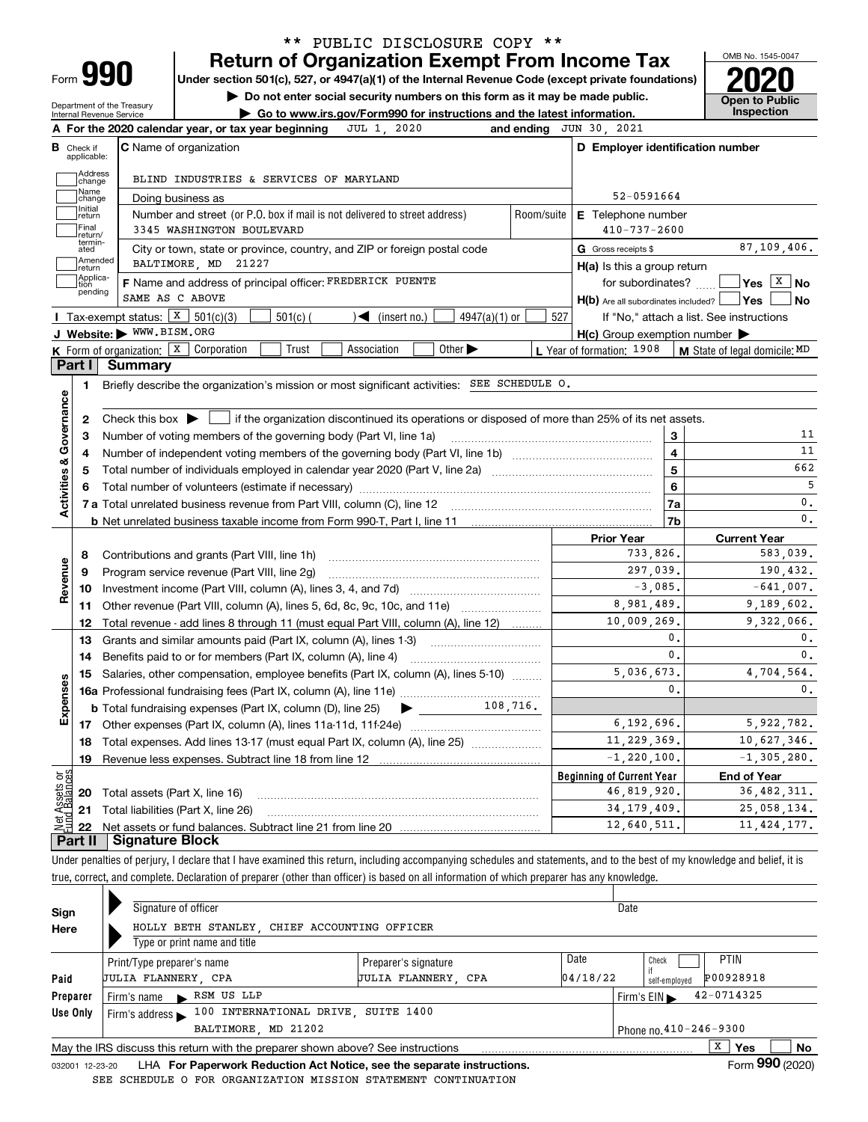| ∽orm |  |
|------|--|

## **Return of Organization Exempt From Income Tax** \*\* PUBLIC DISCLOSURE COPY \*\*

**Under section 501(c), 527, or 4947(a)(1) of the Internal Revenue Code (except private foundations) 2020**

**| Do not enter social security numbers on this form as it may be made public.**

Department of the Treasury Internal Revenue Service

**| Go to www.irs.gov/Form990 for instructions and the latest information. Inspection**

OMB No. 1545-0047 **Open to Public** 

|                         |                         | JUL 1, 2020<br>A For the 2020 calendar year, or tax year beginning                                                                                  |                    | and ending JUN 30, 2021                             |                |                                                        |  |
|-------------------------|-------------------------|-----------------------------------------------------------------------------------------------------------------------------------------------------|--------------------|-----------------------------------------------------|----------------|--------------------------------------------------------|--|
| в                       | Check if<br>applicable: | <b>C</b> Name of organization                                                                                                                       |                    | D Employer identification number                    |                |                                                        |  |
|                         | Address<br>change       | BLIND INDUSTRIES & SERVICES OF MARYLAND                                                                                                             |                    |                                                     |                |                                                        |  |
|                         | Name<br>change          | Doing business as                                                                                                                                   |                    | 52-0591664                                          |                |                                                        |  |
|                         | Initial<br>return       | Number and street (or P.O. box if mail is not delivered to street address)                                                                          | Room/suite         | <b>E</b> Telephone number                           |                |                                                        |  |
|                         | Final<br>return/        | 3345 WASHINGTON BOULEVARD                                                                                                                           | $410 - 737 - 2600$ |                                                     |                |                                                        |  |
|                         | termin-<br>ated         | City or town, state or province, country, and ZIP or foreign postal code                                                                            |                    | G Gross receipts \$                                 |                | 87,109,406.                                            |  |
|                         | Amended<br> return      | BALTIMORE, MD 21227                                                                                                                                 |                    | $H(a)$ is this a group return                       |                |                                                        |  |
|                         | Applica-<br>tion        | F Name and address of principal officer: FREDERICK PUENTE                                                                                           |                    | for subordinates?                                   |                | $\sqrt{\mathsf{Yes} \mid \mathsf{X} \mid \mathsf{No}}$ |  |
|                         | pending                 | SAME AS C ABOVE                                                                                                                                     |                    | H(b) Are all subordinates included?   Yes           |                | ∣No                                                    |  |
|                         |                         | <b>I</b> Tax-exempt status: $\boxed{\textbf{X}}$ 501(c)(3)<br>$501(c)$ (<br>$\sqrt{\bullet}$ (insert no.)<br>$4947(a)(1)$ or                        | 527                |                                                     |                | If "No," attach a list. See instructions               |  |
|                         |                         | J Website: WWW.BISM.ORG                                                                                                                             |                    | $H(c)$ Group exemption number $\blacktriangleright$ |                |                                                        |  |
|                         |                         | K Form of organization: $X$ Corporation<br>Association<br>Other $\blacktriangleright$<br>Trust                                                      |                    | L Year of formation: 1908                           |                | M State of legal domicile: MD                          |  |
|                         | Part I                  | Summary                                                                                                                                             |                    |                                                     |                |                                                        |  |
|                         | 1                       | Briefly describe the organization's mission or most significant activities: SEE SCHEDULE O.                                                         |                    |                                                     |                |                                                        |  |
|                         |                         |                                                                                                                                                     |                    |                                                     |                |                                                        |  |
|                         | 2                       | Check this box $\blacktriangleright$ $\blacksquare$ if the organization discontinued its operations or disposed of more than 25% of its net assets. |                    |                                                     |                |                                                        |  |
|                         | З                       | Number of voting members of the governing body (Part VI, line 1a)                                                                                   |                    |                                                     | 3              | 11                                                     |  |
|                         | 4                       |                                                                                                                                                     | 4                  | 11                                                  |                |                                                        |  |
|                         | 5                       |                                                                                                                                                     |                    |                                                     | 5              | 662                                                    |  |
|                         | 6                       |                                                                                                                                                     |                    |                                                     | 6              | 5                                                      |  |
| Activities & Governance |                         |                                                                                                                                                     |                    | 7a                                                  | $\mathbf 0$ .  |                                                        |  |
|                         |                         | <b>b</b> Net unrelated business taxable income from Form 990-T, Part I, line 11 <i>maching manageronana communional</i>                             |                    |                                                     | 7b             | $\mathfrak o$ .                                        |  |
|                         |                         |                                                                                                                                                     |                    | <b>Prior Year</b>                                   |                | <b>Current Year</b>                                    |  |
|                         | 8                       | Contributions and grants (Part VIII, line 1h)                                                                                                       |                    | 733,826.                                            | 583,039.       |                                                        |  |
| Revenue                 | 9                       | Program service revenue (Part VIII, line 2g)                                                                                                        |                    | 297,039.                                            |                | 190,432.                                               |  |
|                         | 10                      |                                                                                                                                                     |                    | $-3,085$ .                                          |                | $-641,007$ .                                           |  |
|                         |                         |                                                                                                                                                     |                    | 8,981,489.                                          |                | 9,189,602.                                             |  |
|                         | 12                      | Total revenue - add lines 8 through 11 (must equal Part VIII, column (A), line 12)                                                                  |                    | 10,009,269.                                         |                | 9.322.066.                                             |  |
|                         | 13                      | Grants and similar amounts paid (Part IX, column (A), lines 1-3)                                                                                    |                    |                                                     | $\mathbf{0}$ . | 0.                                                     |  |
|                         | 14                      |                                                                                                                                                     |                    |                                                     | 0.             | 0.                                                     |  |
|                         | 15                      | Salaries, other compensation, employee benefits (Part IX, column (A), lines 5-10)                                                                   |                    | 5,036,673.                                          |                | 4,704,564.                                             |  |
| Expenses                |                         |                                                                                                                                                     |                    |                                                     | 0.             | 0.                                                     |  |
|                         |                         | 108,716.<br><b>b</b> Total fundraising expenses (Part IX, column (D), line 25)                                                                      |                    |                                                     |                |                                                        |  |
|                         |                         |                                                                                                                                                     | 6, 192, 696.       | 5,922,782.                                          |                |                                                        |  |
|                         | 18                      | Total expenses. Add lines 13-17 (must equal Part IX, column (A), line 25)                                                                           | 11, 229, 369.      |                                                     | 10,627,346.    |                                                        |  |
|                         | 19                      |                                                                                                                                                     |                    | $-1, 220, 100.$                                     |                | $-1, 305, 280.$                                        |  |
| bg                      |                         |                                                                                                                                                     |                    | <b>Beginning of Current Year</b>                    |                | <b>End of Year</b>                                     |  |
|                         |                         | 20 Total assets (Part X, line 16)                                                                                                                   |                    | 46,819,920.                                         |                | 36, 482, 311.                                          |  |
| Assets<br>  Balanc      |                         | 21 Total liabilities (Part X, line 26)                                                                                                              |                    | 34, 179, 409.                                       |                | 25,058,134.                                            |  |
|                         | 22                      |                                                                                                                                                     |                    | 12,640,511.                                         |                | 11, 424, 177.                                          |  |
|                         | Part II                 | <b>Signature Block</b>                                                                                                                              |                    |                                                     |                |                                                        |  |

Under penalties of perjury, I declare that I have examined this return, including accompanying schedules and statements, and to the best of my knowledge and belief, it is true, correct, and complete. Declaration of preparer (other than officer) is based on all information of which preparer has any knowledge.

| Sign                                                | Signature of officer                                                            |                            | Date     |                                  |                 |    |  |  |  |
|-----------------------------------------------------|---------------------------------------------------------------------------------|----------------------------|----------|----------------------------------|-----------------|----|--|--|--|
| Here                                                | HOLLY BETH STANLEY, CHIEF ACCOUNTING OFFICER                                    |                            |          |                                  |                 |    |  |  |  |
| Type or print name and title                        |                                                                                 |                            |          |                                  |                 |    |  |  |  |
|                                                     | Print/Type preparer's name                                                      | Preparer's signature       | Date     | Check                            | <b>PTIN</b>     |    |  |  |  |
| Paid                                                | <b>JULIA FLANNERY CPA</b>                                                       | <b>JULIA FLANNERY, CPA</b> | 04/18/22 | self-emploved                    | P00928918       |    |  |  |  |
| Preparer                                            | Firm's name RSM US LLP                                                          |                            |          | Firm's $EIN \blacktriangleright$ | $42 - 0714325$  |    |  |  |  |
| Use Only                                            | Firm's address $\blacktriangleright$ 100 INTERNATIONAL DRIVE, SUITE 1400        |                            |          |                                  |                 |    |  |  |  |
| BALTIMORE, MD 21202<br>Phone no. $410 - 246 - 9300$ |                                                                                 |                            |          |                                  |                 |    |  |  |  |
|                                                     | May the IRS discuss this return with the preparer shown above? See instructions |                            |          |                                  | x<br>Yes        | No |  |  |  |
| 032001 12-23-20                                     | LHA For Paperwork Reduction Act Notice, see the separate instructions.          |                            |          |                                  | Form 990 (2020) |    |  |  |  |

SEE SCHEDULE O FOR ORGANIZATION MISSION STATEMENT CONTINUATION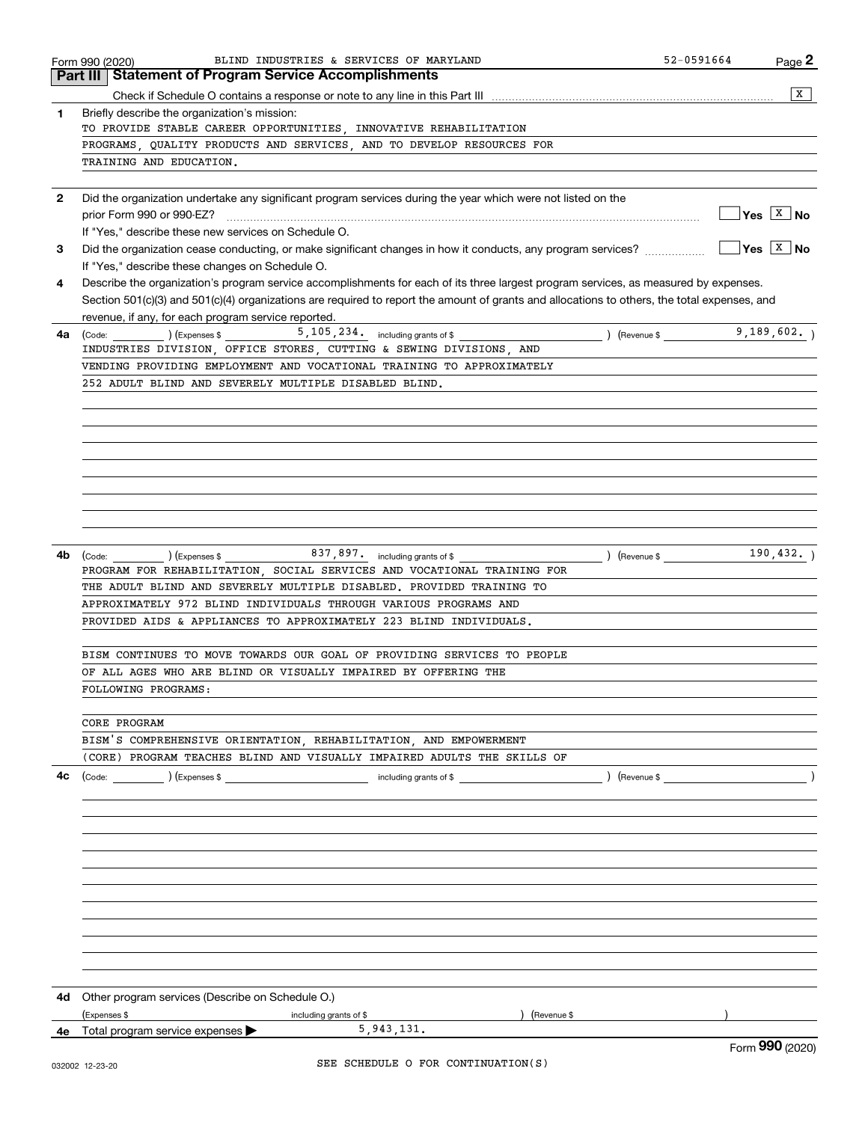|              | BLIND INDUSTRIES & SERVICES OF MARYLAND<br>Form 990 (2020)                                                                                   | 52-0591664          | Page 2                                       |
|--------------|----------------------------------------------------------------------------------------------------------------------------------------------|---------------------|----------------------------------------------|
|              | <b>Part III Statement of Program Service Accomplishments</b>                                                                                 |                     |                                              |
|              |                                                                                                                                              |                     | $\mathbf{X}$                                 |
| 1            | Briefly describe the organization's mission:                                                                                                 |                     |                                              |
|              | TO PROVIDE STABLE CAREER OPPORTUNITIES, INNOVATIVE REHABILITATION                                                                            |                     |                                              |
|              | PROGRAMS, QUALITY PRODUCTS AND SERVICES, AND TO DEVELOP RESOURCES FOR                                                                        |                     |                                              |
|              | TRAINING AND EDUCATION.                                                                                                                      |                     |                                              |
|              |                                                                                                                                              |                     |                                              |
|              |                                                                                                                                              |                     |                                              |
| $\mathbf{2}$ | Did the organization undertake any significant program services during the year which were not listed on the                                 |                     |                                              |
|              | prior Form 990 or 990-EZ?                                                                                                                    |                     | $\sqrt{\mathsf{Yes}}$ $\sqrt{\mathsf{X}}$ No |
|              | If "Yes," describe these new services on Schedule O.                                                                                         |                     |                                              |
| 3            | Did the organization cease conducting, or make significant changes in how it conducts, any program services?                                 |                     | $\sqrt{Y}$ es $\boxed{X}$ No                 |
|              | If "Yes," describe these changes on Schedule O.                                                                                              |                     |                                              |
| 4            | Describe the organization's program service accomplishments for each of its three largest program services, as measured by expenses.         |                     |                                              |
|              | Section 501(c)(3) and 501(c)(4) organizations are required to report the amount of grants and allocations to others, the total expenses, and |                     |                                              |
|              | revenue, if any, for each program service reported.                                                                                          |                     |                                              |
| 4a           | $\frac{1}{2}$ (Code: ) (Expenses \$ 5,105,234. including grants of \$<br>$\angle$ (Revenue \$                                                |                     | 9,189,602.                                   |
|              | INDUSTRIES DIVISION, OFFICE STORES, CUTTING & SEWING DIVISIONS, AND                                                                          |                     |                                              |
|              | VENDING PROVIDING EMPLOYMENT AND VOCATIONAL TRAINING TO APPROXIMATELY                                                                        |                     |                                              |
|              |                                                                                                                                              |                     |                                              |
|              | 252 ADULT BLIND AND SEVERELY MULTIPLE DISABLED BLIND.                                                                                        |                     |                                              |
|              |                                                                                                                                              |                     |                                              |
|              |                                                                                                                                              |                     |                                              |
|              |                                                                                                                                              |                     |                                              |
|              |                                                                                                                                              |                     |                                              |
|              |                                                                                                                                              |                     |                                              |
|              |                                                                                                                                              |                     |                                              |
|              |                                                                                                                                              |                     |                                              |
|              |                                                                                                                                              |                     |                                              |
|              |                                                                                                                                              |                     |                                              |
|              |                                                                                                                                              |                     |                                              |
| 4b           | (Code: ) (Expenses \$ 837, 897. including grants of \$                                                                                       | $\left($ Revenue \$ | 190, 432.                                    |
|              | PROGRAM FOR REHABILITATION, SOCIAL SERVICES AND VOCATIONAL TRAINING FOR                                                                      |                     |                                              |
|              | THE ADULT BLIND AND SEVERELY MULTIPLE DISABLED. PROVIDED TRAINING TO                                                                         |                     |                                              |
|              | APPROXIMATELY 972 BLIND INDIVIDUALS THROUGH VARIOUS PROGRAMS AND                                                                             |                     |                                              |
|              | PROVIDED AIDS & APPLIANCES TO APPROXIMATELY 223 BLIND INDIVIDUALS.                                                                           |                     |                                              |
|              |                                                                                                                                              |                     |                                              |
|              | BISM CONTINUES TO MOVE TOWARDS OUR GOAL OF PROVIDING SERVICES TO PEOPLE                                                                      |                     |                                              |
|              | OF ALL AGES WHO ARE BLIND OR VISUALLY IMPAIRED BY OFFERING THE                                                                               |                     |                                              |
|              | FOLLOWING PROGRAMS:                                                                                                                          |                     |                                              |
|              |                                                                                                                                              |                     |                                              |
|              | CORE PROGRAM                                                                                                                                 |                     |                                              |
|              |                                                                                                                                              |                     |                                              |
|              | BISM'S COMPREHENSIVE ORIENTATION, REHABILITATION, AND EMPOWERMENT                                                                            |                     |                                              |
|              | (CORE) PROGRAM TEACHES BLIND AND VISUALLY IMPAIRED ADULTS THE SKILLS OF                                                                      |                     |                                              |
| 4с           |                                                                                                                                              |                     |                                              |
|              |                                                                                                                                              |                     |                                              |
|              |                                                                                                                                              |                     |                                              |
|              |                                                                                                                                              |                     |                                              |
|              |                                                                                                                                              |                     |                                              |
|              |                                                                                                                                              |                     |                                              |
|              |                                                                                                                                              |                     |                                              |
|              |                                                                                                                                              |                     |                                              |
|              |                                                                                                                                              |                     |                                              |
|              |                                                                                                                                              |                     |                                              |
|              |                                                                                                                                              |                     |                                              |
|              |                                                                                                                                              |                     |                                              |
|              |                                                                                                                                              |                     |                                              |
|              |                                                                                                                                              |                     |                                              |
| 4d           | Other program services (Describe on Schedule O.)                                                                                             |                     |                                              |
|              | (Expenses \$<br>including grants of \$<br>(Revenue \$                                                                                        |                     |                                              |
|              | 5,943,131.<br><b>4e</b> Total program service expenses $\blacktriangleright$                                                                 |                     |                                              |
|              |                                                                                                                                              |                     | QQQ                                          |

Form (2020) **990**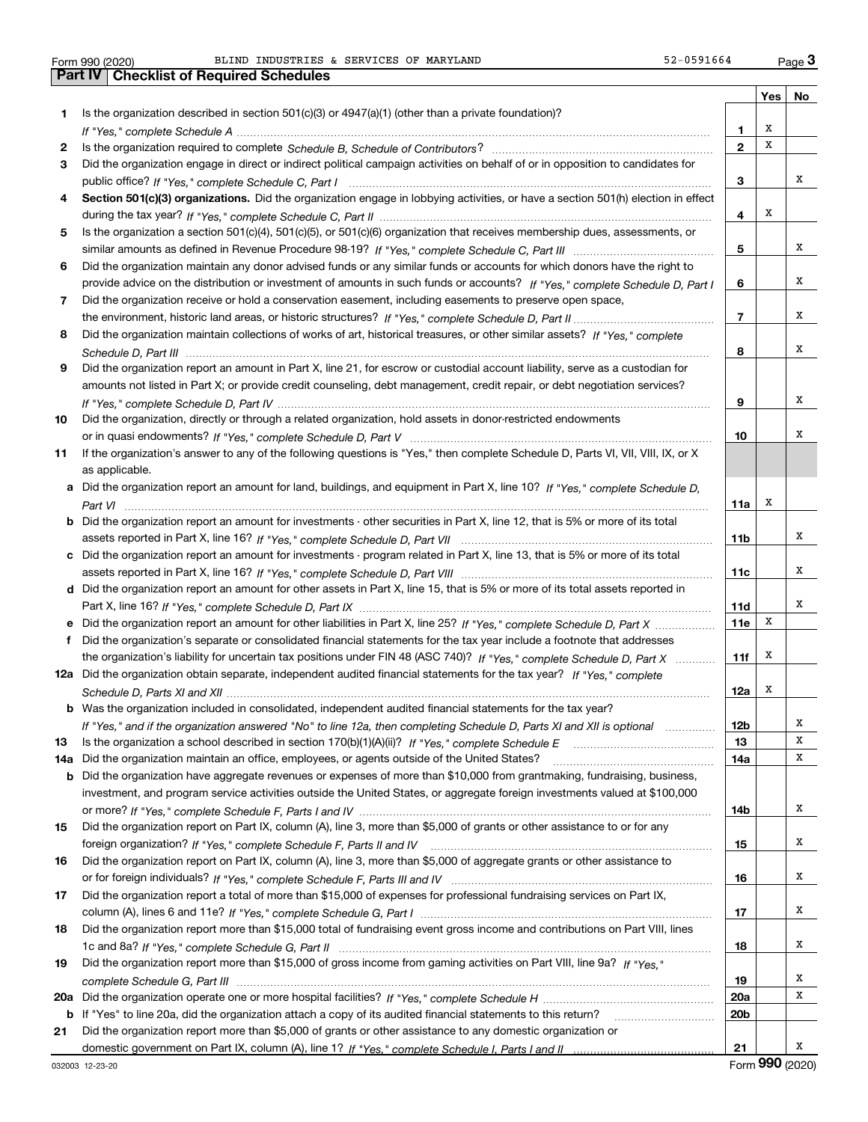Form 990 (2020) Page **3Part IV Checklist of Required Schedules** BLIND INDUSTRIES & SERVICES OF MARYLAND 52-0591664

|     |                                                                                                                                       |                 | Yes | No     |
|-----|---------------------------------------------------------------------------------------------------------------------------------------|-----------------|-----|--------|
| 1   | Is the organization described in section 501(c)(3) or 4947(a)(1) (other than a private foundation)?                                   |                 |     |        |
|     |                                                                                                                                       | 1               | Х   |        |
| 2   |                                                                                                                                       | $\mathbf{2}$    | х   |        |
| 3   | Did the organization engage in direct or indirect political campaign activities on behalf of or in opposition to candidates for       |                 |     |        |
|     |                                                                                                                                       | 3               |     | x      |
| 4   | Section 501(c)(3) organizations. Did the organization engage in lobbying activities, or have a section 501(h) election in effect      |                 |     |        |
|     |                                                                                                                                       | 4               | х   |        |
| 5   | Is the organization a section 501(c)(4), 501(c)(5), or 501(c)(6) organization that receives membership dues, assessments, or          |                 |     |        |
|     |                                                                                                                                       | 5               |     | x      |
| 6   | Did the organization maintain any donor advised funds or any similar funds or accounts for which donors have the right to             |                 |     |        |
|     | provide advice on the distribution or investment of amounts in such funds or accounts? If "Yes," complete Schedule D, Part I          | 6               |     | x      |
| 7   | Did the organization receive or hold a conservation easement, including easements to preserve open space,                             |                 |     |        |
|     |                                                                                                                                       | $\overline{7}$  |     | x      |
| 8   | Did the organization maintain collections of works of art, historical treasures, or other similar assets? If "Yes," complete          |                 |     |        |
|     |                                                                                                                                       | 8               |     | х      |
| 9   | Did the organization report an amount in Part X, line 21, for escrow or custodial account liability, serve as a custodian for         |                 |     |        |
|     | amounts not listed in Part X; or provide credit counseling, debt management, credit repair, or debt negotiation services?             |                 |     |        |
|     |                                                                                                                                       | 9               |     | х      |
| 10  | Did the organization, directly or through a related organization, hold assets in donor-restricted endowments                          |                 |     |        |
|     |                                                                                                                                       | 10              |     | х      |
| 11  | If the organization's answer to any of the following questions is "Yes," then complete Schedule D, Parts VI, VII, VIII, IX, or X      |                 |     |        |
|     | as applicable.                                                                                                                        |                 |     |        |
|     | a Did the organization report an amount for land, buildings, and equipment in Part X, line 10? If "Yes," complete Schedule D,         |                 |     |        |
|     |                                                                                                                                       | 11a             | х   |        |
|     | <b>b</b> Did the organization report an amount for investments - other securities in Part X, line 12, that is 5% or more of its total |                 |     |        |
|     |                                                                                                                                       | 11 <sub>b</sub> |     | х      |
|     | c Did the organization report an amount for investments - program related in Part X, line 13, that is 5% or more of its total         |                 |     |        |
|     |                                                                                                                                       | 11c             |     | х      |
|     | d Did the organization report an amount for other assets in Part X, line 15, that is 5% or more of its total assets reported in       |                 |     |        |
|     |                                                                                                                                       | 11d             |     | х      |
|     |                                                                                                                                       | 11e             | x   |        |
|     | f Did the organization's separate or consolidated financial statements for the tax year include a footnote that addresses             |                 |     |        |
|     | the organization's liability for uncertain tax positions under FIN 48 (ASC 740)? If "Yes," complete Schedule D, Part X                | 11f             | x   |        |
|     | 12a Did the organization obtain separate, independent audited financial statements for the tax year? If "Yes." complete               |                 |     |        |
|     |                                                                                                                                       | 12a             | x   |        |
|     | <b>b</b> Was the organization included in consolidated, independent audited financial statements for the tax year?                    |                 |     |        |
|     | If "Yes," and if the organization answered "No" to line 12a, then completing Schedule D, Parts XI and XII is optional manuman         | 12b             |     | Х      |
| 13  |                                                                                                                                       | 13              |     | X      |
| 14a | Did the organization maintain an office, employees, or agents outside of the United States?                                           | 14a             |     | Х      |
| b   | Did the organization have aggregate revenues or expenses of more than \$10,000 from grantmaking, fundraising, business,               |                 |     |        |
|     | investment, and program service activities outside the United States, or aggregate foreign investments valued at \$100,000            |                 |     |        |
|     |                                                                                                                                       | 14b             |     | х      |
| 15  | Did the organization report on Part IX, column (A), line 3, more than \$5,000 of grants or other assistance to or for any             |                 |     | х      |
|     |                                                                                                                                       | 15              |     |        |
| 16  | Did the organization report on Part IX, column (A), line 3, more than \$5,000 of aggregate grants or other assistance to              |                 |     | х      |
|     |                                                                                                                                       | 16              |     |        |
| 17  | Did the organization report a total of more than \$15,000 of expenses for professional fundraising services on Part IX,               |                 |     |        |
|     |                                                                                                                                       | 17              |     | х      |
| 18  | Did the organization report more than \$15,000 total of fundraising event gross income and contributions on Part VIII, lines          |                 |     | х      |
|     |                                                                                                                                       | 18              |     |        |
| 19  | Did the organization report more than \$15,000 of gross income from gaming activities on Part VIII, line 9a? If "Yes."                |                 |     |        |
|     |                                                                                                                                       | 19              |     | х<br>х |
|     |                                                                                                                                       | <b>20a</b>      |     |        |
| b   | If "Yes" to line 20a, did the organization attach a copy of its audited financial statements to this return?                          | 20 <sub>b</sub> |     |        |
| 21  | Did the organization report more than \$5,000 of grants or other assistance to any domestic organization or                           |                 |     | х      |
|     |                                                                                                                                       | 21              |     |        |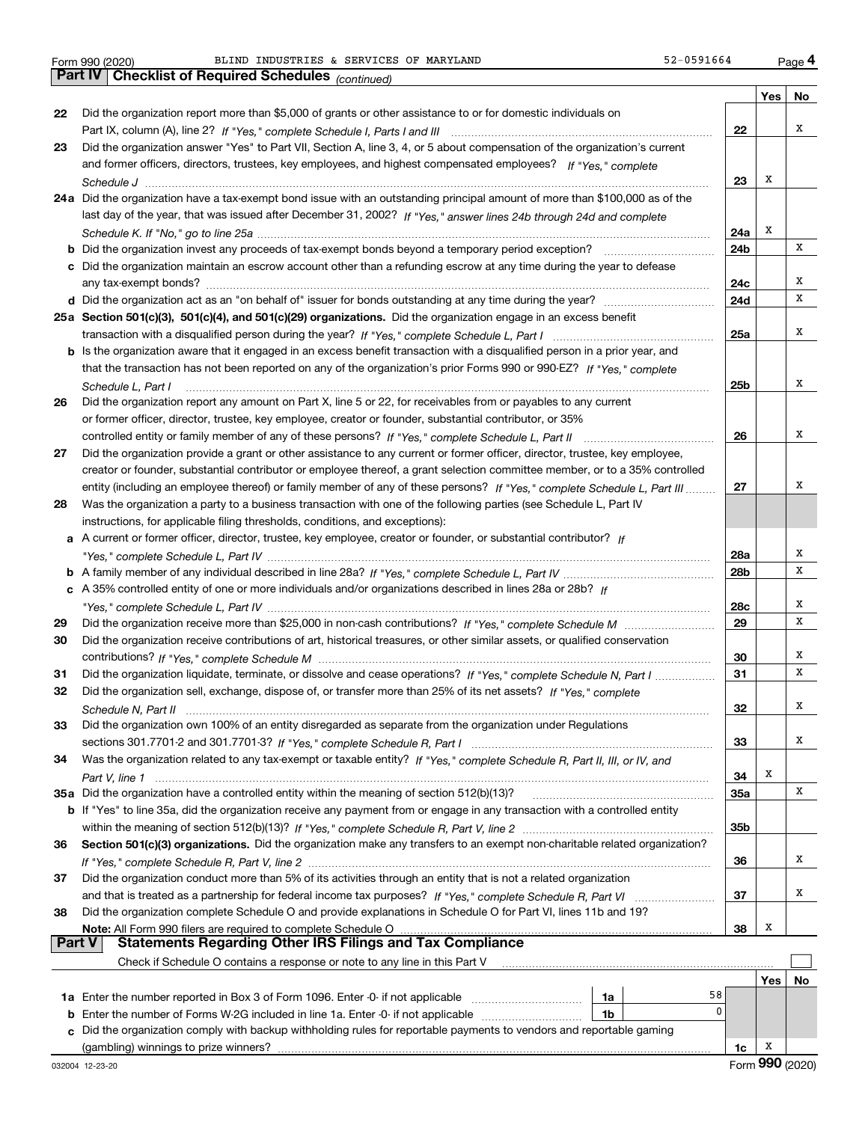*(continued)*

|               |                                                                                                                              |                 | Yes | No |
|---------------|------------------------------------------------------------------------------------------------------------------------------|-----------------|-----|----|
| 22            | Did the organization report more than \$5,000 of grants or other assistance to or for domestic individuals on                |                 |     |    |
|               |                                                                                                                              | 22              |     | х  |
| 23            | Did the organization answer "Yes" to Part VII, Section A, line 3, 4, or 5 about compensation of the organization's current   |                 |     |    |
|               | and former officers, directors, trustees, key employees, and highest compensated employees? If "Yes," complete               |                 |     |    |
|               |                                                                                                                              | 23              | х   |    |
|               | 24a Did the organization have a tax-exempt bond issue with an outstanding principal amount of more than \$100,000 as of the  |                 |     |    |
|               | last day of the year, that was issued after December 31, 2002? If "Yes," answer lines 24b through 24d and complete           |                 |     |    |
|               |                                                                                                                              | 24a             | х   |    |
|               |                                                                                                                              | 24b             |     | х  |
|               | c Did the organization maintain an escrow account other than a refunding escrow at any time during the year to defease       |                 |     |    |
|               |                                                                                                                              | 24c             |     | Х  |
|               |                                                                                                                              | 24d             |     | Х  |
|               | 25a Section 501(c)(3), 501(c)(4), and 501(c)(29) organizations. Did the organization engage in an excess benefit             |                 |     |    |
|               |                                                                                                                              | 25a             |     | х  |
|               | b Is the organization aware that it engaged in an excess benefit transaction with a disqualified person in a prior year, and |                 |     |    |
|               | that the transaction has not been reported on any of the organization's prior Forms 990 or 990-EZ? If "Yes," complete        |                 |     |    |
|               | Schedule L, Part I                                                                                                           | 25b             |     | Χ  |
| 26            | Did the organization report any amount on Part X, line 5 or 22, for receivables from or payables to any current              |                 |     |    |
|               | or former officer, director, trustee, key employee, creator or founder, substantial contributor, or 35%                      |                 |     |    |
|               |                                                                                                                              | 26              |     | х  |
| 27            | Did the organization provide a grant or other assistance to any current or former officer, director, trustee, key employee,  |                 |     |    |
|               | creator or founder, substantial contributor or employee thereof, a grant selection committee member, or to a 35% controlled  |                 |     |    |
|               | entity (including an employee thereof) or family member of any of these persons? If "Yes," complete Schedule L, Part III     | 27              |     | Х  |
| 28            | Was the organization a party to a business transaction with one of the following parties (see Schedule L, Part IV            |                 |     |    |
|               | instructions, for applicable filing thresholds, conditions, and exceptions):                                                 |                 |     |    |
|               | a A current or former officer, director, trustee, key employee, creator or founder, or substantial contributor? If           |                 |     | Х  |
|               |                                                                                                                              | 28a             |     | х  |
|               |                                                                                                                              | 28 <sub>b</sub> |     |    |
|               | c A 35% controlled entity of one or more individuals and/or organizations described in lines 28a or 28b? If                  | 28c             |     | Х  |
| 29            |                                                                                                                              | 29              |     | Х  |
| 30            | Did the organization receive contributions of art, historical treasures, or other similar assets, or qualified conservation  |                 |     |    |
|               |                                                                                                                              | 30              |     | х  |
| 31            | Did the organization liquidate, terminate, or dissolve and cease operations? If "Yes," complete Schedule N, Part I           | 31              |     | х  |
| 32            | Did the organization sell, exchange, dispose of, or transfer more than 25% of its net assets? If "Yes," complete             |                 |     |    |
|               |                                                                                                                              | 32              |     | х  |
| 33            | Did the organization own 100% of an entity disregarded as separate from the organization under Regulations                   |                 |     |    |
|               |                                                                                                                              | 33              |     | Х  |
| 34            | Was the organization related to any tax-exempt or taxable entity? If "Yes," complete Schedule R, Part II, III, or IV, and    |                 |     |    |
|               |                                                                                                                              | 34              | х   |    |
|               | 35a Did the organization have a controlled entity within the meaning of section 512(b)(13)?                                  | 35a             |     | Х  |
|               | b If "Yes" to line 35a, did the organization receive any payment from or engage in any transaction with a controlled entity  |                 |     |    |
|               |                                                                                                                              | 35b             |     |    |
| 36            | Section 501(c)(3) organizations. Did the organization make any transfers to an exempt non-charitable related organization?   |                 |     |    |
|               |                                                                                                                              | 36              |     | Х  |
| 37            | Did the organization conduct more than 5% of its activities through an entity that is not a related organization             |                 |     |    |
|               |                                                                                                                              | 37              |     | Х  |
| 38            | Did the organization complete Schedule O and provide explanations in Schedule O for Part VI, lines 11b and 19?               |                 |     |    |
|               | Note: All Form 990 filers are required to complete Schedule O                                                                | 38              | х   |    |
| <b>Part V</b> | <b>Statements Regarding Other IRS Filings and Tax Compliance</b>                                                             |                 |     |    |
|               | Check if Schedule O contains a response or note to any line in this Part V                                                   |                 |     |    |
|               |                                                                                                                              |                 | Yes | No |
|               | 58<br>1a                                                                                                                     |                 |     |    |
| b             | 0<br>Enter the number of Forms W-2G included in line 1a. Enter -0- if not applicable<br>1b                                   |                 |     |    |
|               | c Did the organization comply with backup withholding rules for reportable payments to vendors and reportable gaming         |                 |     |    |
|               |                                                                                                                              | 1c              | x   |    |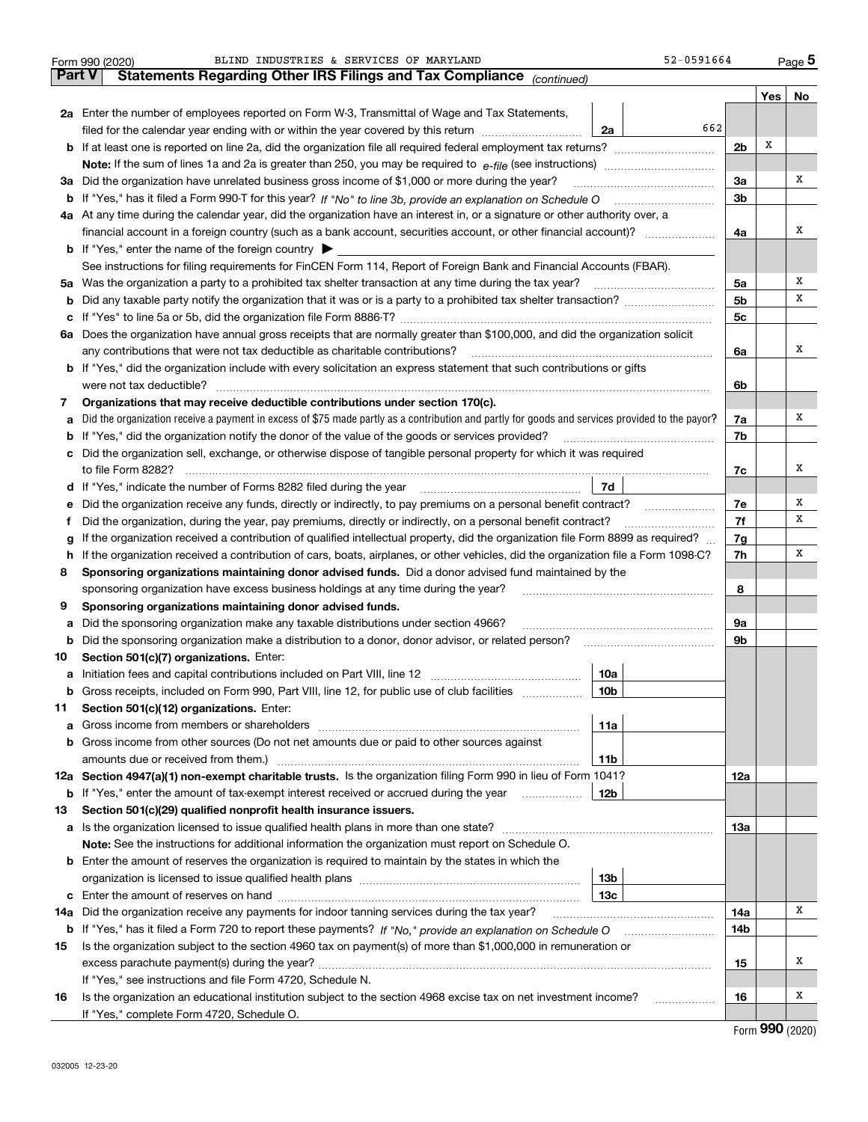|     | 52-0591664<br>BLIND INDUSTRIES & SERVICES OF MARYLAND<br>Form 990 (2020)                                                                                                                                                            |                |     | Page 5 |  |  |  |  |  |  |  |
|-----|-------------------------------------------------------------------------------------------------------------------------------------------------------------------------------------------------------------------------------------|----------------|-----|--------|--|--|--|--|--|--|--|
|     | <b>Part V</b><br>Statements Regarding Other IRS Filings and Tax Compliance (continued)                                                                                                                                              |                |     |        |  |  |  |  |  |  |  |
|     | 2a Enter the number of employees reported on Form W-3, Transmittal of Wage and Tax Statements,                                                                                                                                      |                | Yes | No     |  |  |  |  |  |  |  |
|     | 662<br>filed for the calendar year ending with or within the year covered by this return<br>2a                                                                                                                                      |                |     |        |  |  |  |  |  |  |  |
|     |                                                                                                                                                                                                                                     |                |     |        |  |  |  |  |  |  |  |
|     |                                                                                                                                                                                                                                     | 2 <sub>b</sub> | х   |        |  |  |  |  |  |  |  |
| За  | Did the organization have unrelated business gross income of \$1,000 or more during the year?                                                                                                                                       |                |     |        |  |  |  |  |  |  |  |
|     |                                                                                                                                                                                                                                     |                |     |        |  |  |  |  |  |  |  |
|     | 4a At any time during the calendar year, did the organization have an interest in, or a signature or other authority over, a                                                                                                        |                |     |        |  |  |  |  |  |  |  |
|     | financial account in a foreign country (such as a bank account, securities account, or other financial account)?                                                                                                                    |                |     |        |  |  |  |  |  |  |  |
|     | <b>b</b> If "Yes," enter the name of the foreign country $\blacktriangleright$                                                                                                                                                      | 4a             |     |        |  |  |  |  |  |  |  |
|     | See instructions for filing requirements for FinCEN Form 114, Report of Foreign Bank and Financial Accounts (FBAR).                                                                                                                 |                |     |        |  |  |  |  |  |  |  |
| 5a  | Was the organization a party to a prohibited tax shelter transaction at any time during the tax year?                                                                                                                               | 5a             |     | х      |  |  |  |  |  |  |  |
| b   |                                                                                                                                                                                                                                     | 5 <sub>b</sub> |     | х      |  |  |  |  |  |  |  |
| с   |                                                                                                                                                                                                                                     | 5c             |     |        |  |  |  |  |  |  |  |
|     | 6a Does the organization have annual gross receipts that are normally greater than \$100,000, and did the organization solicit                                                                                                      |                |     |        |  |  |  |  |  |  |  |
|     | any contributions that were not tax deductible as charitable contributions?                                                                                                                                                         | 6a             |     | х      |  |  |  |  |  |  |  |
|     | <b>b</b> If "Yes," did the organization include with every solicitation an express statement that such contributions or gifts                                                                                                       |                |     |        |  |  |  |  |  |  |  |
|     | were not tax deductible?                                                                                                                                                                                                            | 6b             |     |        |  |  |  |  |  |  |  |
| 7   | Organizations that may receive deductible contributions under section 170(c).                                                                                                                                                       |                |     |        |  |  |  |  |  |  |  |
| a   | Did the organization receive a payment in excess of \$75 made partly as a contribution and partly for goods and services provided to the payor?                                                                                     | 7a             |     | х      |  |  |  |  |  |  |  |
| b   | If "Yes," did the organization notify the donor of the value of the goods or services provided?                                                                                                                                     | 7b             |     |        |  |  |  |  |  |  |  |
|     | c Did the organization sell, exchange, or otherwise dispose of tangible personal property for which it was required                                                                                                                 |                |     |        |  |  |  |  |  |  |  |
|     |                                                                                                                                                                                                                                     | 7c             |     | х      |  |  |  |  |  |  |  |
|     | 7d                                                                                                                                                                                                                                  |                |     |        |  |  |  |  |  |  |  |
| е   | Did the organization receive any funds, directly or indirectly, to pay premiums on a personal benefit contract?                                                                                                                     |                |     |        |  |  |  |  |  |  |  |
| f   | Did the organization, during the year, pay premiums, directly or indirectly, on a personal benefit contract?                                                                                                                        |                |     |        |  |  |  |  |  |  |  |
| g   | If the organization received a contribution of qualified intellectual property, did the organization file Form 8899 as required?                                                                                                    |                |     |        |  |  |  |  |  |  |  |
| h   | If the organization received a contribution of cars, boats, airplanes, or other vehicles, did the organization file a Form 1098-C?                                                                                                  |                |     |        |  |  |  |  |  |  |  |
| 8   | Sponsoring organizations maintaining donor advised funds. Did a donor advised fund maintained by the                                                                                                                                |                |     |        |  |  |  |  |  |  |  |
|     | sponsoring organization have excess business holdings at any time during the year?                                                                                                                                                  | 8              |     |        |  |  |  |  |  |  |  |
| 9   | Sponsoring organizations maintaining donor advised funds.                                                                                                                                                                           |                |     |        |  |  |  |  |  |  |  |
| a   | Did the sponsoring organization make any taxable distributions under section 4966?                                                                                                                                                  | 9a             |     |        |  |  |  |  |  |  |  |
| b   | Did the sponsoring organization make a distribution to a donor, donor advisor, or related person?                                                                                                                                   | 9b             |     |        |  |  |  |  |  |  |  |
| 10  | Section 501(c)(7) organizations. Enter:                                                                                                                                                                                             |                |     |        |  |  |  |  |  |  |  |
| а   | 10a                                                                                                                                                                                                                                 |                |     |        |  |  |  |  |  |  |  |
|     | 10 <sub>b</sub><br>Gross receipts, included on Form 990, Part VIII, line 12, for public use of club facilities                                                                                                                      |                |     |        |  |  |  |  |  |  |  |
| 11  | Section 501(c)(12) organizations. Enter:                                                                                                                                                                                            |                |     |        |  |  |  |  |  |  |  |
| а   | Gross income from members or shareholders<br>11a                                                                                                                                                                                    |                |     |        |  |  |  |  |  |  |  |
| b   | Gross income from other sources (Do not net amounts due or paid to other sources against                                                                                                                                            |                |     |        |  |  |  |  |  |  |  |
|     | amounts due or received from them.)<br>11b                                                                                                                                                                                          |                |     |        |  |  |  |  |  |  |  |
|     | 12a Section 4947(a)(1) non-exempt charitable trusts. Is the organization filing Form 990 in lieu of Form 1041?                                                                                                                      | 12a            |     |        |  |  |  |  |  |  |  |
|     | 12b<br><b>b</b> If "Yes," enter the amount of tax-exempt interest received or accrued during the year                                                                                                                               |                |     |        |  |  |  |  |  |  |  |
| 13  | Section 501(c)(29) qualified nonprofit health insurance issuers.                                                                                                                                                                    |                |     |        |  |  |  |  |  |  |  |
| а   | Is the organization licensed to issue qualified health plans in more than one state?                                                                                                                                                | 13а            |     |        |  |  |  |  |  |  |  |
|     | Note: See the instructions for additional information the organization must report on Schedule O.                                                                                                                                   |                |     |        |  |  |  |  |  |  |  |
| b   | Enter the amount of reserves the organization is required to maintain by the states in which the                                                                                                                                    |                |     |        |  |  |  |  |  |  |  |
|     | 13 <sub>b</sub><br>13c                                                                                                                                                                                                              |                |     |        |  |  |  |  |  |  |  |
| c   |                                                                                                                                                                                                                                     |                |     | х      |  |  |  |  |  |  |  |
| 14a | Did the organization receive any payments for indoor tanning services during the tax year?                                                                                                                                          | 14a            |     |        |  |  |  |  |  |  |  |
|     | <b>b</b> If "Yes," has it filed a Form 720 to report these payments? If "No," provide an explanation on Schedule O<br>Is the organization subject to the section 4960 tax on payment(s) of more than \$1,000,000 in remuneration or | 14b            |     |        |  |  |  |  |  |  |  |
| 15  |                                                                                                                                                                                                                                     | 15             |     | x      |  |  |  |  |  |  |  |
|     | If "Yes," see instructions and file Form 4720, Schedule N.                                                                                                                                                                          |                |     |        |  |  |  |  |  |  |  |
| 16  | Is the organization an educational institution subject to the section 4968 excise tax on net investment income?                                                                                                                     | 16             |     | x      |  |  |  |  |  |  |  |
|     | If "Yes," complete Form 4720, Schedule O.                                                                                                                                                                                           |                |     |        |  |  |  |  |  |  |  |
|     |                                                                                                                                                                                                                                     |                |     |        |  |  |  |  |  |  |  |

Form (2020) **990**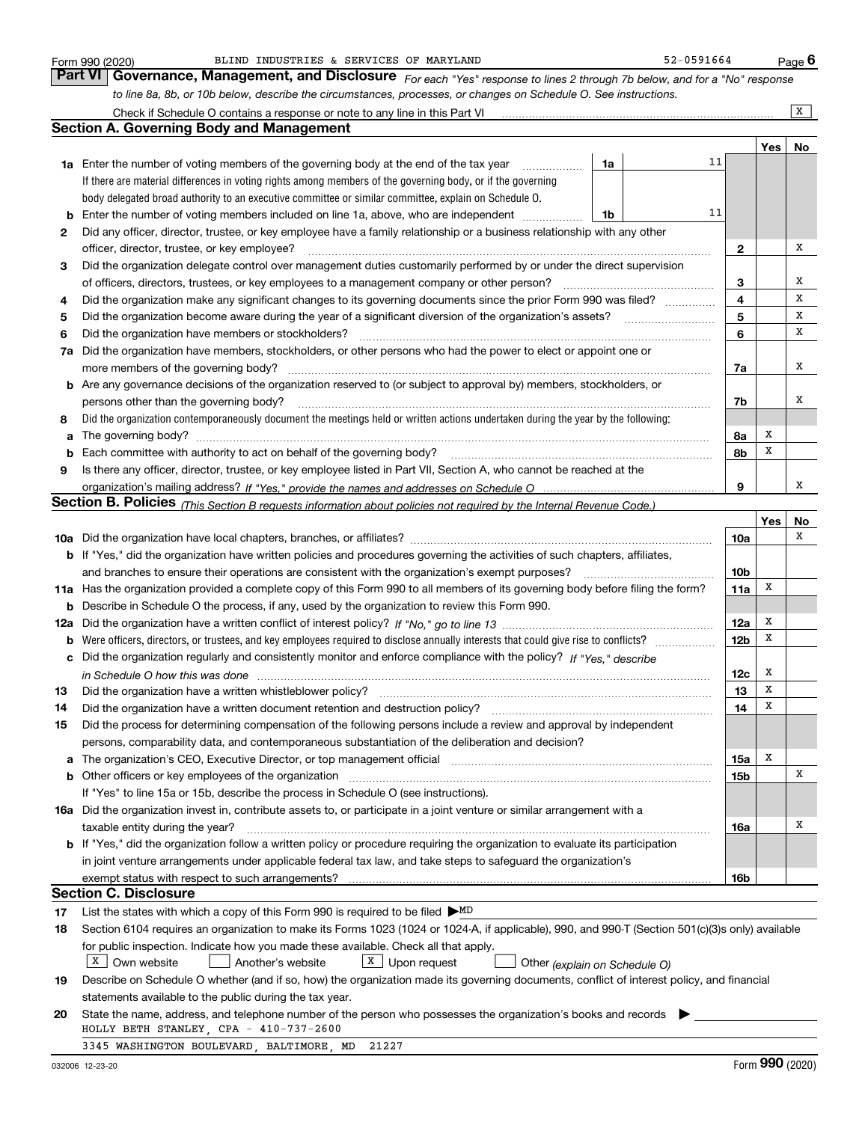|          | 52-0591664<br>BLIND INDUSTRIES & SERVICES OF MARYLAND<br>Form 990 (2020)                                                                                                                                                       |                 |     | Page <sup>6</sup>       |
|----------|--------------------------------------------------------------------------------------------------------------------------------------------------------------------------------------------------------------------------------|-----------------|-----|-------------------------|
|          | Part VI Governance, Management, and Disclosure For each "Yes" response to lines 2 through 7b below, and for a "No" response                                                                                                    |                 |     |                         |
|          | to line 8a, 8b, or 10b below, describe the circumstances, processes, or changes on Schedule O. See instructions.                                                                                                               |                 |     |                         |
|          | Check if Schedule O contains a response or note to any line in this Part VI                                                                                                                                                    |                 |     | $\overline{\mathbf{x}}$ |
|          | <b>Section A. Governing Body and Management</b>                                                                                                                                                                                |                 |     |                         |
|          |                                                                                                                                                                                                                                |                 | Yes | No                      |
|          | 11<br>1a Enter the number of voting members of the governing body at the end of the tax year<br>1a                                                                                                                             |                 |     |                         |
|          | If there are material differences in voting rights among members of the governing body, or if the governing                                                                                                                    |                 |     |                         |
|          | body delegated broad authority to an executive committee or similar committee, explain on Schedule O.                                                                                                                          |                 |     |                         |
| b        | 11<br>Enter the number of voting members included on line 1a, above, who are independent<br>1b                                                                                                                                 |                 |     |                         |
| 2        | Did any officer, director, trustee, or key employee have a family relationship or a business relationship with any other                                                                                                       |                 |     |                         |
|          | officer, director, trustee, or key employee?                                                                                                                                                                                   | 2               |     | х                       |
| 3        | Did the organization delegate control over management duties customarily performed by or under the direct supervision                                                                                                          |                 |     |                         |
|          | of officers, directors, trustees, or key employees to a management company or other person?                                                                                                                                    | з               |     | х                       |
| 4        | Did the organization make any significant changes to its governing documents since the prior Form 990 was filed?                                                                                                               | 4               |     | х                       |
| 5        | Did the organization become aware during the year of a significant diversion of the organization's assets?                                                                                                                     | 5               |     | х                       |
| 6        | Did the organization have members or stockholders?                                                                                                                                                                             | 6               |     | х                       |
| 7a       | Did the organization have members, stockholders, or other persons who had the power to elect or appoint one or                                                                                                                 |                 |     |                         |
|          | more members of the governing body?                                                                                                                                                                                            | 7a              |     | х                       |
| b        | Are any governance decisions of the organization reserved to (or subject to approval by) members, stockholders, or                                                                                                             |                 |     |                         |
|          | persons other than the governing body?                                                                                                                                                                                         | 7b              |     | х                       |
| 8        | Did the organization contemporaneously document the meetings held or written actions undertaken during the year by the following:                                                                                              |                 |     |                         |
| a        |                                                                                                                                                                                                                                | 8а              | x   |                         |
| b        | Each committee with authority to act on behalf of the governing body?                                                                                                                                                          | 8b              | х   |                         |
| 9        | Is there any officer, director, trustee, or key employee listed in Part VII, Section A, who cannot be reached at the                                                                                                           |                 |     |                         |
|          |                                                                                                                                                                                                                                | 9               |     | х                       |
|          | Section B. Policies <sub>(This</sub> Section B requests information about policies not required by the Internal Revenue Code.)                                                                                                 |                 |     |                         |
|          |                                                                                                                                                                                                                                |                 | Yes | No                      |
|          |                                                                                                                                                                                                                                | 10a             |     | х                       |
|          | b If "Yes," did the organization have written policies and procedures governing the activities of such chapters, affiliates,                                                                                                   |                 |     |                         |
|          | and branches to ensure their operations are consistent with the organization's exempt purposes?                                                                                                                                | 10 <sub>b</sub> |     |                         |
| 11a      | Has the organization provided a complete copy of this Form 990 to all members of its governing body before filing the form?                                                                                                    | 11a             | x   |                         |
| b        | Describe in Schedule O the process, if any, used by the organization to review this Form 990.                                                                                                                                  |                 |     |                         |
|          |                                                                                                                                                                                                                                | 12a             | x   |                         |
| 12a<br>b |                                                                                                                                                                                                                                | 12b             | х   |                         |
|          | Did the organization regularly and consistently monitor and enforce compliance with the policy? If "Yes." describe                                                                                                             |                 |     |                         |
|          |                                                                                                                                                                                                                                | 12c             | x   |                         |
|          | in Schedule O how this was done measured and contain an according to the state of the schedule O how this was                                                                                                                  | 13              | X   |                         |
|          | Did the organization have a written document retention and destruction policy?                                                                                                                                                 |                 | х   |                         |
| 14       |                                                                                                                                                                                                                                | 14              |     |                         |
| 15       | Did the process for determining compensation of the following persons include a review and approval by independent                                                                                                             |                 |     |                         |
|          | persons, comparability data, and contemporaneous substantiation of the deliberation and decision?                                                                                                                              |                 | x   |                         |
|          | The organization's CEO, Executive Director, or top management official manufactured contains and contained a manufactured with the organization's CEO, Executive Director, or top management official manufactured and contain | 15a             |     | х                       |
| b        | Other officers or key employees of the organization                                                                                                                                                                            | 15b             |     |                         |
|          | If "Yes" to line 15a or 15b, describe the process in Schedule O (see instructions).                                                                                                                                            |                 |     |                         |
|          | 16a Did the organization invest in, contribute assets to, or participate in a joint venture or similar arrangement with a                                                                                                      |                 |     |                         |
|          | taxable entity during the year?                                                                                                                                                                                                | 16a             |     | x                       |
|          | b If "Yes," did the organization follow a written policy or procedure requiring the organization to evaluate its participation                                                                                                 |                 |     |                         |
|          | in joint venture arrangements under applicable federal tax law, and take steps to safeguard the organization's                                                                                                                 |                 |     |                         |
|          | exempt status with respect to such arrangements?                                                                                                                                                                               | 16b             |     |                         |
|          | <b>Section C. Disclosure</b>                                                                                                                                                                                                   |                 |     |                         |
| 17       | List the states with which a copy of this Form 990 is required to be filed $\blacktriangleright$ MD                                                                                                                            |                 |     |                         |
| 18       | Section 6104 requires an organization to make its Forms 1023 (1024 or 1024-A, if applicable), 990, and 990-T (Section 501(c)(3)s only) available                                                                               |                 |     |                         |
|          | for public inspection. Indicate how you made these available. Check all that apply.                                                                                                                                            |                 |     |                         |
|          | $X \mid$ Own website<br>$X$ Upon request<br>Another's website<br>Other (explain on Schedule O)                                                                                                                                 |                 |     |                         |
| 19       | Describe on Schedule O whether (and if so, how) the organization made its governing documents, conflict of interest policy, and financial                                                                                      |                 |     |                         |
|          | statements available to the public during the tax year.                                                                                                                                                                        |                 |     |                         |
| 20       | State the name, address, and telephone number of the person who possesses the organization's books and records                                                                                                                 |                 |     |                         |
|          | HOLLY BETH STANLEY, CPA - 410-737-2600                                                                                                                                                                                         |                 |     |                         |
|          | 3345 WASHINGTON BOULEVARD, BALTIMORE, MD<br>21227                                                                                                                                                                              |                 |     |                         |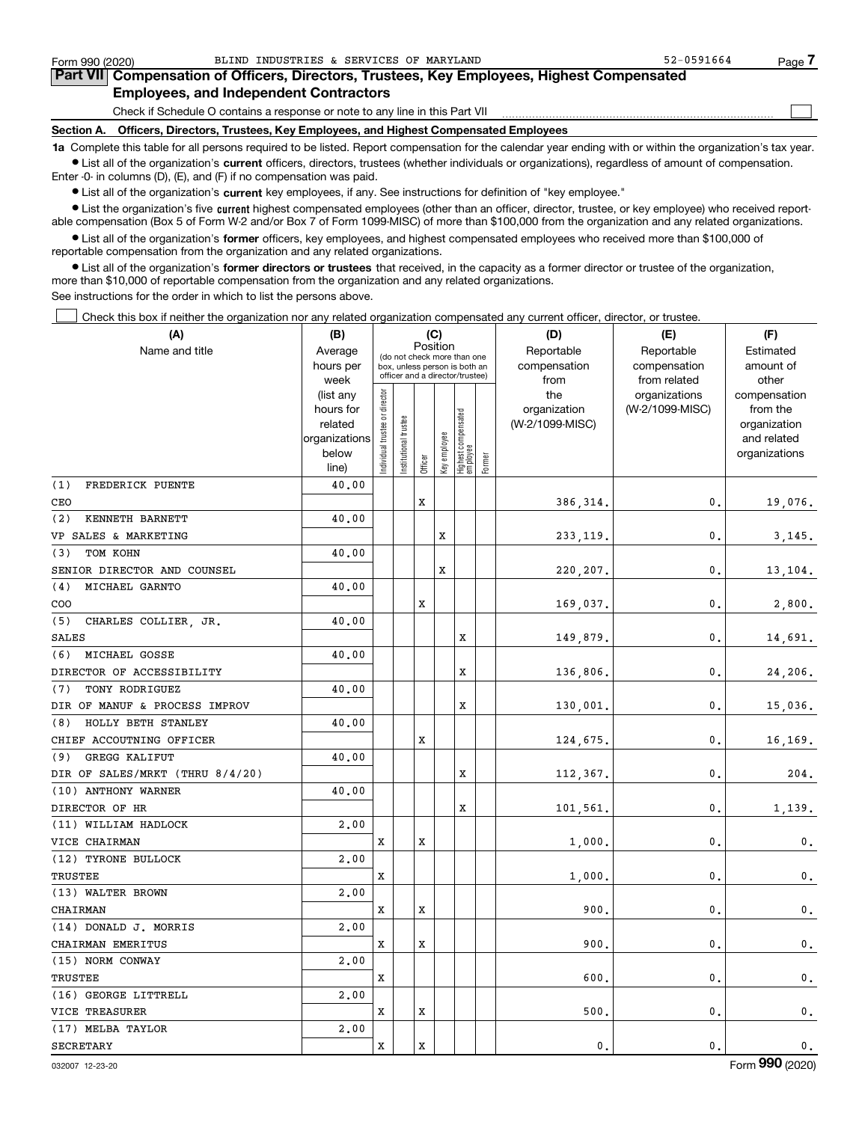$\mathcal{L}^{\text{max}}$ 

# **7Part VII Compensation of Officers, Directors, Trustees, Key Employees, Highest Compensated Employees, and Independent Contractors**

Check if Schedule O contains a response or note to any line in this Part VII

**Section A. Officers, Directors, Trustees, Key Employees, and Highest Compensated Employees**

**1a**  Complete this table for all persons required to be listed. Report compensation for the calendar year ending with or within the organization's tax year. **•** List all of the organization's current officers, directors, trustees (whether individuals or organizations), regardless of amount of compensation.

Enter -0- in columns (D), (E), and (F) if no compensation was paid.

 $\bullet$  List all of the organization's  $\,$ current key employees, if any. See instructions for definition of "key employee."

**•** List the organization's five current highest compensated employees (other than an officer, director, trustee, or key employee) who received reportable compensation (Box 5 of Form W-2 and/or Box 7 of Form 1099-MISC) of more than \$100,000 from the organization and any related organizations.

**•** List all of the organization's former officers, key employees, and highest compensated employees who received more than \$100,000 of reportable compensation from the organization and any related organizations.

**former directors or trustees**  ¥ List all of the organization's that received, in the capacity as a former director or trustee of the organization, more than \$10,000 of reportable compensation from the organization and any related organizations.

See instructions for the order in which to list the persons above.

Check this box if neither the organization nor any related organization compensated any current officer, director, or trustee.  $\mathcal{L}^{\text{max}}$ 

| (A)                             | (B)               |                               |                      |          | (C)          |                                                                  |        | (D)                  | (E)                           | (F)                |
|---------------------------------|-------------------|-------------------------------|----------------------|----------|--------------|------------------------------------------------------------------|--------|----------------------|-------------------------------|--------------------|
| Name and title                  | Average           |                               |                      | Position |              | (do not check more than one                                      |        | Reportable           | Reportable                    | Estimated          |
|                                 | hours per         |                               |                      |          |              | box, unless person is both an<br>officer and a director/trustee) |        | compensation<br>from | compensation                  | amount of<br>other |
|                                 | week<br>(list any |                               |                      |          |              |                                                                  |        | the                  | from related<br>organizations | compensation       |
|                                 | hours for         |                               |                      |          |              |                                                                  |        | organization         | (W-2/1099-MISC)               | from the           |
|                                 | related           |                               |                      |          |              |                                                                  |        | (W-2/1099-MISC)      |                               | organization       |
|                                 | organizations     |                               |                      |          |              |                                                                  |        |                      |                               | and related        |
|                                 | below             | ndividual trustee or director | nstitutional trustee | Officer  | Key employee | Highest compensated<br>employee                                  | Former |                      |                               | organizations      |
| (1)                             | line)<br>40.00    |                               |                      |          |              |                                                                  |        |                      |                               |                    |
| FREDERICK PUENTE<br>CEO         |                   |                               |                      | X        |              |                                                                  |        | 386, 314.            | 0.                            | 19,076.            |
| (2)<br>KENNETH BARNETT          | 40.00             |                               |                      |          |              |                                                                  |        |                      |                               |                    |
| VP SALES & MARKETING            |                   |                               |                      |          | X            |                                                                  |        |                      | $\mathbf{0}$ .                | 3,145.             |
| TOM KOHN<br>(3)                 | 40.00             |                               |                      |          |              |                                                                  |        | 233, 119.            |                               |                    |
| SENIOR DIRECTOR AND COUNSEL     |                   |                               |                      |          | X            |                                                                  |        | 220,207.             | 0.                            | 13,104.            |
| MICHAEL GARNTO<br>(4)           | 40.00             |                               |                      |          |              |                                                                  |        |                      |                               |                    |
| COO                             |                   |                               |                      | X        |              |                                                                  |        | 169,037.             | $\mathbf{0}$ .                | 2,800.             |
| (5) CHARLES COLLIER JR.         | 40.00             |                               |                      |          |              |                                                                  |        |                      |                               |                    |
| <b>SALES</b>                    |                   |                               |                      |          |              | X                                                                |        | 149,879.             | 0.                            | 14,691.            |
| (6) MICHAEL GOSSE               | 40.00             |                               |                      |          |              |                                                                  |        |                      |                               |                    |
| DIRECTOR OF ACCESSIBILITY       |                   |                               |                      |          |              | X                                                                |        | 136,806.             | 0.                            | 24, 206.           |
| (7)<br>TONY RODRIGUEZ           | 40.00             |                               |                      |          |              |                                                                  |        |                      |                               |                    |
| DIR OF MANUF & PROCESS IMPROV   |                   |                               |                      |          |              | X                                                                |        | 130,001.             | 0.                            | 15,036.            |
| (8) HOLLY BETH STANLEY          | 40.00             |                               |                      |          |              |                                                                  |        |                      |                               |                    |
| CHIEF ACCOUTNING OFFICER        |                   |                               |                      | х        |              |                                                                  |        | 124,675.             | 0.                            | 16,169.            |
| (9) GREGG KALIFUT               | 40.00             |                               |                      |          |              |                                                                  |        |                      |                               |                    |
| DIR OF SALES/MRKT (THRU 8/4/20) |                   |                               |                      |          |              | x                                                                |        | 112,367.             | 0.                            | 204.               |
| (10) ANTHONY WARNER             | 40.00             |                               |                      |          |              |                                                                  |        |                      |                               |                    |
| DIRECTOR OF HR                  |                   |                               |                      |          |              | X                                                                |        | 101,561.             | 0.                            | 1,139.             |
| (11) WILLIAM HADLOCK            | 2,00              |                               |                      |          |              |                                                                  |        |                      |                               |                    |
| VICE CHAIRMAN                   |                   | X                             |                      | X        |              |                                                                  |        | 1,000,               | 0.                            | 0.                 |
| (12) TYRONE BULLOCK             | 2.00              |                               |                      |          |              |                                                                  |        |                      |                               |                    |
| TRUSTEE                         |                   | X                             |                      |          |              |                                                                  |        | 1,000.               | 0.                            | $\mathbf 0$ .      |
| (13) WALTER BROWN               | 2,00              |                               |                      |          |              |                                                                  |        |                      |                               |                    |
| CHAIRMAN                        |                   | X                             |                      | x        |              |                                                                  |        | 900.                 | 0.                            | $\mathbf 0$ .      |
| (14) DONALD J. MORRIS           | 2,00              |                               |                      |          |              |                                                                  |        |                      |                               |                    |
| CHAIRMAN EMERITUS               |                   | X                             |                      | x        |              |                                                                  |        | 900.                 | 0.                            | $\mathbf{0}$ .     |
| (15) NORM CONWAY                | 2,00              |                               |                      |          |              |                                                                  |        |                      |                               |                    |
| TRUSTEE                         |                   | X                             |                      |          |              |                                                                  |        | 600                  | 0.                            | 0.                 |
| (16) GEORGE LITTRELL            | 2.00              |                               |                      |          |              |                                                                  |        |                      |                               |                    |
| VICE TREASURER                  |                   | x                             |                      | x        |              |                                                                  |        | 500                  | 0.                            | 0.                 |
| (17) MELBA TAYLOR               | 2,00              |                               |                      |          |              |                                                                  |        |                      |                               |                    |
| <b>SECRETARY</b>                |                   | x                             |                      | X        |              |                                                                  |        | 0.                   | 0.                            | 0.                 |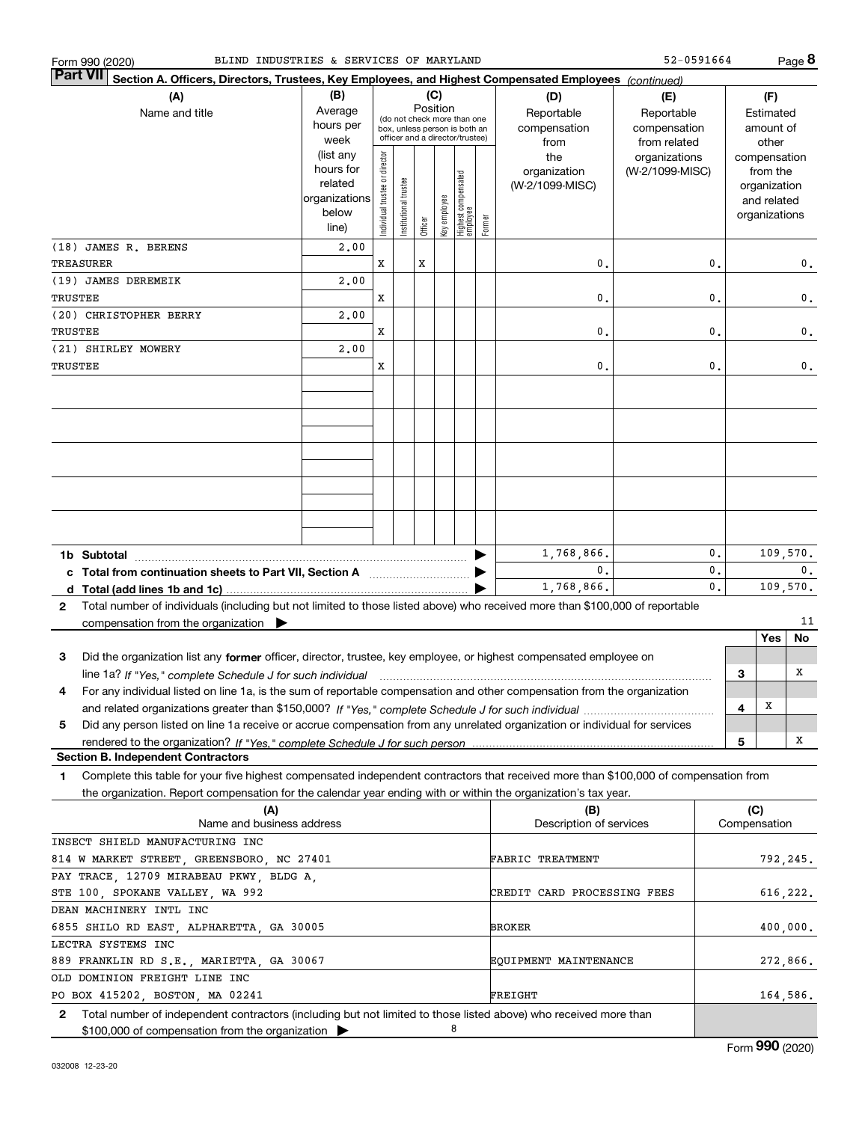| BLIND INDUSTRIES & SERVICES OF MARYLAND<br>Form 990 (2020)                                                                                 |                                                                                              |                                |                 |         |              |                                                                  |        |                             | 52-0591664                       |          |     |                          | Page 8   |
|--------------------------------------------------------------------------------------------------------------------------------------------|----------------------------------------------------------------------------------------------|--------------------------------|-----------------|---------|--------------|------------------------------------------------------------------|--------|-----------------------------|----------------------------------|----------|-----|--------------------------|----------|
| <b>Part VII</b><br>Section A. Officers, Directors, Trustees, Key Employees, and Highest Compensated Employees (continued)                  |                                                                                              |                                |                 |         |              |                                                                  |        |                             |                                  |          |     |                          |          |
| (A)<br>Name and title                                                                                                                      | (C)<br>(B)<br>(D)<br>(E)<br>Position<br>Average<br>Reportable<br>(do not check more than one |                                |                 |         |              |                                                                  |        |                             | Reportable                       |          |     | (F)<br>Estimated         |          |
|                                                                                                                                            | hours per                                                                                    |                                |                 |         |              | box, unless person is both an<br>officer and a director/trustee) |        | compensation                | compensation                     |          |     | amount of                |          |
|                                                                                                                                            | week<br>(list any                                                                            |                                |                 |         |              |                                                                  |        | from<br>the                 | from related                     |          |     | other                    |          |
|                                                                                                                                            | hours for                                                                                    | Individual trustee or director |                 |         |              |                                                                  |        | organization                | organizations<br>(W-2/1099-MISC) |          |     | compensation<br>from the |          |
|                                                                                                                                            | related                                                                                      |                                | trustee         |         |              | Highest compensated<br>employee                                  |        | (W-2/1099-MISC)             |                                  |          |     | organization             |          |
|                                                                                                                                            | organizations                                                                                |                                |                 |         |              |                                                                  |        |                             |                                  |          |     | and related              |          |
|                                                                                                                                            | below<br>line)                                                                               |                                | Institutional t | Officer | Key employee |                                                                  | Former |                             |                                  |          |     | organizations            |          |
| (18) JAMES R. BERENS                                                                                                                       | 2,00                                                                                         |                                |                 |         |              |                                                                  |        |                             |                                  |          |     |                          |          |
| TREASURER                                                                                                                                  |                                                                                              | x                              |                 | x       |              |                                                                  |        | 0.                          |                                  | 0.       |     |                          | 0.       |
| (19) JAMES DEREMEIK                                                                                                                        | 2,00                                                                                         |                                |                 |         |              |                                                                  |        |                             |                                  |          |     |                          |          |
| TRUSTEE                                                                                                                                    |                                                                                              | x                              |                 |         |              |                                                                  |        | 0.                          |                                  | 0.       |     |                          | $0$ .    |
| (20) CHRISTOPHER BERRY                                                                                                                     | 2,00                                                                                         |                                |                 |         |              |                                                                  |        |                             |                                  |          |     |                          |          |
| TRUSTEE                                                                                                                                    |                                                                                              | x                              |                 |         |              |                                                                  |        | 0.                          |                                  | 0.       |     |                          | 0.       |
| (21) SHIRLEY MOWERY                                                                                                                        | 2,00                                                                                         |                                |                 |         |              |                                                                  |        |                             |                                  |          |     |                          |          |
| TRUSTEE                                                                                                                                    |                                                                                              | x                              |                 |         |              |                                                                  |        | 0.                          |                                  | 0.       |     |                          | 0.       |
|                                                                                                                                            |                                                                                              |                                |                 |         |              |                                                                  |        |                             |                                  |          |     |                          |          |
|                                                                                                                                            |                                                                                              |                                |                 |         |              |                                                                  |        |                             |                                  |          |     |                          |          |
|                                                                                                                                            |                                                                                              |                                |                 |         |              |                                                                  |        |                             |                                  |          |     |                          |          |
|                                                                                                                                            |                                                                                              |                                |                 |         |              |                                                                  |        |                             |                                  |          |     |                          |          |
|                                                                                                                                            |                                                                                              |                                |                 |         |              |                                                                  |        |                             |                                  |          |     |                          |          |
|                                                                                                                                            |                                                                                              |                                |                 |         |              |                                                                  |        |                             |                                  |          |     |                          |          |
|                                                                                                                                            |                                                                                              |                                |                 |         |              |                                                                  |        |                             |                                  |          |     |                          |          |
|                                                                                                                                            |                                                                                              |                                |                 |         |              |                                                                  |        |                             |                                  |          |     |                          |          |
|                                                                                                                                            |                                                                                              |                                |                 |         |              |                                                                  |        |                             |                                  |          |     |                          |          |
|                                                                                                                                            |                                                                                              |                                |                 |         |              |                                                                  |        |                             |                                  |          |     |                          |          |
| 1b Subtotal                                                                                                                                |                                                                                              |                                |                 |         |              |                                                                  |        | 1,768,866.                  |                                  | 0.       |     |                          | 109,570. |
| c Total from continuation sheets to Part VII, Section A manufactor continuum                                                               |                                                                                              |                                |                 |         |              |                                                                  |        | 0.                          |                                  | 0.<br>0. |     |                          | 0.       |
|                                                                                                                                            |                                                                                              |                                |                 |         |              |                                                                  |        | 1,768,866.                  |                                  |          |     |                          | 109,570. |
| Total number of individuals (including but not limited to those listed above) who received more than \$100,000 of reportable<br>2          |                                                                                              |                                |                 |         |              |                                                                  |        |                             |                                  |          |     |                          | 11       |
| compensation from the organization $\blacktriangleright$                                                                                   |                                                                                              |                                |                 |         |              |                                                                  |        |                             |                                  |          |     | Yes                      | No       |
| Did the organization list any former officer, director, trustee, key employee, or highest compensated employee on<br>з                     |                                                                                              |                                |                 |         |              |                                                                  |        |                             |                                  |          |     |                          |          |
| line 1a? If "Yes," complete Schedule J for such individual manufactured contained and the Yes," complete Schedule J for such individual    |                                                                                              |                                |                 |         |              |                                                                  |        |                             |                                  |          | З   |                          | х        |
| For any individual listed on line 1a, is the sum of reportable compensation and other compensation from the organization<br>4              |                                                                                              |                                |                 |         |              |                                                                  |        |                             |                                  |          |     |                          |          |
|                                                                                                                                            |                                                                                              |                                |                 |         |              |                                                                  |        |                             |                                  |          | 4   | х                        |          |
| Did any person listed on line 1a receive or accrue compensation from any unrelated organization or individual for services<br>5            |                                                                                              |                                |                 |         |              |                                                                  |        |                             |                                  |          |     |                          |          |
|                                                                                                                                            |                                                                                              |                                |                 |         |              |                                                                  |        |                             |                                  |          | 5   |                          | х        |
| <b>Section B. Independent Contractors</b>                                                                                                  |                                                                                              |                                |                 |         |              |                                                                  |        |                             |                                  |          |     |                          |          |
| Complete this table for your five highest compensated independent contractors that received more than \$100,000 of compensation from<br>1. |                                                                                              |                                |                 |         |              |                                                                  |        |                             |                                  |          |     |                          |          |
| the organization. Report compensation for the calendar year ending with or within the organization's tax year.                             |                                                                                              |                                |                 |         |              |                                                                  |        |                             |                                  |          |     |                          |          |
| (A)                                                                                                                                        |                                                                                              |                                |                 |         |              |                                                                  |        | (B)                         |                                  |          | (C) |                          |          |
| Name and business address                                                                                                                  |                                                                                              |                                |                 |         |              |                                                                  |        | Description of services     |                                  |          |     | Compensation             |          |
| INSECT SHIELD MANUFACTURING INC                                                                                                            |                                                                                              |                                |                 |         |              |                                                                  |        |                             |                                  |          |     |                          |          |
| 814 W MARKET STREET, GREENSBORO, NC 27401                                                                                                  |                                                                                              |                                |                 |         |              |                                                                  |        | <b>FABRIC TREATMENT</b>     |                                  |          |     |                          | 792,245. |
| PAY TRACE, 12709 MIRABEAU PKWY, BLDG A,                                                                                                    |                                                                                              |                                |                 |         |              |                                                                  |        |                             |                                  |          |     |                          |          |
| STE 100, SPOKANE VALLEY, WA 992                                                                                                            |                                                                                              |                                |                 |         |              |                                                                  |        | CREDIT CARD PROCESSING FEES |                                  |          |     |                          | 616,222. |
| DEAN MACHINERY INTL INC<br>6855 SHILO RD EAST, ALPHARETTA, GA 30005                                                                        |                                                                                              |                                |                 |         |              |                                                                  |        | <b>BROKER</b>               |                                  |          |     |                          | 400,000. |
| LECTRA SYSTEMS INC                                                                                                                         |                                                                                              |                                |                 |         |              |                                                                  |        |                             |                                  |          |     |                          |          |
| 889 FRANKLIN RD S.E., MARIETTA, GA 30067                                                                                                   |                                                                                              |                                |                 |         |              |                                                                  |        | EQUIPMENT MAINTENANCE       |                                  |          |     |                          | 272,866. |
| OLD DOMINION FREIGHT LINE INC                                                                                                              |                                                                                              |                                |                 |         |              |                                                                  |        |                             |                                  |          |     |                          |          |
| PO BOX 415202, BOSTON, MA 02241                                                                                                            |                                                                                              |                                |                 |         |              |                                                                  |        | FREIGHT                     |                                  |          |     |                          | 164,586. |
| Total number of independent contractors (including but not limited to those listed above) who received more than<br>2                      |                                                                                              |                                |                 |         |              |                                                                  |        |                             |                                  |          |     |                          |          |
| \$100,000 of compensation from the organization                                                                                            |                                                                                              |                                |                 |         | 8            |                                                                  |        |                             |                                  |          |     |                          |          |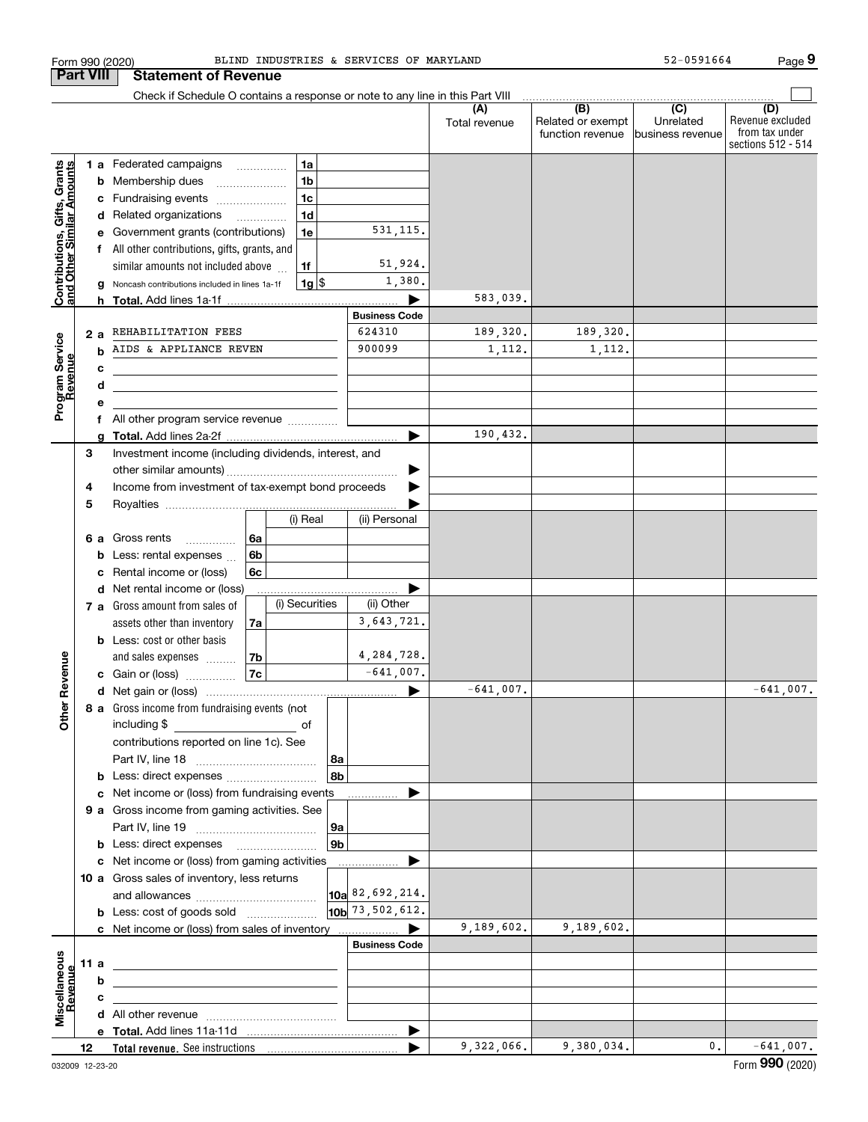|                                                           | <b>Part VIII</b> |        | <b>Statement of Revenue</b>                                                                                            |          |                |                |                                 |                      |                                              |                                                 |                                                                 |
|-----------------------------------------------------------|------------------|--------|------------------------------------------------------------------------------------------------------------------------|----------|----------------|----------------|---------------------------------|----------------------|----------------------------------------------|-------------------------------------------------|-----------------------------------------------------------------|
|                                                           |                  |        | Check if Schedule O contains a response or note to any line in this Part VIII                                          |          |                |                |                                 |                      |                                              |                                                 |                                                                 |
|                                                           |                  |        |                                                                                                                        |          |                |                |                                 | (A)<br>Total revenue | (B)<br>Related or exempt<br>function revenue | $\overline{C}$<br>Unrelated<br>business revenue | (D)<br>Revenue excluded<br>from tax under<br>sections 512 - 514 |
|                                                           |                  |        | 1 a Federated campaigns                                                                                                |          | 1a             |                |                                 |                      |                                              |                                                 |                                                                 |
|                                                           |                  |        | <b>b</b> Membership dues                                                                                               |          | 1 <sub>b</sub> |                |                                 |                      |                                              |                                                 |                                                                 |
|                                                           |                  |        | c Fundraising events                                                                                                   |          | 1 <sub>c</sub> |                |                                 |                      |                                              |                                                 |                                                                 |
|                                                           |                  |        | d Related organizations                                                                                                |          | 1 <sub>d</sub> |                |                                 |                      |                                              |                                                 |                                                                 |
|                                                           |                  |        | e Government grants (contributions)                                                                                    |          | 1e             |                | 531, 115.                       |                      |                                              |                                                 |                                                                 |
|                                                           |                  |        | All other contributions, gifts, grants, and                                                                            |          |                |                |                                 |                      |                                              |                                                 |                                                                 |
|                                                           |                  |        | similar amounts not included above                                                                                     |          | 1f             |                | 51,924.                         |                      |                                              |                                                 |                                                                 |
| Contributions, Gifts, Grants<br>and Other Similar Amounts |                  |        | Noncash contributions included in lines 1a-1f                                                                          |          | $1g$ \$        |                | 1,380.                          |                      |                                              |                                                 |                                                                 |
|                                                           |                  |        |                                                                                                                        |          |                |                |                                 | 583,039.             |                                              |                                                 |                                                                 |
|                                                           |                  |        |                                                                                                                        |          |                |                | <b>Business Code</b>            |                      |                                              |                                                 |                                                                 |
|                                                           | 2a               |        | REHABILITATION FEES                                                                                                    |          |                |                | 624310                          | 189,320.             | 189,320.                                     |                                                 |                                                                 |
| Program Service                                           |                  | b      | AIDS & APPLIANCE REVEN                                                                                                 |          |                |                | 900099                          | 1,112.               | 1,112.                                       |                                                 |                                                                 |
|                                                           |                  | с      | <u> 1989 - Johann Stoff, deutscher Stoffen und der Stoffen und der Stoffen und der Stoffen und der Stoffen und der</u> |          |                |                |                                 |                      |                                              |                                                 |                                                                 |
|                                                           |                  | d      | the control of the control of the control of the control of the control of                                             |          |                |                |                                 |                      |                                              |                                                 |                                                                 |
|                                                           |                  | е      |                                                                                                                        |          |                |                |                                 |                      |                                              |                                                 |                                                                 |
|                                                           |                  |        | f All other program service revenue                                                                                    |          |                |                |                                 |                      |                                              |                                                 |                                                                 |
|                                                           |                  | a      |                                                                                                                        |          |                |                | ►                               | 190,432.             |                                              |                                                 |                                                                 |
|                                                           | 3                |        | Investment income (including dividends, interest, and                                                                  |          |                |                |                                 |                      |                                              |                                                 |                                                                 |
|                                                           |                  |        |                                                                                                                        |          |                |                |                                 |                      |                                              |                                                 |                                                                 |
|                                                           | 4                |        | Income from investment of tax-exempt bond proceeds                                                                     |          |                |                |                                 |                      |                                              |                                                 |                                                                 |
|                                                           | 5                |        |                                                                                                                        |          | (i) Real       |                | (ii) Personal                   |                      |                                              |                                                 |                                                                 |
|                                                           |                  |        |                                                                                                                        |          |                |                |                                 |                      |                                              |                                                 |                                                                 |
|                                                           | 6а               |        | Gross rents<br>.                                                                                                       | 6a<br>6b |                |                |                                 |                      |                                              |                                                 |                                                                 |
|                                                           |                  | b<br>с | Less: rental expenses<br>Rental income or (loss)                                                                       | 6с       |                |                |                                 |                      |                                              |                                                 |                                                                 |
|                                                           |                  |        | d Net rental income or (loss)                                                                                          |          |                |                |                                 |                      |                                              |                                                 |                                                                 |
|                                                           |                  |        | 7 a Gross amount from sales of                                                                                         |          | (i) Securities |                | (ii) Other                      |                      |                                              |                                                 |                                                                 |
|                                                           |                  |        | assets other than inventory                                                                                            | 7a       |                |                | 3,643,721.                      |                      |                                              |                                                 |                                                                 |
|                                                           |                  |        | <b>b</b> Less: cost or other basis                                                                                     |          |                |                |                                 |                      |                                              |                                                 |                                                                 |
|                                                           |                  |        | and sales expenses                                                                                                     | 7b       |                |                | 4,284,728.                      |                      |                                              |                                                 |                                                                 |
| Revenue                                                   |                  |        | c Gain or (loss)                                                                                                       | 7c       |                |                | $-641,007$ .                    |                      |                                              |                                                 |                                                                 |
|                                                           |                  |        |                                                                                                                        |          |                |                | ▶                               | $-641,007$ .         |                                              |                                                 | $-641,007.$                                                     |
| <b>Othe</b>                                               |                  |        | 8 a Gross income from fundraising events (not<br>including \$<br>and the contract of the contract of                   |          |                |                |                                 |                      |                                              |                                                 |                                                                 |
|                                                           |                  |        | contributions reported on line 1c). See                                                                                |          |                |                |                                 |                      |                                              |                                                 |                                                                 |
|                                                           |                  |        |                                                                                                                        |          |                | 8a             |                                 |                      |                                              |                                                 |                                                                 |
|                                                           |                  |        |                                                                                                                        |          |                | 8b             |                                 |                      |                                              |                                                 |                                                                 |
|                                                           |                  |        | c Net income or (loss) from fundraising events                                                                         |          |                |                | .                               |                      |                                              |                                                 |                                                                 |
|                                                           |                  |        | 9 a Gross income from gaming activities. See                                                                           |          |                |                |                                 |                      |                                              |                                                 |                                                                 |
|                                                           |                  |        |                                                                                                                        |          |                | 9а             |                                 |                      |                                              |                                                 |                                                                 |
|                                                           |                  |        | <b>b</b> Less: direct expenses <b>manually</b>                                                                         |          |                | 9 <sub>b</sub> |                                 |                      |                                              |                                                 |                                                                 |
|                                                           |                  |        | c Net income or (loss) from gaming activities                                                                          |          |                |                | .                               |                      |                                              |                                                 |                                                                 |
|                                                           |                  |        | 10 a Gross sales of inventory, less returns                                                                            |          |                |                |                                 |                      |                                              |                                                 |                                                                 |
|                                                           |                  |        |                                                                                                                        |          |                |                | $\vert$ 10a $\vert$ 82,692,214. |                      |                                              |                                                 |                                                                 |
|                                                           |                  |        | <b>b</b> Less: cost of goods sold                                                                                      |          |                |                | 10b 73, 502, 612.               |                      |                                              |                                                 |                                                                 |
|                                                           |                  |        |                                                                                                                        |          |                |                |                                 | 9,189,602.           | 9,189,602.                                   |                                                 |                                                                 |
|                                                           |                  |        |                                                                                                                        |          |                |                | <b>Business Code</b>            |                      |                                              |                                                 |                                                                 |
|                                                           | 11 a             |        | the control of the control of the control of the control of the control of                                             |          |                |                |                                 |                      |                                              |                                                 |                                                                 |
|                                                           |                  | b      | <u> 1980 - Johann Stein, marwolaethau a bhann an t-Albann an t-Albann an t-Albann an t-Albann an t-Albann an t-Alb</u> |          |                |                |                                 |                      |                                              |                                                 |                                                                 |
|                                                           |                  | с      | <u> 1989 - Johann Stein, mars an deus Amerikaansk kommunister (</u>                                                    |          |                |                |                                 |                      |                                              |                                                 |                                                                 |
| Miscellaneous<br>Revenue                                  |                  |        |                                                                                                                        |          |                |                |                                 |                      |                                              |                                                 |                                                                 |
|                                                           |                  |        |                                                                                                                        |          |                |                |                                 |                      |                                              |                                                 |                                                                 |
|                                                           | 12               |        |                                                                                                                        |          |                |                |                                 | 9,322,066.           | 9,380,034.                                   | 0.                                              | $-641,007.$                                                     |

Form 990 (2020) Page BLIND INDUSTRIES & SERVICES OF MARYLAND 52-0591664

**9**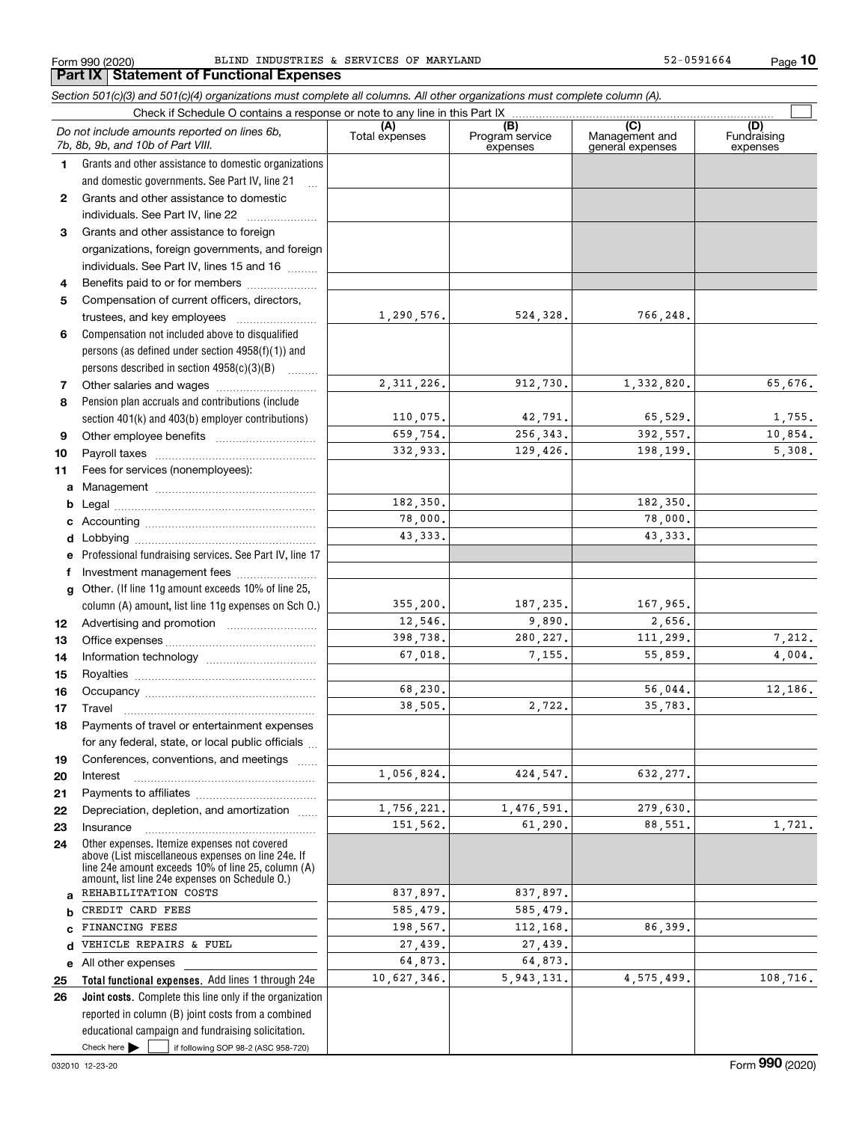**10**

|              | Section 501(c)(3) and 501(c)(4) organizations must complete all columns. All other organizations must complete column (A).                                                                                 |                       |                                    |                                           |                                |
|--------------|------------------------------------------------------------------------------------------------------------------------------------------------------------------------------------------------------------|-----------------------|------------------------------------|-------------------------------------------|--------------------------------|
|              |                                                                                                                                                                                                            |                       |                                    |                                           |                                |
|              | Do not include amounts reported on lines 6b,<br>7b, 8b, 9b, and 10b of Part VIII.                                                                                                                          | (A)<br>Total expenses | (B)<br>Program service<br>expenses | (C)<br>Management and<br>general expenses | (D)<br>Fundraising<br>expenses |
| 1            | Grants and other assistance to domestic organizations                                                                                                                                                      |                       |                                    |                                           |                                |
|              | and domestic governments. See Part IV, line 21                                                                                                                                                             |                       |                                    |                                           |                                |
| $\mathbf{2}$ | Grants and other assistance to domestic                                                                                                                                                                    |                       |                                    |                                           |                                |
|              | individuals. See Part IV, line 22                                                                                                                                                                          |                       |                                    |                                           |                                |
| 3            | Grants and other assistance to foreign                                                                                                                                                                     |                       |                                    |                                           |                                |
|              | organizations, foreign governments, and foreign                                                                                                                                                            |                       |                                    |                                           |                                |
|              | individuals. See Part IV, lines 15 and 16                                                                                                                                                                  |                       |                                    |                                           |                                |
| 4            | Benefits paid to or for members                                                                                                                                                                            |                       |                                    |                                           |                                |
| 5            | Compensation of current officers, directors,                                                                                                                                                               |                       |                                    |                                           |                                |
|              | trustees, and key employees                                                                                                                                                                                | 1,290,576.            | 524,328.                           | 766,248.                                  |                                |
| 6            | Compensation not included above to disqualified                                                                                                                                                            |                       |                                    |                                           |                                |
|              | persons (as defined under section 4958(f)(1)) and                                                                                                                                                          |                       |                                    |                                           |                                |
|              | persons described in section 4958(c)(3)(B)                                                                                                                                                                 |                       |                                    |                                           |                                |
| 7            |                                                                                                                                                                                                            | 2, 311, 226.          | 912,730.                           | 1,332,820.                                | 65,676.                        |
| 8            | Pension plan accruals and contributions (include                                                                                                                                                           |                       |                                    |                                           |                                |
|              | section 401(k) and 403(b) employer contributions)                                                                                                                                                          | 110,075.              | 42,791.                            | 65,529.                                   | 1,755.                         |
| 9            |                                                                                                                                                                                                            | 659,754.              | 256, 343.                          | 392,557.                                  | 10,854.                        |
| 10           |                                                                                                                                                                                                            | 332,933.              | 129,426.                           | 198,199.                                  | 5,308.                         |
| 11           | Fees for services (nonemployees):                                                                                                                                                                          |                       |                                    |                                           |                                |
| a            |                                                                                                                                                                                                            |                       |                                    |                                           |                                |
|              |                                                                                                                                                                                                            | 182,350.              |                                    | 182,350.                                  |                                |
| c            |                                                                                                                                                                                                            | 78,000.               |                                    | 78,000.                                   |                                |
|              |                                                                                                                                                                                                            | 43, 333.              |                                    | 43, 333.                                  |                                |
| е            | Professional fundraising services. See Part IV, line 17                                                                                                                                                    |                       |                                    |                                           |                                |
| f            | Investment management fees                                                                                                                                                                                 |                       |                                    |                                           |                                |
|              | g Other. (If line 11g amount exceeds 10% of line 25,                                                                                                                                                       |                       |                                    |                                           |                                |
|              | column (A) amount, list line 11g expenses on Sch O.)                                                                                                                                                       | 355,200.              | 187,235.                           | 167,965.                                  |                                |
| 12           |                                                                                                                                                                                                            | 12,546.               | 9,890.                             | 2,656.                                    |                                |
| 13           |                                                                                                                                                                                                            | 398,738.              | 280, 227.                          | 111,299.                                  | 7,212.                         |
| 14           |                                                                                                                                                                                                            | 67,018.               | 7,155.                             | 55,859.                                   | 4,004.                         |
| 15           |                                                                                                                                                                                                            |                       |                                    |                                           |                                |
| 16           |                                                                                                                                                                                                            | 68,230.               |                                    | 56,044.                                   | 12,186.                        |
| 17           |                                                                                                                                                                                                            | 38,505.               | 2,722.                             | 35,783.                                   |                                |
| 18           | Payments of travel or entertainment expenses                                                                                                                                                               |                       |                                    |                                           |                                |
|              | for any federal, state, or local public officials                                                                                                                                                          |                       |                                    |                                           |                                |
| 19           | Conferences, conventions, and meetings                                                                                                                                                                     |                       |                                    |                                           |                                |
| 20           | Interest                                                                                                                                                                                                   | 1,056,824.            | 424,547.                           | 632, 277.                                 |                                |
| 21           |                                                                                                                                                                                                            |                       |                                    |                                           |                                |
| 22           | Depreciation, depletion, and amortization                                                                                                                                                                  | 1,756,221.            | 1,476,591.                         | 279,630.                                  |                                |
| 23           | Insurance                                                                                                                                                                                                  | 151,562.              | 61,290.                            | 88,551.                                   | 1,721.                         |
| 24           | Other expenses. Itemize expenses not covered<br>above (List miscellaneous expenses on line 24e. If<br>line 24e amount exceeds 10% of line 25, column (A)<br>amount, list line 24e expenses on Schedule 0.) |                       |                                    |                                           |                                |
| a            | REHABILITATION COSTS                                                                                                                                                                                       | 837,897.              | 837,897.                           |                                           |                                |
| b            | CREDIT CARD FEES                                                                                                                                                                                           | 585,479.              | 585,479.                           |                                           |                                |
| C            | FINANCING FEES                                                                                                                                                                                             | 198,567.              | 112,168.                           | 86,399.                                   |                                |
| d            | VEHICLE REPAIRS & FUEL                                                                                                                                                                                     | 27,439.               | 27,439.                            |                                           |                                |
|              | e All other expenses                                                                                                                                                                                       | 64,873.               | 64,873.                            |                                           |                                |
| 25           | Total functional expenses. Add lines 1 through 24e                                                                                                                                                         | 10,627,346.           | 5, 943, 131.                       | 4,575,499.                                | 108,716.                       |
| 26           | Joint costs. Complete this line only if the organization                                                                                                                                                   |                       |                                    |                                           |                                |
|              | reported in column (B) joint costs from a combined                                                                                                                                                         |                       |                                    |                                           |                                |
|              | educational campaign and fundraising solicitation.                                                                                                                                                         |                       |                                    |                                           |                                |

Check here

Check here  $\bullet$  if following SOP 98-2 (ASC 958-720)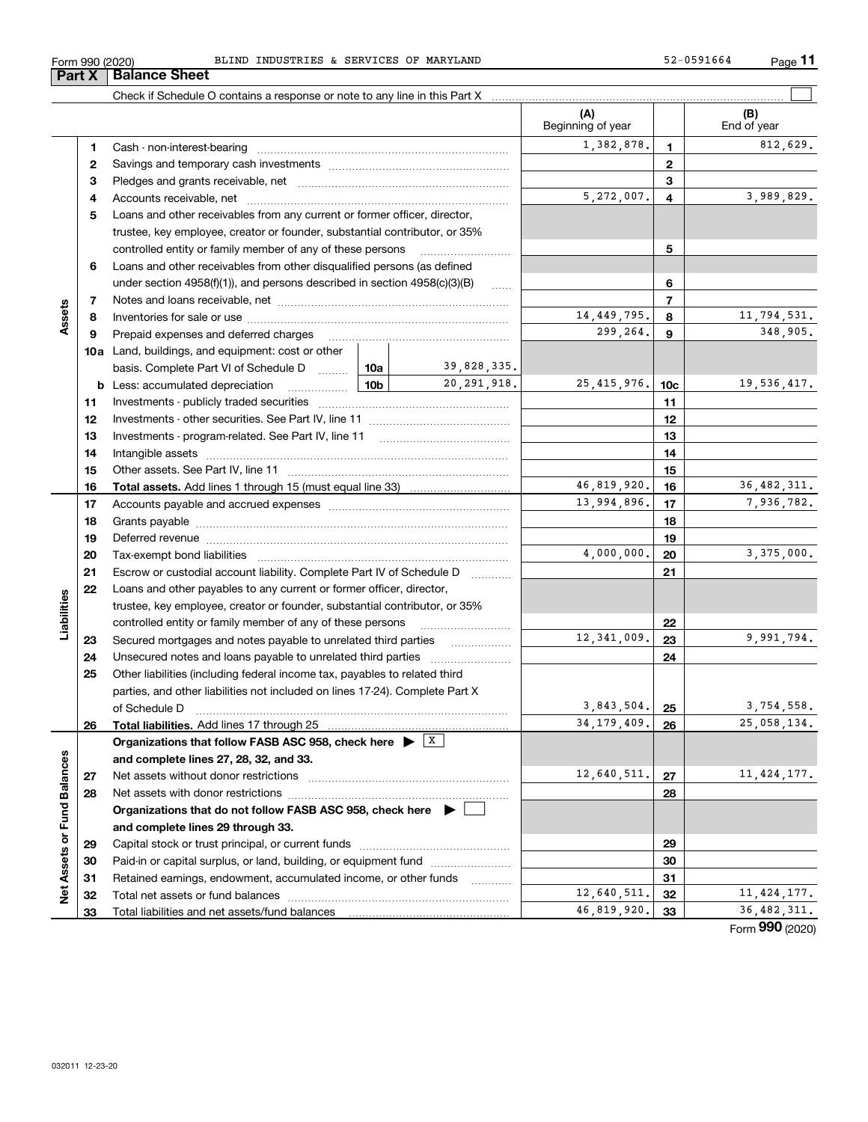| BLINI<br>INDUSTRIES<br>CEDITARA<br>ОF<br>MARYLAND<br>159155<br>990 (2020)<br>.664<br>5 F.K V<br>∙orm<br>.LULD<br>ے ر | Page |  |
|----------------------------------------------------------------------------------------------------------------------|------|--|
|----------------------------------------------------------------------------------------------------------------------|------|--|

|                             |    |                                                                                         |                 |               | (A)<br>Beginning of year |                 | (B)<br>End of year |
|-----------------------------|----|-----------------------------------------------------------------------------------------|-----------------|---------------|--------------------------|-----------------|--------------------|
|                             | 1. |                                                                                         |                 |               | 1,382,878.               | 1               | 812,629.           |
|                             | 2  |                                                                                         |                 | $\mathbf 2$   |                          |                 |                    |
|                             | 3  |                                                                                         |                 | 3             |                          |                 |                    |
|                             | 4  |                                                                                         |                 |               | 5,272,007.               | 4               | 3,989,829.         |
|                             | 5  | Loans and other receivables from any current or former officer, director,               |                 |               |                          |                 |                    |
|                             |    | trustee, key employee, creator or founder, substantial contributor, or 35%              |                 |               |                          |                 |                    |
|                             |    | controlled entity or family member of any of these persons                              |                 |               |                          | 5               |                    |
|                             | 6  | Loans and other receivables from other disqualified persons (as defined                 |                 |               |                          |                 |                    |
|                             |    | under section $4958(f)(1)$ , and persons described in section $4958(c)(3)(B)$           |                 | <b>Secure</b> |                          | 6               |                    |
|                             | 7  |                                                                                         |                 |               |                          | $\overline{7}$  |                    |
| Assets                      | 8  |                                                                                         |                 |               | 14, 449, 795.            | 8               | 11,794,531.        |
|                             | 9  | Prepaid expenses and deferred charges                                                   |                 |               | 299,264.                 | 9               | 348,905.           |
|                             |    | <b>10a</b> Land, buildings, and equipment: cost or other                                |                 |               |                          |                 |                    |
|                             |    | basis. Complete Part VI of Schedule D                                                   | <b>10a</b>      | 39,828,335.   |                          |                 |                    |
|                             |    | <b>b</b> Less: accumulated depreciation<br>and the state of the state of the            | 10 <sub>b</sub> | 20, 291, 918. | 25, 415, 976.            | 10 <sub>c</sub> | 19,536,417.        |
|                             | 11 |                                                                                         |                 |               |                          | 11              |                    |
|                             | 12 |                                                                                         |                 |               |                          | 12              |                    |
|                             | 13 |                                                                                         |                 |               | 13                       |                 |                    |
|                             | 14 |                                                                                         |                 | 14            |                          |                 |                    |
|                             | 15 |                                                                                         |                 | 15            |                          |                 |                    |
|                             | 16 |                                                                                         | 46,819,920.     | 16            | 36, 482, 311.            |                 |                    |
|                             | 17 |                                                                                         | 13,994,896.     | 17            | 7,936,782.               |                 |                    |
|                             | 18 |                                                                                         |                 | 18            |                          |                 |                    |
|                             | 19 |                                                                                         |                 | 19            |                          |                 |                    |
|                             | 20 |                                                                                         |                 | 4,000,000.    | 20                       | 3,375,000.      |                    |
|                             | 21 | Escrow or custodial account liability. Complete Part IV of Schedule D                   |                 |               |                          | 21              |                    |
|                             | 22 | Loans and other payables to any current or former officer, director,                    |                 |               |                          |                 |                    |
| Liabilities                 |    | trustee, key employee, creator or founder, substantial contributor, or 35%              |                 |               |                          |                 |                    |
|                             |    | controlled entity or family member of any of these persons                              |                 |               |                          | 22              |                    |
|                             | 23 | Secured mortgages and notes payable to unrelated third parties                          |                 |               | 12, 341, 009.            | 23              | 9,991,794.         |
|                             | 24 |                                                                                         |                 |               |                          | 24              |                    |
|                             | 25 | Other liabilities (including federal income tax, payables to related third              |                 |               |                          |                 |                    |
|                             |    | parties, and other liabilities not included on lines 17-24). Complete Part X            |                 |               |                          |                 |                    |
|                             |    | of Schedule D                                                                           |                 |               | 3,843,504.               | 25              | 3,754,558.         |
|                             | 26 | Total liabilities. Add lines 17 through 25                                              |                 |               | 34, 179, 409.            | 26              | 25,058,134.        |
|                             |    | Organizations that follow FASB ASC 958, check here $\triangleright$ $\frac{X}{X}$       |                 |               |                          |                 |                    |
|                             |    | and complete lines 27, 28, 32, and 33.                                                  |                 |               |                          |                 |                    |
|                             | 27 |                                                                                         |                 |               | 12,640,511.              | 27              | 11, 424, 177.      |
|                             | 28 |                                                                                         |                 |               |                          | 28              |                    |
|                             |    | Organizations that do not follow FASB ASC 958, check here $\blacktriangleright \lfloor$ |                 |               |                          |                 |                    |
|                             |    | and complete lines 29 through 33.                                                       |                 |               |                          |                 |                    |
| Net Assets or Fund Balances | 29 |                                                                                         |                 |               |                          | 29              |                    |
|                             | 30 | Paid-in or capital surplus, or land, building, or equipment fund                        |                 |               |                          | 30              |                    |
|                             | 31 | Retained earnings, endowment, accumulated income, or other funds                        |                 | .             |                          | 31              |                    |
|                             | 32 |                                                                                         |                 |               | 12,640,511.              | 32              | 11, 424, 177.      |
|                             | 33 |                                                                                         |                 |               | 46,819,920.              | 33              | 36, 482, 311.      |

**Part X Balance Sheet**

**11**

Form (2020) **990**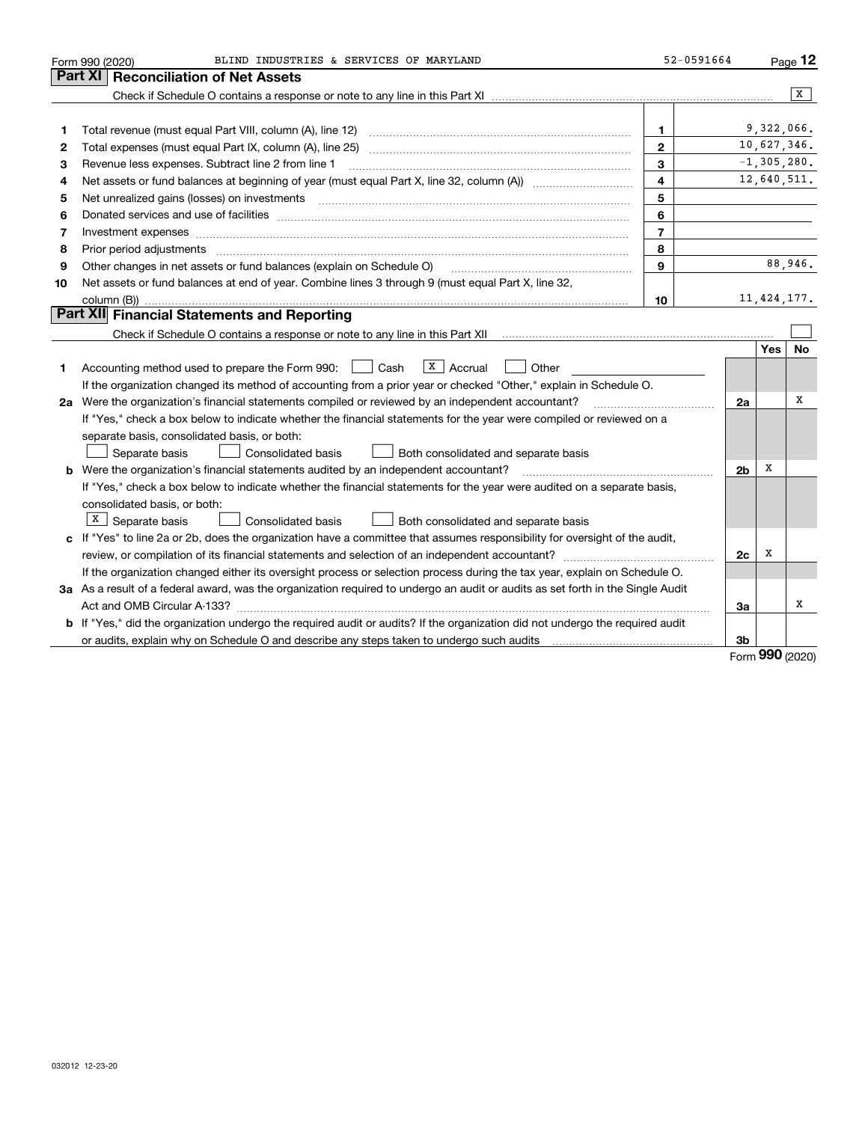|    | BLIND INDUSTRIES & SERVICES OF MARYLAND<br>Form 990 (2020)                                                                      | 52-0591664     |                |     | Page 12         |
|----|---------------------------------------------------------------------------------------------------------------------------------|----------------|----------------|-----|-----------------|
|    | Part XI<br><b>Reconciliation of Net Assets</b>                                                                                  |                |                |     |                 |
|    |                                                                                                                                 |                |                |     | $\overline{X}$  |
|    |                                                                                                                                 |                |                |     |                 |
| 1  | Total revenue (must equal Part VIII, column (A), line 12)                                                                       | 1.             |                |     | 9,322,066.      |
| 2  |                                                                                                                                 | $\mathbf{2}$   |                |     | 10,627,346.     |
| з  | Revenue less expenses. Subtract line 2 from line 1                                                                              | 3              |                |     | $-1, 305, 280.$ |
| 4  |                                                                                                                                 | 4              |                |     | 12,640,511.     |
| 5  |                                                                                                                                 | 5              |                |     |                 |
| 6  |                                                                                                                                 | 6              |                |     |                 |
| 7  | Investment expenses www.communication.com/www.communication.com/www.communication.com/www.communication.com                     | $\overline{7}$ |                |     |                 |
| 8  | Prior period adjustments                                                                                                        | 8              |                |     |                 |
| 9  | Other changes in net assets or fund balances (explain on Schedule O)                                                            | 9              |                |     | 88,946.         |
| 10 | Net assets or fund balances at end of year. Combine lines 3 through 9 (must equal Part X, line 32,                              |                |                |     |                 |
|    |                                                                                                                                 | 10             |                |     | 11, 424, 177.   |
|    | Part XII Financial Statements and Reporting                                                                                     |                |                |     |                 |
|    |                                                                                                                                 |                |                |     |                 |
|    |                                                                                                                                 |                |                | Yes | No              |
| 1  | $ X $ Accrual<br>Accounting method used to prepare the Form 990: <u>I</u> Cash<br>Other                                         |                |                |     |                 |
|    | If the organization changed its method of accounting from a prior year or checked "Other," explain in Schedule O.               |                |                |     |                 |
|    | 2a Were the organization's financial statements compiled or reviewed by an independent accountant?                              |                | 2a             |     | х               |
|    | If "Yes," check a box below to indicate whether the financial statements for the year were compiled or reviewed on a            |                |                |     |                 |
|    | separate basis, consolidated basis, or both:                                                                                    |                |                |     |                 |
|    | Separate basis<br>Both consolidated and separate basis<br>Consolidated basis                                                    |                |                |     |                 |
|    | <b>b</b> Were the organization's financial statements audited by an independent accountant?                                     |                | 2 <sub>b</sub> | х   |                 |
|    | If "Yes," check a box below to indicate whether the financial statements for the year were audited on a separate basis,         |                |                |     |                 |
|    | consolidated basis, or both:                                                                                                    |                |                |     |                 |
|    | $X$ Separate basis<br>Consolidated basis<br>Both consolidated and separate basis                                                |                |                |     |                 |
|    | c If "Yes" to line 2a or 2b, does the organization have a committee that assumes responsibility for oversight of the audit,     |                |                |     |                 |
|    |                                                                                                                                 |                | 2c             | x   |                 |
|    | If the organization changed either its oversight process or selection process during the tax year, explain on Schedule O.       |                |                |     |                 |
|    | 3a As a result of a federal award, was the organization required to undergo an audit or audits as set forth in the Single Audit |                |                |     |                 |
|    |                                                                                                                                 |                | За             |     | х               |
|    | b If "Yes," did the organization undergo the required audit or audits? If the organization did not undergo the required audit   |                |                |     |                 |
|    |                                                                                                                                 |                | 3b             |     |                 |

Form (2020) **990**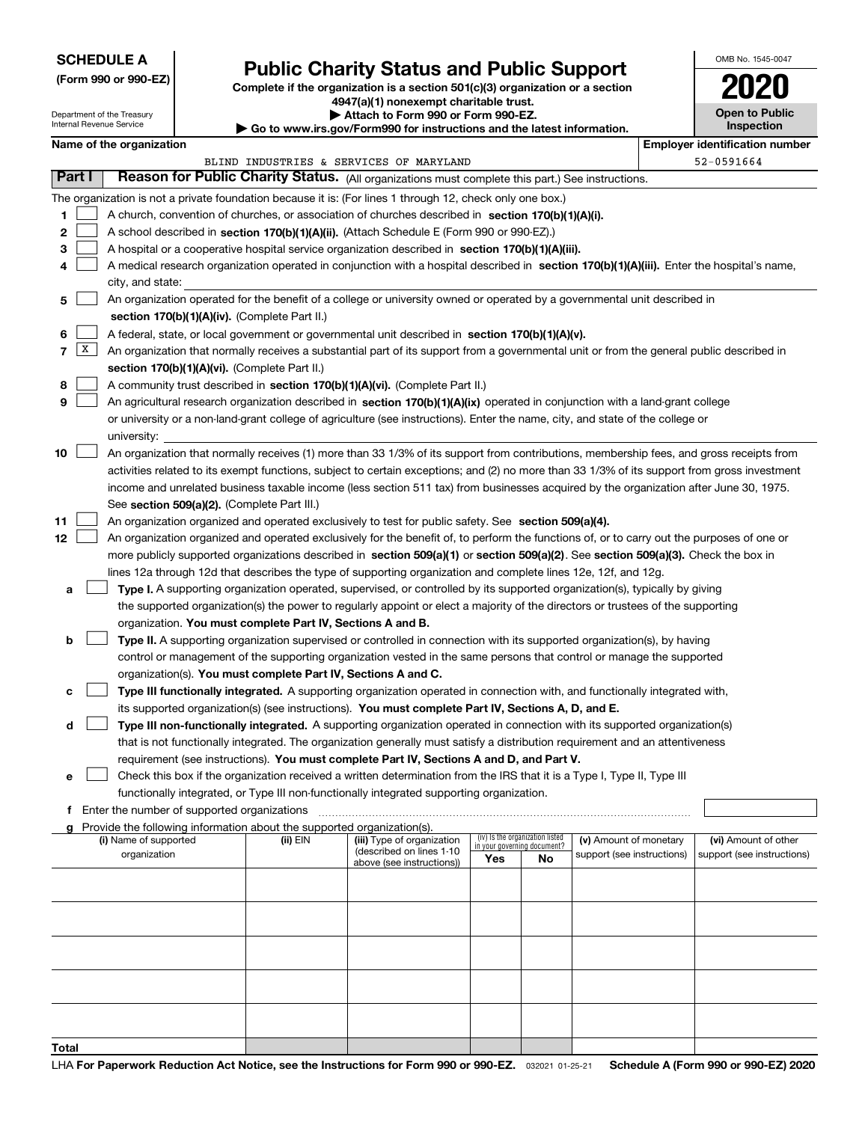## **SCHEDULE A**

**(Form 990 or 990-EZ)**

# **Public Charity Status and Public Support**

**Complete if the organization is a section 501(c)(3) organization or a section 4947(a)(1) nonexempt charitable trust.**

| Attach to Form 990 or Form 990-EZ. |  |  |  |
|------------------------------------|--|--|--|
|------------------------------------|--|--|--|

| OMB No. 1545-0047     |
|-----------------------|
| 2020                  |
| <b>Open to Public</b> |

|        |   | Department of the Treasury<br>Internal Revenue Service |                                                                        | ▶ Attach to Form 990 or Form 990-EZ.<br>Go to www.irs.gov/Form990 for instructions and the latest information.                                                                                                                                                                           |                             |                                 |                            | <b>Open to Public</b><br>Inspection   |
|--------|---|--------------------------------------------------------|------------------------------------------------------------------------|------------------------------------------------------------------------------------------------------------------------------------------------------------------------------------------------------------------------------------------------------------------------------------------|-----------------------------|---------------------------------|----------------------------|---------------------------------------|
|        |   | Name of the organization                               |                                                                        |                                                                                                                                                                                                                                                                                          |                             |                                 |                            | <b>Employer identification number</b> |
|        |   |                                                        |                                                                        | BLIND INDUSTRIES & SERVICES OF MARYLAND                                                                                                                                                                                                                                                  |                             |                                 |                            | 52-0591664                            |
| Part I |   |                                                        |                                                                        | Reason for Public Charity Status. (All organizations must complete this part.) See instructions.                                                                                                                                                                                         |                             |                                 |                            |                                       |
|        |   |                                                        |                                                                        | The organization is not a private foundation because it is: (For lines 1 through 12, check only one box.)                                                                                                                                                                                |                             |                                 |                            |                                       |
| 1      |   |                                                        |                                                                        | A church, convention of churches, or association of churches described in section 170(b)(1)(A)(i).                                                                                                                                                                                       |                             |                                 |                            |                                       |
| 2      |   |                                                        |                                                                        | A school described in section 170(b)(1)(A)(ii). (Attach Schedule E (Form 990 or 990-EZ).)                                                                                                                                                                                                |                             |                                 |                            |                                       |
| з      |   |                                                        |                                                                        | A hospital or a cooperative hospital service organization described in section $170(b)(1)(A)(iii)$ .                                                                                                                                                                                     |                             |                                 |                            |                                       |
| 4      |   |                                                        |                                                                        | A medical research organization operated in conjunction with a hospital described in section 170(b)(1)(A)(iii). Enter the hospital's name,                                                                                                                                               |                             |                                 |                            |                                       |
|        |   | city, and state:                                       |                                                                        |                                                                                                                                                                                                                                                                                          |                             |                                 |                            |                                       |
| 5      |   |                                                        |                                                                        | An organization operated for the benefit of a college or university owned or operated by a governmental unit described in                                                                                                                                                                |                             |                                 |                            |                                       |
|        |   |                                                        | section 170(b)(1)(A)(iv). (Complete Part II.)                          |                                                                                                                                                                                                                                                                                          |                             |                                 |                            |                                       |
| 6      |   |                                                        |                                                                        | A federal, state, or local government or governmental unit described in section 170(b)(1)(A)(v).                                                                                                                                                                                         |                             |                                 |                            |                                       |
| 7      | x |                                                        |                                                                        | An organization that normally receives a substantial part of its support from a governmental unit or from the general public described in                                                                                                                                                |                             |                                 |                            |                                       |
|        |   |                                                        | section 170(b)(1)(A)(vi). (Complete Part II.)                          |                                                                                                                                                                                                                                                                                          |                             |                                 |                            |                                       |
| 8      |   |                                                        |                                                                        | A community trust described in section 170(b)(1)(A)(vi). (Complete Part II.)                                                                                                                                                                                                             |                             |                                 |                            |                                       |
| 9      |   |                                                        |                                                                        | An agricultural research organization described in section 170(b)(1)(A)(ix) operated in conjunction with a land-grant college                                                                                                                                                            |                             |                                 |                            |                                       |
|        |   |                                                        |                                                                        | or university or a non-land-grant college of agriculture (see instructions). Enter the name, city, and state of the college or                                                                                                                                                           |                             |                                 |                            |                                       |
|        |   | university:                                            |                                                                        |                                                                                                                                                                                                                                                                                          |                             |                                 |                            |                                       |
| 10     |   |                                                        |                                                                        | An organization that normally receives (1) more than 33 1/3% of its support from contributions, membership fees, and gross receipts from<br>activities related to its exempt functions, subject to certain exceptions; and (2) no more than 33 1/3% of its support from gross investment |                             |                                 |                            |                                       |
|        |   |                                                        |                                                                        | income and unrelated business taxable income (less section 511 tax) from businesses acquired by the organization after June 30, 1975.                                                                                                                                                    |                             |                                 |                            |                                       |
|        |   |                                                        | See section 509(a)(2). (Complete Part III.)                            |                                                                                                                                                                                                                                                                                          |                             |                                 |                            |                                       |
| 11     |   |                                                        |                                                                        | An organization organized and operated exclusively to test for public safety. See section 509(a)(4).                                                                                                                                                                                     |                             |                                 |                            |                                       |
| 12     |   |                                                        |                                                                        | An organization organized and operated exclusively for the benefit of, to perform the functions of, or to carry out the purposes of one or                                                                                                                                               |                             |                                 |                            |                                       |
|        |   |                                                        |                                                                        | more publicly supported organizations described in section 509(a)(1) or section 509(a)(2). See section 509(a)(3). Check the box in                                                                                                                                                       |                             |                                 |                            |                                       |
|        |   |                                                        |                                                                        | lines 12a through 12d that describes the type of supporting organization and complete lines 12e, 12f, and 12g.                                                                                                                                                                           |                             |                                 |                            |                                       |
| а      |   |                                                        |                                                                        | Type I. A supporting organization operated, supervised, or controlled by its supported organization(s), typically by giving                                                                                                                                                              |                             |                                 |                            |                                       |
|        |   |                                                        |                                                                        | the supported organization(s) the power to regularly appoint or elect a majority of the directors or trustees of the supporting                                                                                                                                                          |                             |                                 |                            |                                       |
|        |   |                                                        | organization. You must complete Part IV, Sections A and B.             |                                                                                                                                                                                                                                                                                          |                             |                                 |                            |                                       |
| b      |   |                                                        |                                                                        | Type II. A supporting organization supervised or controlled in connection with its supported organization(s), by having                                                                                                                                                                  |                             |                                 |                            |                                       |
|        |   |                                                        |                                                                        | control or management of the supporting organization vested in the same persons that control or manage the supported                                                                                                                                                                     |                             |                                 |                            |                                       |
|        |   |                                                        | organization(s). You must complete Part IV, Sections A and C.          |                                                                                                                                                                                                                                                                                          |                             |                                 |                            |                                       |
| с      |   |                                                        |                                                                        | Type III functionally integrated. A supporting organization operated in connection with, and functionally integrated with,                                                                                                                                                               |                             |                                 |                            |                                       |
|        |   |                                                        |                                                                        | its supported organization(s) (see instructions). You must complete Part IV, Sections A, D, and E.                                                                                                                                                                                       |                             |                                 |                            |                                       |
| d      |   |                                                        |                                                                        | Type III non-functionally integrated. A supporting organization operated in connection with its supported organization(s)                                                                                                                                                                |                             |                                 |                            |                                       |
|        |   |                                                        |                                                                        | that is not functionally integrated. The organization generally must satisfy a distribution requirement and an attentiveness                                                                                                                                                             |                             |                                 |                            |                                       |
|        |   |                                                        |                                                                        | requirement (see instructions). You must complete Part IV, Sections A and D, and Part V.                                                                                                                                                                                                 |                             |                                 |                            |                                       |
| е      |   |                                                        |                                                                        | Check this box if the organization received a written determination from the IRS that it is a Type I, Type II, Type III<br>functionally integrated, or Type III non-functionally integrated supporting organization.                                                                     |                             |                                 |                            |                                       |
| f      |   | Enter the number of supported organizations            |                                                                        |                                                                                                                                                                                                                                                                                          |                             |                                 |                            |                                       |
|        |   |                                                        | Provide the following information about the supported organization(s). |                                                                                                                                                                                                                                                                                          |                             |                                 |                            |                                       |
|        |   | (i) Name of supported                                  | (ii) EIN                                                               | (iii) Type of organization                                                                                                                                                                                                                                                               | in your governing document? | (iv) Is the organization listed | (v) Amount of monetary     | (vi) Amount of other                  |
|        |   | organization                                           |                                                                        | (described on lines 1-10<br>above (see instructions))                                                                                                                                                                                                                                    | Yes                         | No                              | support (see instructions) | support (see instructions)            |
|        |   |                                                        |                                                                        |                                                                                                                                                                                                                                                                                          |                             |                                 |                            |                                       |
|        |   |                                                        |                                                                        |                                                                                                                                                                                                                                                                                          |                             |                                 |                            |                                       |
|        |   |                                                        |                                                                        |                                                                                                                                                                                                                                                                                          |                             |                                 |                            |                                       |
|        |   |                                                        |                                                                        |                                                                                                                                                                                                                                                                                          |                             |                                 |                            |                                       |
|        |   |                                                        |                                                                        |                                                                                                                                                                                                                                                                                          |                             |                                 |                            |                                       |
|        |   |                                                        |                                                                        |                                                                                                                                                                                                                                                                                          |                             |                                 |                            |                                       |
|        |   |                                                        |                                                                        |                                                                                                                                                                                                                                                                                          |                             |                                 |                            |                                       |
|        |   |                                                        |                                                                        |                                                                                                                                                                                                                                                                                          |                             |                                 |                            |                                       |
|        |   |                                                        |                                                                        |                                                                                                                                                                                                                                                                                          |                             |                                 |                            |                                       |
| Total  |   |                                                        |                                                                        |                                                                                                                                                                                                                                                                                          |                             |                                 |                            |                                       |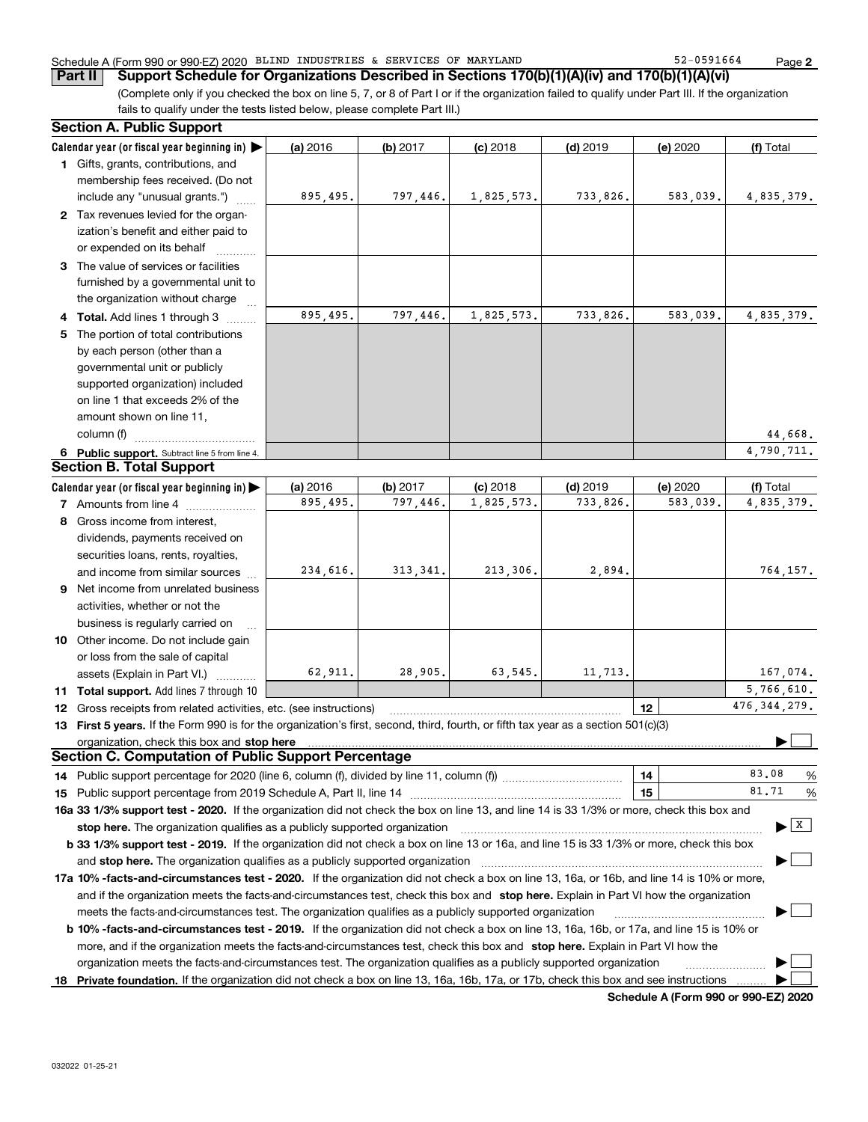## Schedule A (Form 990 or 990-EZ) 2020 BLIND INDUSTRIES & SERVICES OF MARYLAND 52-0591664 Page

(Complete only if you checked the box on line 5, 7, or 8 of Part I or if the organization failed to qualify under Part III. If the organization fails to qualify under the tests listed below, please complete Part III.) **Part II** Support Schedule for Organizations Described in Sections 170(b)(1)(A)(iv) and 170(b)(1)(A)(vi)

|   | <b>Section A. Public Support</b>                                                                                                               |          |            |            |            |          |                                       |
|---|------------------------------------------------------------------------------------------------------------------------------------------------|----------|------------|------------|------------|----------|---------------------------------------|
|   | Calendar year (or fiscal year beginning in) $\blacktriangleright$                                                                              | (a) 2016 | $(b)$ 2017 | $(c)$ 2018 | $(d)$ 2019 | (e) 2020 | (f) Total                             |
|   | 1 Gifts, grants, contributions, and                                                                                                            |          |            |            |            |          |                                       |
|   | membership fees received. (Do not                                                                                                              |          |            |            |            |          |                                       |
|   | include any "unusual grants.")                                                                                                                 | 895,495. | 797,446.   | 1,825,573. | 733,826.   | 583,039. | 4,835,379.                            |
|   | 2 Tax revenues levied for the organ-                                                                                                           |          |            |            |            |          |                                       |
|   | ization's benefit and either paid to                                                                                                           |          |            |            |            |          |                                       |
|   | or expended on its behalf                                                                                                                      |          |            |            |            |          |                                       |
|   | 3 The value of services or facilities                                                                                                          |          |            |            |            |          |                                       |
|   | furnished by a governmental unit to                                                                                                            |          |            |            |            |          |                                       |
|   | the organization without charge                                                                                                                |          |            |            |            |          |                                       |
|   | 4 Total. Add lines 1 through 3                                                                                                                 | 895,495. | 797,446.   | 1,825,573. | 733,826.   | 583,039. | 4,835,379.                            |
| 5 | The portion of total contributions                                                                                                             |          |            |            |            |          |                                       |
|   | by each person (other than a                                                                                                                   |          |            |            |            |          |                                       |
|   | governmental unit or publicly                                                                                                                  |          |            |            |            |          |                                       |
|   | supported organization) included                                                                                                               |          |            |            |            |          |                                       |
|   | on line 1 that exceeds 2% of the                                                                                                               |          |            |            |            |          |                                       |
|   | amount shown on line 11,                                                                                                                       |          |            |            |            |          |                                       |
|   | column (f)                                                                                                                                     |          |            |            |            |          | 44,668.                               |
|   | 6 Public support. Subtract line 5 from line 4.                                                                                                 |          |            |            |            |          | 4,790,711.                            |
|   | <b>Section B. Total Support</b>                                                                                                                |          |            |            |            |          |                                       |
|   | Calendar year (or fiscal year beginning in)                                                                                                    | (a) 2016 | (b) 2017   | $(c)$ 2018 | $(d)$ 2019 | (e) 2020 | (f) Total                             |
|   | 7 Amounts from line 4                                                                                                                          | 895,495. | 797,446.   | 1,825,573. | 733.826.   | 583.039. | 4,835,379.                            |
|   | 8 Gross income from interest,                                                                                                                  |          |            |            |            |          |                                       |
|   | dividends, payments received on                                                                                                                |          |            |            |            |          |                                       |
|   | securities loans, rents, royalties,                                                                                                            |          |            |            |            |          |                                       |
|   | and income from similar sources                                                                                                                | 234,616. | 313, 341.  | 213,306.   | 2,894.     |          | 764,157.                              |
|   | 9 Net income from unrelated business                                                                                                           |          |            |            |            |          |                                       |
|   | activities, whether or not the                                                                                                                 |          |            |            |            |          |                                       |
|   | business is regularly carried on                                                                                                               |          |            |            |            |          |                                       |
|   | 10 Other income. Do not include gain                                                                                                           |          |            |            |            |          |                                       |
|   | or loss from the sale of capital                                                                                                               |          |            |            |            |          |                                       |
|   | assets (Explain in Part VI.)                                                                                                                   | 62,911.  | 28,905.    | 63,545.    | 11,713.    |          | 167,074.                              |
|   | 11 Total support. Add lines 7 through 10                                                                                                       |          |            |            |            |          | 5,766,610.                            |
|   | <b>12</b> Gross receipts from related activities, etc. (see instructions)                                                                      |          |            |            |            | 12       | 476, 344, 279.                        |
|   | 13 First 5 years. If the Form 990 is for the organization's first, second, third, fourth, or fifth tax year as a section 501(c)(3)             |          |            |            |            |          |                                       |
|   | organization, check this box and stop here                                                                                                     |          |            |            |            |          |                                       |
|   | <b>Section C. Computation of Public Support Percentage</b>                                                                                     |          |            |            |            |          |                                       |
|   |                                                                                                                                                |          |            |            |            | 14       | 83.08<br>%                            |
|   |                                                                                                                                                |          |            |            |            | 15       | 81.71<br>%                            |
|   | 16a 33 1/3% support test - 2020. If the organization did not check the box on line 13, and line 14 is 33 1/3% or more, check this box and      |          |            |            |            |          |                                       |
|   | stop here. The organization qualifies as a publicly supported organization                                                                     |          |            |            |            |          | $\blacktriangleright$ $\mid$ X $\mid$ |
|   | b 33 1/3% support test - 2019. If the organization did not check a box on line 13 or 16a, and line 15 is 33 1/3% or more, check this box       |          |            |            |            |          |                                       |
|   | and stop here. The organization qualifies as a publicly supported organization                                                                 |          |            |            |            |          |                                       |
|   | 17a 10% -facts-and-circumstances test - 2020. If the organization did not check a box on line 13, 16a, or 16b, and line 14 is 10% or more,     |          |            |            |            |          |                                       |
|   | and if the organization meets the facts-and-circumstances test, check this box and stop here. Explain in Part VI how the organization          |          |            |            |            |          |                                       |
|   | meets the facts-and-circumstances test. The organization qualifies as a publicly supported organization                                        |          |            |            |            |          |                                       |
|   | <b>b 10% -facts-and-circumstances test - 2019.</b> If the organization did not check a box on line 13, 16a, 16b, or 17a, and line 15 is 10% or |          |            |            |            |          |                                       |
|   | more, and if the organization meets the facts-and-circumstances test, check this box and stop here. Explain in Part VI how the                 |          |            |            |            |          |                                       |
|   | organization meets the facts-and-circumstances test. The organization qualifies as a publicly supported organization                           |          |            |            |            |          |                                       |
|   | 18 Private foundation. If the organization did not check a box on line 13, 16a, 16b, 17a, or 17b, check this box and see instructions          |          |            |            |            |          |                                       |

**Schedule A (Form 990 or 990-EZ) 2020**

**2**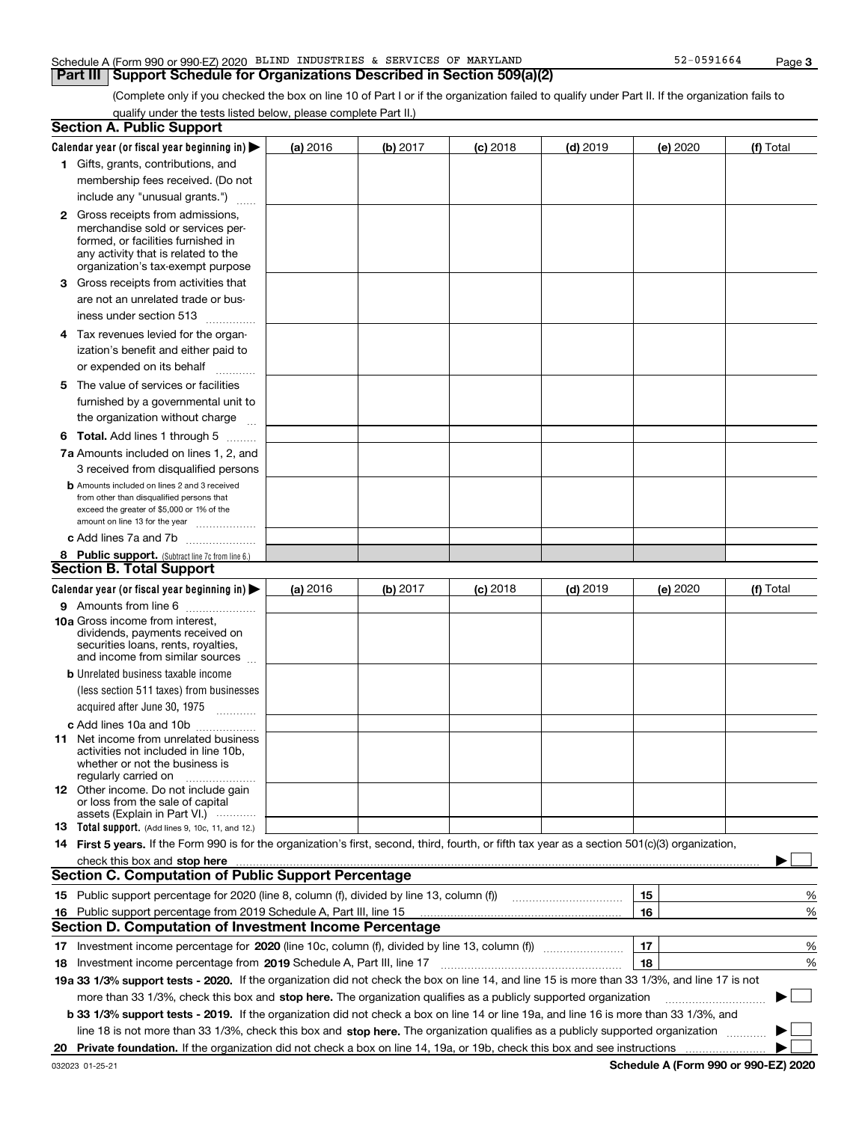|  | Schedule A (Form 990 or 990-EZ) 2020 |  | BLIND INDUSTRIES & SERVICES OF MARYLAND |  |  | 1664<br><b>CO1</b><br>∸ ∠ ر_<br>. U . J . J | Page |  |
|--|--------------------------------------|--|-----------------------------------------|--|--|---------------------------------------------|------|--|
|--|--------------------------------------|--|-----------------------------------------|--|--|---------------------------------------------|------|--|

## **Part III Support Schedule for Organizations Described in Section 509(a)(2)**

(Complete only if you checked the box on line 10 of Part I or if the organization failed to qualify under Part II. If the organization fails to qualify under the tests listed below, please complete Part II.)

|    | <b>Section A. Public Support</b>                                                                                                                                                                                                   |          |            |            |            |          |           |
|----|------------------------------------------------------------------------------------------------------------------------------------------------------------------------------------------------------------------------------------|----------|------------|------------|------------|----------|-----------|
|    | Calendar year (or fiscal year beginning in) $\blacktriangleright$                                                                                                                                                                  | (a) 2016 | (b) 2017   | $(c)$ 2018 | $(d)$ 2019 | (e) 2020 | (f) Total |
|    | <b>1</b> Gifts, grants, contributions, and                                                                                                                                                                                         |          |            |            |            |          |           |
|    | membership fees received. (Do not                                                                                                                                                                                                  |          |            |            |            |          |           |
|    | include any "unusual grants.")                                                                                                                                                                                                     |          |            |            |            |          |           |
|    | <b>2</b> Gross receipts from admissions,                                                                                                                                                                                           |          |            |            |            |          |           |
|    | merchandise sold or services per-                                                                                                                                                                                                  |          |            |            |            |          |           |
|    | formed, or facilities furnished in                                                                                                                                                                                                 |          |            |            |            |          |           |
|    | any activity that is related to the<br>organization's tax-exempt purpose                                                                                                                                                           |          |            |            |            |          |           |
|    | 3 Gross receipts from activities that                                                                                                                                                                                              |          |            |            |            |          |           |
|    | are not an unrelated trade or bus-                                                                                                                                                                                                 |          |            |            |            |          |           |
|    | iness under section 513                                                                                                                                                                                                            |          |            |            |            |          |           |
|    | 4 Tax revenues levied for the organ-                                                                                                                                                                                               |          |            |            |            |          |           |
|    | ization's benefit and either paid to                                                                                                                                                                                               |          |            |            |            |          |           |
|    | or expended on its behalf<br>.                                                                                                                                                                                                     |          |            |            |            |          |           |
|    | 5 The value of services or facilities                                                                                                                                                                                              |          |            |            |            |          |           |
|    | furnished by a governmental unit to                                                                                                                                                                                                |          |            |            |            |          |           |
|    | the organization without charge                                                                                                                                                                                                    |          |            |            |            |          |           |
|    | <b>6 Total.</b> Add lines 1 through 5                                                                                                                                                                                              |          |            |            |            |          |           |
|    | 7a Amounts included on lines 1, 2, and                                                                                                                                                                                             |          |            |            |            |          |           |
|    | 3 received from disqualified persons                                                                                                                                                                                               |          |            |            |            |          |           |
|    | <b>b</b> Amounts included on lines 2 and 3 received                                                                                                                                                                                |          |            |            |            |          |           |
|    | from other than disqualified persons that                                                                                                                                                                                          |          |            |            |            |          |           |
|    | exceed the greater of \$5,000 or 1% of the                                                                                                                                                                                         |          |            |            |            |          |           |
|    | amount on line 13 for the year                                                                                                                                                                                                     |          |            |            |            |          |           |
|    | c Add lines 7a and 7b                                                                                                                                                                                                              |          |            |            |            |          |           |
|    | 8 Public support. (Subtract line 7c from line 6.)<br><b>Section B. Total Support</b>                                                                                                                                               |          |            |            |            |          |           |
|    |                                                                                                                                                                                                                                    |          |            |            |            |          |           |
|    | Calendar year (or fiscal year beginning in) $\blacktriangleright$                                                                                                                                                                  | (a) 2016 | (b) $2017$ | $(c)$ 2018 | $(d)$ 2019 | (e) 2020 | (f) Total |
|    | 9 Amounts from line 6                                                                                                                                                                                                              |          |            |            |            |          |           |
|    | 10a Gross income from interest,<br>dividends, payments received on                                                                                                                                                                 |          |            |            |            |          |           |
|    | securities loans, rents, royalties,                                                                                                                                                                                                |          |            |            |            |          |           |
|    | and income from similar sources                                                                                                                                                                                                    |          |            |            |            |          |           |
|    | <b>b</b> Unrelated business taxable income                                                                                                                                                                                         |          |            |            |            |          |           |
|    | (less section 511 taxes) from businesses                                                                                                                                                                                           |          |            |            |            |          |           |
|    | acquired after June 30, 1975 [10001]                                                                                                                                                                                               |          |            |            |            |          |           |
|    | c Add lines 10a and 10b                                                                                                                                                                                                            |          |            |            |            |          |           |
|    | <b>11</b> Net income from unrelated business                                                                                                                                                                                       |          |            |            |            |          |           |
|    | activities not included in line 10b,<br>whether or not the business is                                                                                                                                                             |          |            |            |            |          |           |
|    | regularly carried on                                                                                                                                                                                                               |          |            |            |            |          |           |
|    | 12 Other income. Do not include gain                                                                                                                                                                                               |          |            |            |            |          |           |
|    | or loss from the sale of capital<br>assets (Explain in Part VI.)                                                                                                                                                                   |          |            |            |            |          |           |
|    | 13 Total support. (Add lines 9, 10c, 11, and 12.)                                                                                                                                                                                  |          |            |            |            |          |           |
|    | 14 First 5 years. If the Form 990 is for the organization's first, second, third, fourth, or fifth tax year as a section 501(c)(3) organization,                                                                                   |          |            |            |            |          |           |
|    | check this box and <b>stop here</b> with an international contract the state of the state of the state of the state of the state of the state of the state of the state of the state of the state of the state of the state of the |          |            |            |            |          |           |
|    | <b>Section C. Computation of Public Support Percentage</b>                                                                                                                                                                         |          |            |            |            |          |           |
|    | 15 Public support percentage for 2020 (line 8, column (f), divided by line 13, column (f))                                                                                                                                         |          |            |            |            | 15       | ℀         |
| 16 | Public support percentage from 2019 Schedule A, Part III, line 15                                                                                                                                                                  |          |            |            |            | 16       | %         |
|    | Section D. Computation of Investment Income Percentage                                                                                                                                                                             |          |            |            |            |          |           |
| 17 | Investment income percentage for 2020 (line 10c, column (f), divided by line 13, column (f))                                                                                                                                       |          |            |            |            | 17       | %         |
|    | 18 Investment income percentage from 2019 Schedule A, Part III, line 17                                                                                                                                                            |          |            |            |            | 18       | %         |
|    | 19a 33 1/3% support tests - 2020. If the organization did not check the box on line 14, and line 15 is more than 33 1/3%, and line 17 is not                                                                                       |          |            |            |            |          |           |
|    | more than 33 1/3%, check this box and stop here. The organization qualifies as a publicly supported organization                                                                                                                   |          |            |            |            |          | ▶         |
|    | b 33 1/3% support tests - 2019. If the organization did not check a box on line 14 or line 19a, and line 16 is more than 33 1/3%, and                                                                                              |          |            |            |            |          |           |
|    | line 18 is not more than 33 1/3%, check this box and stop here. The organization qualifies as a publicly supported organization                                                                                                    |          |            |            |            |          |           |
|    |                                                                                                                                                                                                                                    |          |            |            |            |          |           |
| 20 |                                                                                                                                                                                                                                    |          |            |            |            |          |           |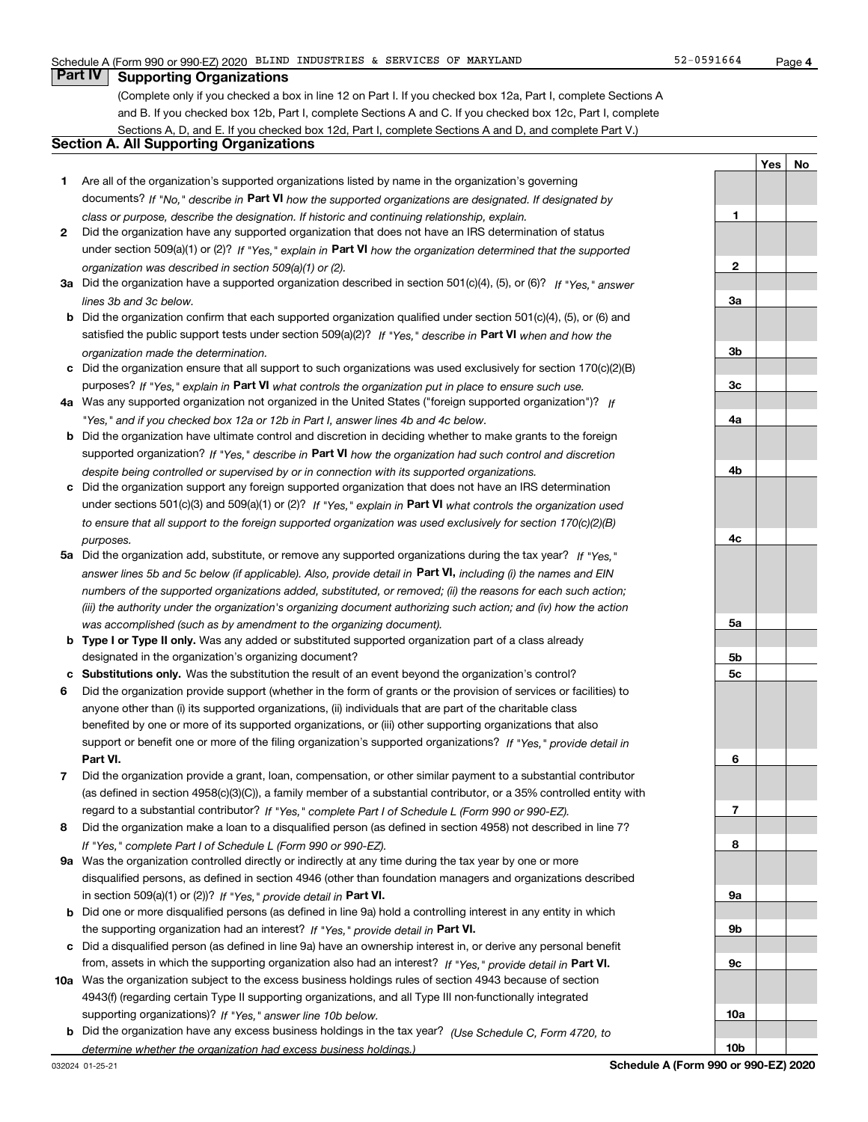**1**

**YesNo**

## **Part IV Supporting Organizations**

(Complete only if you checked a box in line 12 on Part I. If you checked box 12a, Part I, complete Sections A and B. If you checked box 12b, Part I, complete Sections A and C. If you checked box 12c, Part I, complete Sections A, D, and E. If you checked box 12d, Part I, complete Sections A and D, and complete Part V.)

## **Section A. All Supporting Organizations**

- **1** Are all of the organization's supported organizations listed by name in the organization's governing documents? If "No," describe in **Part VI** how the supported organizations are designated. If designated by *class or purpose, describe the designation. If historic and continuing relationship, explain.*
- **2** Did the organization have any supported organization that does not have an IRS determination of status under section 509(a)(1) or (2)? If "Yes," explain in Part VI how the organization determined that the supported *organization was described in section 509(a)(1) or (2).*
- **3a** Did the organization have a supported organization described in section 501(c)(4), (5), or (6)? If "Yes," answer *lines 3b and 3c below.*
- **b** Did the organization confirm that each supported organization qualified under section 501(c)(4), (5), or (6) and satisfied the public support tests under section 509(a)(2)? If "Yes," describe in **Part VI** when and how the *organization made the determination.*
- **c**Did the organization ensure that all support to such organizations was used exclusively for section 170(c)(2)(B) purposes? If "Yes," explain in **Part VI** what controls the organization put in place to ensure such use.
- **4a***If* Was any supported organization not organized in the United States ("foreign supported organization")? *"Yes," and if you checked box 12a or 12b in Part I, answer lines 4b and 4c below.*
- **b** Did the organization have ultimate control and discretion in deciding whether to make grants to the foreign supported organization? If "Yes," describe in **Part VI** how the organization had such control and discretion *despite being controlled or supervised by or in connection with its supported organizations.*
- **c** Did the organization support any foreign supported organization that does not have an IRS determination under sections 501(c)(3) and 509(a)(1) or (2)? If "Yes," explain in **Part VI** what controls the organization used *to ensure that all support to the foreign supported organization was used exclusively for section 170(c)(2)(B) purposes.*
- **5a***If "Yes,"* Did the organization add, substitute, or remove any supported organizations during the tax year? answer lines 5b and 5c below (if applicable). Also, provide detail in **Part VI,** including (i) the names and EIN *numbers of the supported organizations added, substituted, or removed; (ii) the reasons for each such action; (iii) the authority under the organization's organizing document authorizing such action; and (iv) how the action was accomplished (such as by amendment to the organizing document).*
- **b** Type I or Type II only. Was any added or substituted supported organization part of a class already designated in the organization's organizing document?
- **cSubstitutions only.**  Was the substitution the result of an event beyond the organization's control?
- **6** Did the organization provide support (whether in the form of grants or the provision of services or facilities) to **Part VI.** *If "Yes," provide detail in* support or benefit one or more of the filing organization's supported organizations? anyone other than (i) its supported organizations, (ii) individuals that are part of the charitable class benefited by one or more of its supported organizations, or (iii) other supporting organizations that also
- **7**Did the organization provide a grant, loan, compensation, or other similar payment to a substantial contributor *If "Yes," complete Part I of Schedule L (Form 990 or 990-EZ).* regard to a substantial contributor? (as defined in section 4958(c)(3)(C)), a family member of a substantial contributor, or a 35% controlled entity with
- **8** Did the organization make a loan to a disqualified person (as defined in section 4958) not described in line 7? *If "Yes," complete Part I of Schedule L (Form 990 or 990-EZ).*
- **9a** Was the organization controlled directly or indirectly at any time during the tax year by one or more in section 509(a)(1) or (2))? If "Yes," *provide detail in* <code>Part VI.</code> disqualified persons, as defined in section 4946 (other than foundation managers and organizations described
- **b** Did one or more disqualified persons (as defined in line 9a) hold a controlling interest in any entity in which the supporting organization had an interest? If "Yes," provide detail in P**art VI**.
- **c**Did a disqualified person (as defined in line 9a) have an ownership interest in, or derive any personal benefit from, assets in which the supporting organization also had an interest? If "Yes," provide detail in P**art VI.**
- **10a** Was the organization subject to the excess business holdings rules of section 4943 because of section supporting organizations)? If "Yes," answer line 10b below. 4943(f) (regarding certain Type II supporting organizations, and all Type III non-functionally integrated
- **b** Did the organization have any excess business holdings in the tax year? (Use Schedule C, Form 4720, to *determine whether the organization had excess business holdings.)*

**23a3b3c4a4b4c5a5b5c6789a 9b9c**

**10a**

**10b**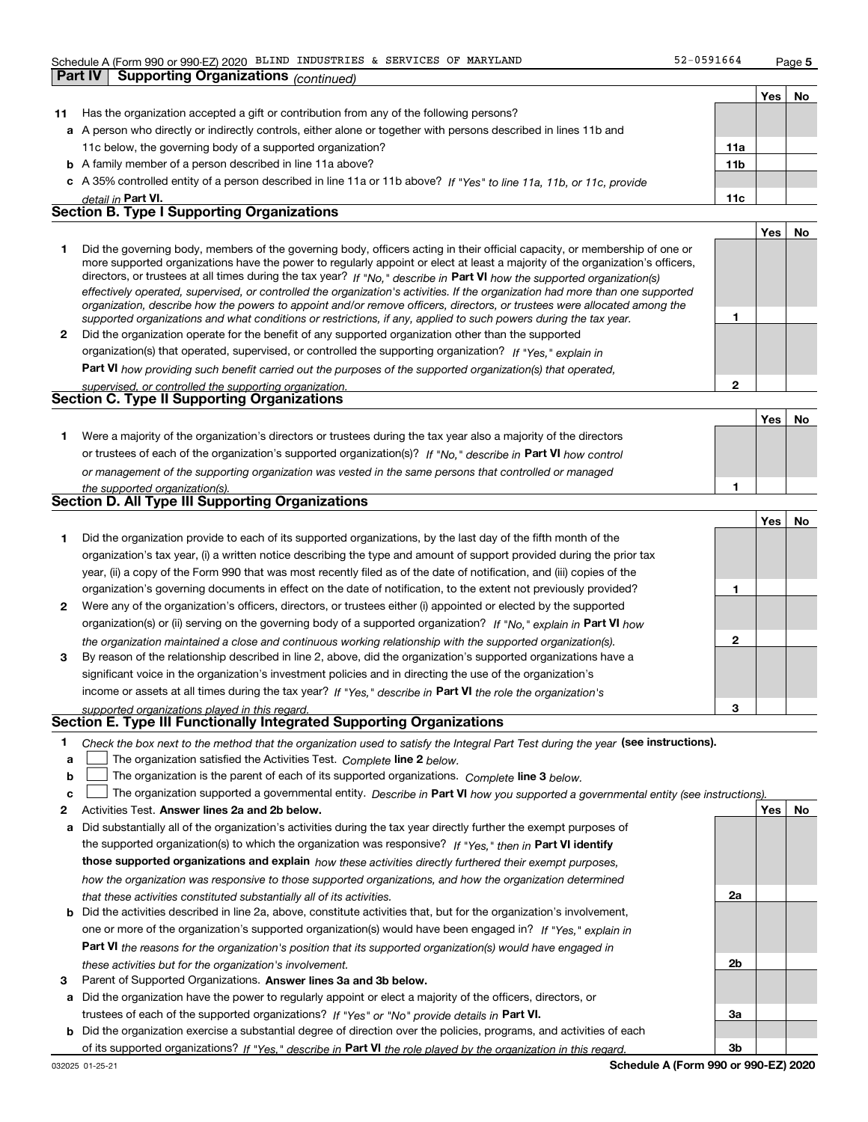## Schedule A (Form 990 or 990-EZ) 2020 BLIND INDUSTRIES & SERVICES OF MARYLAND 52-0591664 Page

| 52-0591664 | Page 5 |
|------------|--------|
|------------|--------|

**1**

**2**

|    |                                                                                                                      |                 | Yes | No |
|----|----------------------------------------------------------------------------------------------------------------------|-----------------|-----|----|
| 11 | Has the organization accepted a gift or contribution from any of the following persons?                              |                 |     |    |
|    | a A person who directly or indirectly controls, either alone or together with persons described in lines 11b and     |                 |     |    |
|    | 11c below, the governing body of a supported organization?                                                           | 11a             |     |    |
|    | <b>b</b> A family member of a person described in line 11a above?                                                    | 11 <sub>b</sub> |     |    |
|    | c A 35% controlled entity of a person described in line 11a or 11b above? If "Yes" to line 11a, 11b, or 11c, provide |                 |     |    |
|    | detail in Part VI.                                                                                                   | 11c             |     |    |
|    | <b>Section B. Type I Supporting Organizations</b>                                                                    |                 |     |    |
|    |                                                                                                                      |                 | Yes | No |
|    |                                                                                                                      |                 |     |    |

|              | Did the governing body, members of the governing body, officers acting in their official capacity, or membership of one or<br>more supported organizations have the power to regularly appoint or elect at least a majority of the organization's officers,<br>directors, or trustees at all times during the tax year? If "No," describe in Part VI how the supported organization(s)<br>effectively operated, supervised, or controlled the organization's activities. If the organization had more than one supported<br>organization, describe how the powers to appoint and/or remove officers, directors, or trustees were allocated among the<br>supported organizations and what conditions or restrictions, if any, applied to such powers during the tax year. |  |
|--------------|--------------------------------------------------------------------------------------------------------------------------------------------------------------------------------------------------------------------------------------------------------------------------------------------------------------------------------------------------------------------------------------------------------------------------------------------------------------------------------------------------------------------------------------------------------------------------------------------------------------------------------------------------------------------------------------------------------------------------------------------------------------------------|--|
| $\mathbf{p}$ | Did the organization operate for the benefit of any supported organization other than the supported                                                                                                                                                                                                                                                                                                                                                                                                                                                                                                                                                                                                                                                                      |  |

*If "Yes," explain in* organization(s) that operated, supervised, or controlled the supporting organization?

**Part VI**  *how providing such benefit carried out the purposes of the supported organization(s) that operated,*

| supervised, or controlled the supporting organization. |  |
|--------------------------------------------------------|--|
| <b>Section C. Type II Supporting Organizations</b>     |  |

**Part IV Supporting Organizations** *(continued)*

|                                                                                                                  | Yes | No |
|------------------------------------------------------------------------------------------------------------------|-----|----|
| Were a majority of the organization's directors or trustees during the tax year also a majority of the directors |     |    |
| or trustees of each of the organization's supported organization(s)? If "No," describe in Part VI how control    |     |    |
| or management of the supporting organization was vested in the same persons that controlled or managed           |     |    |
| the supported organization(s)                                                                                    |     |    |

|  | Section D. All Type III Supporting Organizations |
|--|--------------------------------------------------|

|                |                                                                                                                        |   | Yes | No |
|----------------|------------------------------------------------------------------------------------------------------------------------|---|-----|----|
|                | Did the organization provide to each of its supported organizations, by the last day of the fifth month of the         |   |     |    |
|                | organization's tax year, (i) a written notice describing the type and amount of support provided during the prior tax  |   |     |    |
|                | year, (ii) a copy of the Form 990 that was most recently filed as of the date of notification, and (iii) copies of the |   |     |    |
|                | organization's governing documents in effect on the date of notification, to the extent not previously provided?       |   |     |    |
| $\overline{2}$ | Were any of the organization's officers, directors, or trustees either (i) appointed or elected by the supported       |   |     |    |
|                | organization(s) or (ii) serving on the governing body of a supported organization? If "No," explain in Part VI how     |   |     |    |
|                | the organization maintained a close and continuous working relationship with the supported organization(s).            | 2 |     |    |
| 3              | By reason of the relationship described in line 2, above, did the organization's supported organizations have a        |   |     |    |
|                | significant voice in the organization's investment policies and in directing the use of the organization's             |   |     |    |
|                | income or assets at all times during the tax year? If "Yes," describe in Part VI the role the organization's           |   |     |    |
|                | supported organizations played in this regard.                                                                         | 3 |     |    |

# *supported organizations played in this regard.* **Section E. Type III Functionally Integrated Supporting Organizations**

- **1**Check the box next to the method that the organization used to satisfy the Integral Part Test during the year (see instructions).
- **alinupy** The organization satisfied the Activities Test. Complete line 2 below.
- **b**The organization is the parent of each of its supported organizations. *Complete* line 3 *below.*  $\mathcal{L}^{\text{max}}$

|  |  | $\mathbf{c}$ The organization supported a governmental entity. Describe in Part VI how you supported a governmental entity (see instructions). |  |  |  |  |
|--|--|------------------------------------------------------------------------------------------------------------------------------------------------|--|--|--|--|
|--|--|------------------------------------------------------------------------------------------------------------------------------------------------|--|--|--|--|

- **2Answer lines 2a and 2b below. Yes No** Activities Test.
- **a** Did substantially all of the organization's activities during the tax year directly further the exempt purposes of the supported organization(s) to which the organization was responsive? If "Yes," then in **Part VI identify those supported organizations and explain**  *how these activities directly furthered their exempt purposes, how the organization was responsive to those supported organizations, and how the organization determined that these activities constituted substantially all of its activities.*
- **b** Did the activities described in line 2a, above, constitute activities that, but for the organization's involvement, **Part VI**  *the reasons for the organization's position that its supported organization(s) would have engaged in* one or more of the organization's supported organization(s) would have been engaged in? If "Yes," e*xplain in these activities but for the organization's involvement.*
- **3** Parent of Supported Organizations. Answer lines 3a and 3b below.
- **a** Did the organization have the power to regularly appoint or elect a majority of the officers, directors, or trustees of each of the supported organizations? If "Yes" or "No" provide details in **Part VI.**
- **b** Did the organization exercise a substantial degree of direction over the policies, programs, and activities of each of its supported organizations? If "Yes," describe in Part VI the role played by the organization in this regard.

**2a**

**2b**

**3a**

**3b**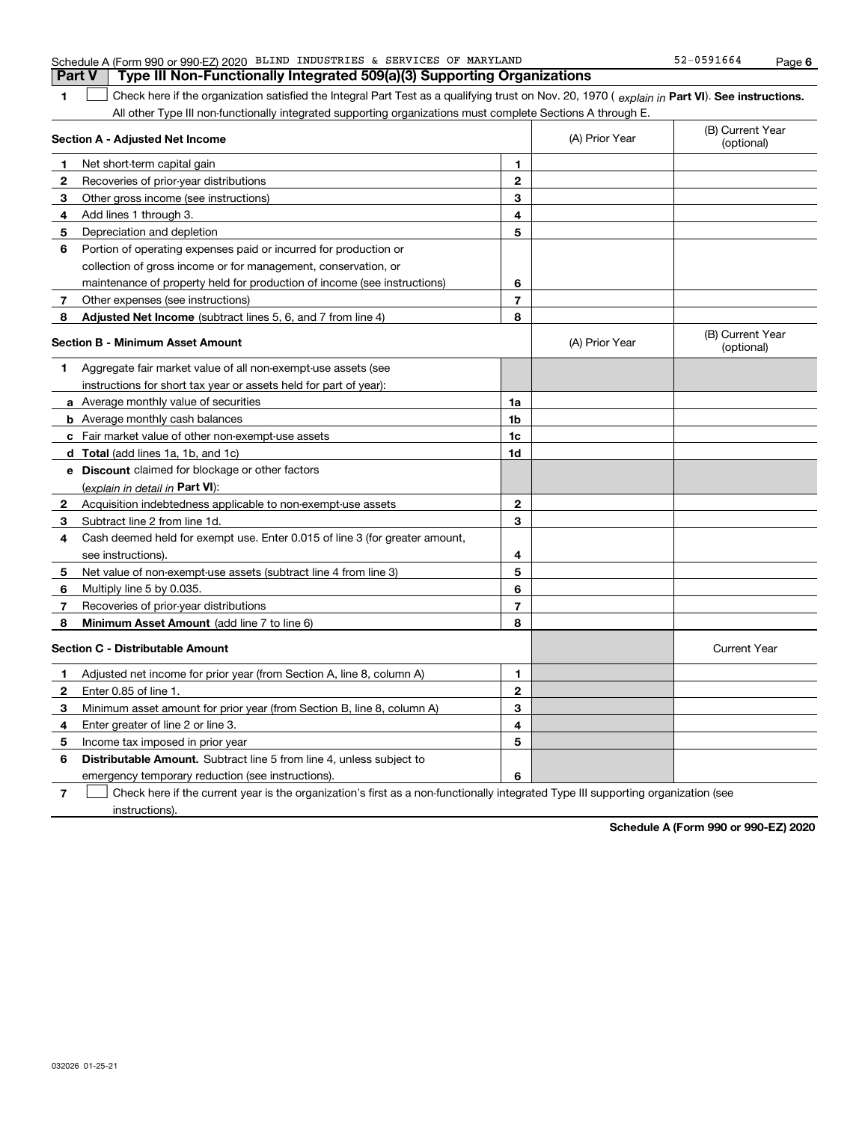| <b>Part V</b> | Type III Non-Functionally Integrated 509(a)(3) Supporting Organizations                                                                                                                                                                                   |                          |                |                                |
|---------------|-----------------------------------------------------------------------------------------------------------------------------------------------------------------------------------------------------------------------------------------------------------|--------------------------|----------------|--------------------------------|
| 1             | Check here if the organization satisfied the Integral Part Test as a qualifying trust on Nov. 20, 1970 (explain in Part VI). See instructions.                                                                                                            |                          |                |                                |
|               | All other Type III non-functionally integrated supporting organizations must complete Sections A through E.                                                                                                                                               |                          |                |                                |
|               | Section A - Adjusted Net Income                                                                                                                                                                                                                           |                          | (A) Prior Year | (B) Current Year<br>(optional) |
| 1             | Net short-term capital gain                                                                                                                                                                                                                               | 1                        |                |                                |
| 2             | Recoveries of prior-year distributions                                                                                                                                                                                                                    | $\mathbf{2}$             |                |                                |
| 3             | Other gross income (see instructions)                                                                                                                                                                                                                     | 3                        |                |                                |
| 4             | Add lines 1 through 3.                                                                                                                                                                                                                                    | 4                        |                |                                |
| 5             | Depreciation and depletion                                                                                                                                                                                                                                | 5                        |                |                                |
| 6             | Portion of operating expenses paid or incurred for production or                                                                                                                                                                                          |                          |                |                                |
|               | collection of gross income or for management, conservation, or                                                                                                                                                                                            |                          |                |                                |
|               | maintenance of property held for production of income (see instructions)                                                                                                                                                                                  | 6                        |                |                                |
| 7             | Other expenses (see instructions)                                                                                                                                                                                                                         | $\overline{\phantom{a}}$ |                |                                |
| 8             | Adjusted Net Income (subtract lines 5, 6, and 7 from line 4)                                                                                                                                                                                              | 8                        |                |                                |
|               | <b>Section B - Minimum Asset Amount</b>                                                                                                                                                                                                                   |                          | (A) Prior Year | (B) Current Year<br>(optional) |
| 1             | Aggregate fair market value of all non-exempt-use assets (see                                                                                                                                                                                             |                          |                |                                |
|               | instructions for short tax year or assets held for part of year):                                                                                                                                                                                         |                          |                |                                |
|               | 1a<br><b>a</b> Average monthly value of securities                                                                                                                                                                                                        |                          |                |                                |
|               | <b>b</b> Average monthly cash balances                                                                                                                                                                                                                    | 1 <sub>b</sub>           |                |                                |
|               | c Fair market value of other non-exempt-use assets                                                                                                                                                                                                        |                          |                |                                |
|               | d Total (add lines 1a, 1b, and 1c)                                                                                                                                                                                                                        | 1d                       |                |                                |
|               | <b>e</b> Discount claimed for blockage or other factors                                                                                                                                                                                                   |                          |                |                                |
|               | (explain in detail in Part VI):                                                                                                                                                                                                                           |                          |                |                                |
| 2             | Acquisition indebtedness applicable to non-exempt-use assets                                                                                                                                                                                              | $\mathbf{2}$             |                |                                |
| 3             | Subtract line 2 from line 1d.                                                                                                                                                                                                                             | 3                        |                |                                |
| 4             | Cash deemed held for exempt use. Enter 0.015 of line 3 (for greater amount,                                                                                                                                                                               |                          |                |                                |
|               | see instructions)                                                                                                                                                                                                                                         | 4                        |                |                                |
| 5             | Net value of non-exempt-use assets (subtract line 4 from line 3)                                                                                                                                                                                          | 5                        |                |                                |
| 6             | Multiply line 5 by 0.035.                                                                                                                                                                                                                                 | 6                        |                |                                |
| 7             | Recoveries of prior-year distributions                                                                                                                                                                                                                    | $\overline{7}$           |                |                                |
| 8             | Minimum Asset Amount (add line 7 to line 6)                                                                                                                                                                                                               | 8                        |                |                                |
|               | <b>Section C - Distributable Amount</b>                                                                                                                                                                                                                   |                          |                | <b>Current Year</b>            |
| 1             | Adjusted net income for prior year (from Section A, line 8, column A)                                                                                                                                                                                     | $\mathbf{1}$             |                |                                |
| 2             | Enter 0.85 of line 1.                                                                                                                                                                                                                                     | $\mathbf{2}$             |                |                                |
| З             | Minimum asset amount for prior year (from Section B, line 8, column A)                                                                                                                                                                                    | 3                        |                |                                |
| 4             | Enter greater of line 2 or line 3.                                                                                                                                                                                                                        | 4                        |                |                                |
| 5             | Income tax imposed in prior year                                                                                                                                                                                                                          | 5                        |                |                                |
| 6             | <b>Distributable Amount.</b> Subtract line 5 from line 4, unless subject to                                                                                                                                                                               |                          |                |                                |
|               | emergency temporary reduction (see instructions).                                                                                                                                                                                                         | 6                        |                |                                |
|               | Object to be considered to a consequence of the state of the state of the state of the state of the state of the state of the state of the state of the state of the state of the state of the state of the state of the state<br>$1.7 - 1.7 - 1.7 - 1.7$ |                          |                |                                |

**7** Check here if the current year is the organization's first as a non-functionally integrated Type III supporting organization (see instructions).

**Schedule A (Form 990 or 990-EZ) 2020**

#### Schedule A (Form 990 or 990-EZ) 2020 BLIND INDUSTRIES & SERVICES OF MARYLAND 52-0591664 Page BLIND INDUSTRIES & SERVICES OF MARYLAND 52-0591664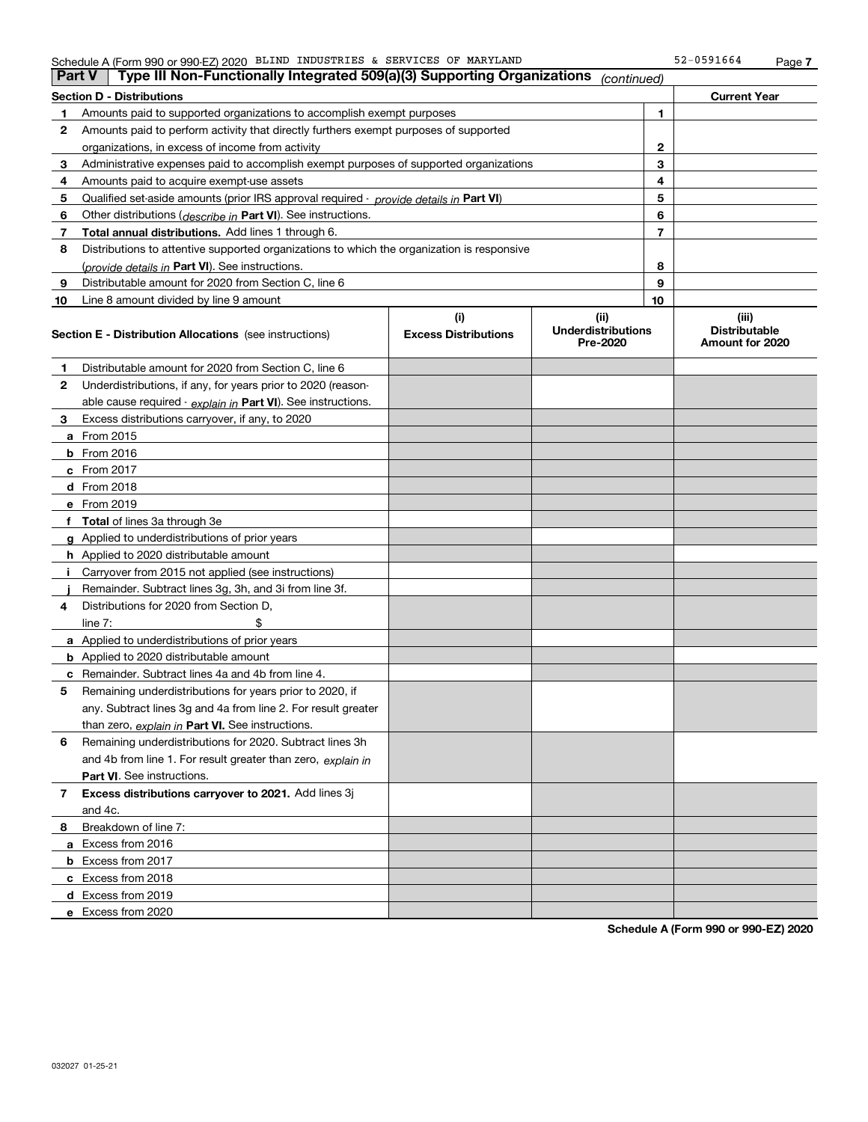#### Schedule A (Form 990 or 990-EZ) 2020 BLIND INDUSTRIES & SERVICES OF MARYLAND 52-0591664 Page

| ∣ Part V | Type III Non-Functionally Integrated 509(a)(3) Supporting Organizations                    |                             | (continued)                           |              |                                         |  |  |
|----------|--------------------------------------------------------------------------------------------|-----------------------------|---------------------------------------|--------------|-----------------------------------------|--|--|
|          | <b>Current Year</b><br>Section D - Distributions                                           |                             |                                       |              |                                         |  |  |
| 1        | Amounts paid to supported organizations to accomplish exempt purposes                      |                             | 1                                     |              |                                         |  |  |
| 2        | Amounts paid to perform activity that directly furthers exempt purposes of supported       |                             |                                       |              |                                         |  |  |
|          | organizations, in excess of income from activity                                           |                             |                                       | $\mathbf{2}$ |                                         |  |  |
| 3        | Administrative expenses paid to accomplish exempt purposes of supported organizations      |                             |                                       | 3            |                                         |  |  |
| 4        | Amounts paid to acquire exempt-use assets                                                  |                             |                                       | 4            |                                         |  |  |
| 5        | Qualified set-aside amounts (prior IRS approval required - provide details in Part VI)     |                             |                                       | 5            |                                         |  |  |
| 6        | Other distributions ( <i>describe in</i> Part VI). See instructions.                       |                             |                                       | 6            |                                         |  |  |
| 7        | Total annual distributions. Add lines 1 through 6.                                         |                             |                                       | 7            |                                         |  |  |
| 8        | Distributions to attentive supported organizations to which the organization is responsive |                             |                                       |              |                                         |  |  |
|          | ( <i>provide details in</i> Part VI). See instructions.                                    |                             |                                       | 8            |                                         |  |  |
| 9        | Distributable amount for 2020 from Section C, line 6                                       |                             |                                       | 9            |                                         |  |  |
| 10       | Line 8 amount divided by line 9 amount                                                     |                             |                                       | 10           |                                         |  |  |
|          |                                                                                            | (i)                         | (ii)                                  |              | (iii)                                   |  |  |
|          | <b>Section E - Distribution Allocations</b> (see instructions)                             | <b>Excess Distributions</b> | <b>Underdistributions</b><br>Pre-2020 |              | <b>Distributable</b><br>Amount for 2020 |  |  |
| 1        | Distributable amount for 2020 from Section C, line 6                                       |                             |                                       |              |                                         |  |  |
| 2        | Underdistributions, if any, for years prior to 2020 (reason-                               |                             |                                       |              |                                         |  |  |
|          | able cause required - explain in Part VI). See instructions.                               |                             |                                       |              |                                         |  |  |
| 3        | Excess distributions carryover, if any, to 2020                                            |                             |                                       |              |                                         |  |  |
|          | <b>a</b> From 2015                                                                         |                             |                                       |              |                                         |  |  |
|          | <b>b</b> From 2016                                                                         |                             |                                       |              |                                         |  |  |
|          | <b>c</b> From 2017                                                                         |                             |                                       |              |                                         |  |  |
|          | d From 2018                                                                                |                             |                                       |              |                                         |  |  |
|          | e From 2019                                                                                |                             |                                       |              |                                         |  |  |
|          | f Total of lines 3a through 3e                                                             |                             |                                       |              |                                         |  |  |
|          | g Applied to underdistributions of prior years                                             |                             |                                       |              |                                         |  |  |
|          | <b>h</b> Applied to 2020 distributable amount                                              |                             |                                       |              |                                         |  |  |
| Ť.       | Carryover from 2015 not applied (see instructions)                                         |                             |                                       |              |                                         |  |  |
|          | Remainder. Subtract lines 3g, 3h, and 3i from line 3f.                                     |                             |                                       |              |                                         |  |  |
| 4        | Distributions for 2020 from Section D,                                                     |                             |                                       |              |                                         |  |  |
|          | line $7:$                                                                                  |                             |                                       |              |                                         |  |  |
|          | a Applied to underdistributions of prior years                                             |                             |                                       |              |                                         |  |  |
|          | <b>b</b> Applied to 2020 distributable amount                                              |                             |                                       |              |                                         |  |  |
|          | c Remainder. Subtract lines 4a and 4b from line 4.                                         |                             |                                       |              |                                         |  |  |
| 5        | Remaining underdistributions for years prior to 2020, if                                   |                             |                                       |              |                                         |  |  |
|          | any. Subtract lines 3g and 4a from line 2. For result greater                              |                             |                                       |              |                                         |  |  |
|          | than zero, explain in Part VI. See instructions.                                           |                             |                                       |              |                                         |  |  |
| 6        | Remaining underdistributions for 2020. Subtract lines 3h                                   |                             |                                       |              |                                         |  |  |
|          | and 4b from line 1. For result greater than zero, explain in                               |                             |                                       |              |                                         |  |  |
|          | Part VI. See instructions.                                                                 |                             |                                       |              |                                         |  |  |
| 7        | Excess distributions carryover to 2021. Add lines 3j                                       |                             |                                       |              |                                         |  |  |
|          | and 4c.                                                                                    |                             |                                       |              |                                         |  |  |
| 8        | Breakdown of line 7:                                                                       |                             |                                       |              |                                         |  |  |
|          | a Excess from 2016                                                                         |                             |                                       |              |                                         |  |  |
|          | <b>b</b> Excess from 2017                                                                  |                             |                                       |              |                                         |  |  |
|          | c Excess from 2018                                                                         |                             |                                       |              |                                         |  |  |
|          | d Excess from 2019                                                                         |                             |                                       |              |                                         |  |  |
|          | e Excess from 2020                                                                         |                             |                                       |              |                                         |  |  |

**Schedule A (Form 990 or 990-EZ) 2020**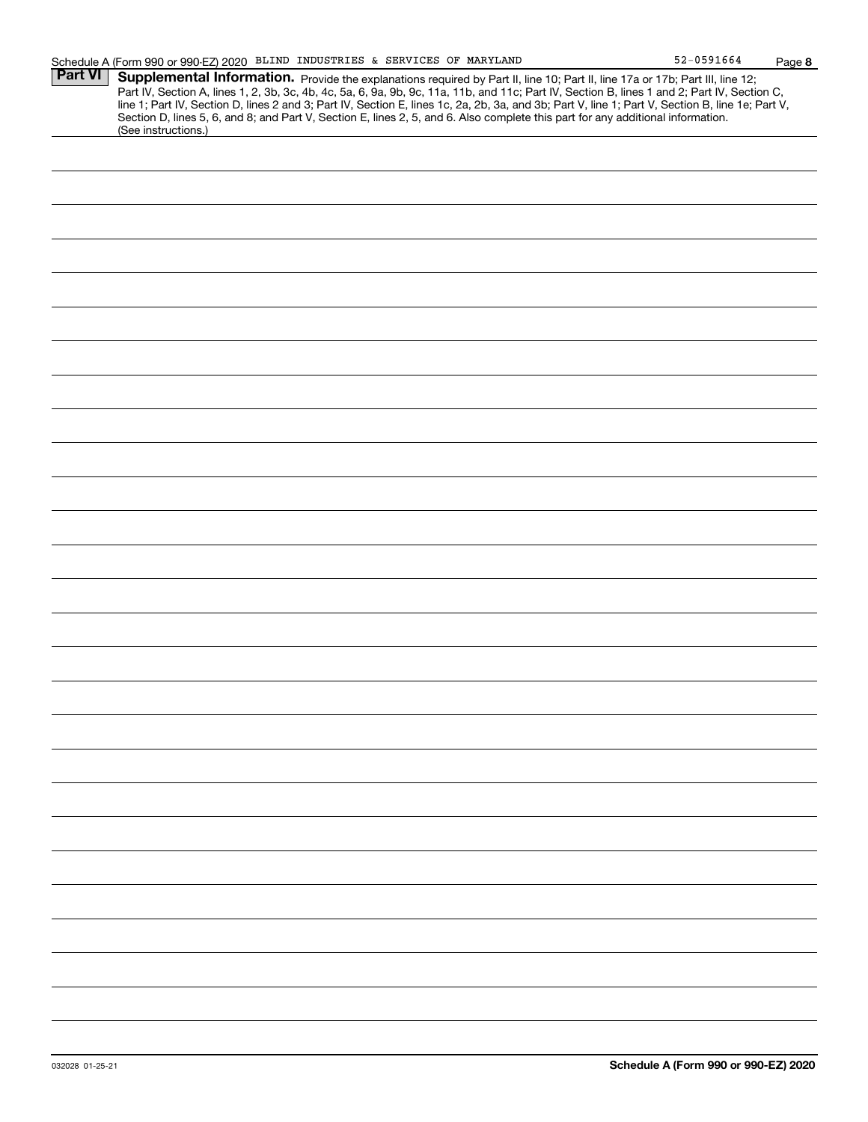| <b>Part VI</b> | Supplemental Information. Provide the explanations required by Part II, line 10; Part II, line 17a or 17b; Part III, line 12;                                                                                                                                                                    |  |  |  |
|----------------|--------------------------------------------------------------------------------------------------------------------------------------------------------------------------------------------------------------------------------------------------------------------------------------------------|--|--|--|
|                | Part IV, Section A, lines 1, 2, 3b, 3c, 4b, 4c, 5a, 6, 9a, 9b, 9c, 11a, 11b, and 11c; Part IV, Section B, lines 1 and 2; Part IV, Section C,<br>line 1; Part IV, Section D, lines 2 and 3; Part IV, Section E, lines 1c, 2a, 2b, 3a, and 3b; Part V, line 1; Part V, Section B, line 1e; Part V, |  |  |  |
|                | Section D, lines 5, 6, and 8; and Part V, Section E, lines 2, 5, and 6. Also complete this part for any additional information.<br>(See instructions.)                                                                                                                                           |  |  |  |
|                |                                                                                                                                                                                                                                                                                                  |  |  |  |
|                |                                                                                                                                                                                                                                                                                                  |  |  |  |
|                |                                                                                                                                                                                                                                                                                                  |  |  |  |
|                |                                                                                                                                                                                                                                                                                                  |  |  |  |
|                |                                                                                                                                                                                                                                                                                                  |  |  |  |
|                |                                                                                                                                                                                                                                                                                                  |  |  |  |
|                |                                                                                                                                                                                                                                                                                                  |  |  |  |
|                |                                                                                                                                                                                                                                                                                                  |  |  |  |
|                |                                                                                                                                                                                                                                                                                                  |  |  |  |
|                |                                                                                                                                                                                                                                                                                                  |  |  |  |
|                |                                                                                                                                                                                                                                                                                                  |  |  |  |
|                |                                                                                                                                                                                                                                                                                                  |  |  |  |
|                |                                                                                                                                                                                                                                                                                                  |  |  |  |
|                |                                                                                                                                                                                                                                                                                                  |  |  |  |
|                |                                                                                                                                                                                                                                                                                                  |  |  |  |
|                |                                                                                                                                                                                                                                                                                                  |  |  |  |
|                |                                                                                                                                                                                                                                                                                                  |  |  |  |
|                |                                                                                                                                                                                                                                                                                                  |  |  |  |
|                |                                                                                                                                                                                                                                                                                                  |  |  |  |
|                |                                                                                                                                                                                                                                                                                                  |  |  |  |
|                |                                                                                                                                                                                                                                                                                                  |  |  |  |
|                |                                                                                                                                                                                                                                                                                                  |  |  |  |
|                |                                                                                                                                                                                                                                                                                                  |  |  |  |
|                |                                                                                                                                                                                                                                                                                                  |  |  |  |
|                |                                                                                                                                                                                                                                                                                                  |  |  |  |
|                |                                                                                                                                                                                                                                                                                                  |  |  |  |
|                |                                                                                                                                                                                                                                                                                                  |  |  |  |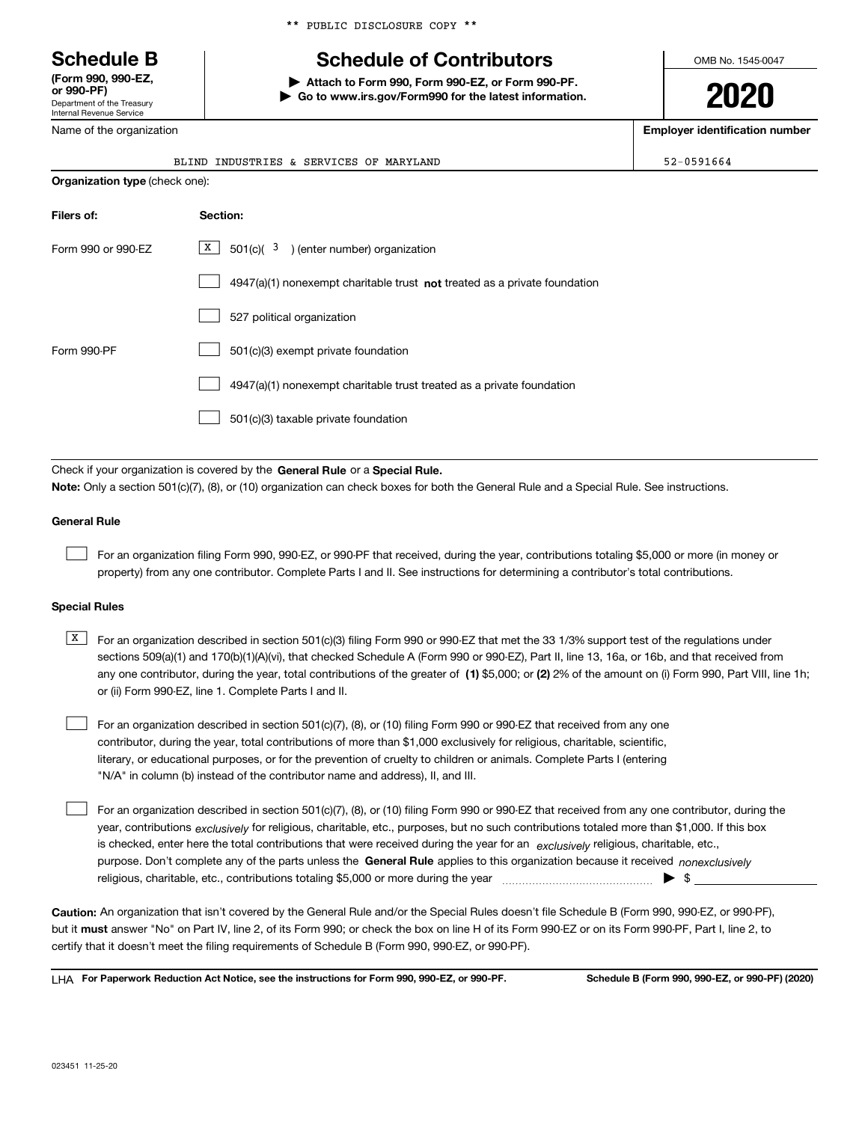Department of the Treasury Internal Revenue Service **(Form 990, 990-EZ, or 990-PF)**

Name of the organization

\*\* PUBLIC DISCLOSURE COPY \*\*

# **Schedule B Schedule of Contributors**

**| Attach to Form 990, Form 990-EZ, or Form 990-PF. | Go to www.irs.gov/Form990 for the latest information.** OMB No. 1545-0047

**2020**

**Employer identification number**

|                        | BLIND INDUSTRIES & SERVICES OF MARYLAND                                                                                                                                                                                   | 52-0591664 |  |  |  |  |
|------------------------|---------------------------------------------------------------------------------------------------------------------------------------------------------------------------------------------------------------------------|------------|--|--|--|--|
|                        | Organization type (check one):                                                                                                                                                                                            |            |  |  |  |  |
| Filers of:<br>Section: |                                                                                                                                                                                                                           |            |  |  |  |  |
| Form 990 or 990-EZ     | X  <br>$501(c)$ ( $3$ ) (enter number) organization                                                                                                                                                                       |            |  |  |  |  |
|                        | 4947(a)(1) nonexempt charitable trust not treated as a private foundation                                                                                                                                                 |            |  |  |  |  |
|                        | 527 political organization                                                                                                                                                                                                |            |  |  |  |  |
| Form 990-PF            | 501(c)(3) exempt private foundation                                                                                                                                                                                       |            |  |  |  |  |
|                        | 4947(a)(1) nonexempt charitable trust treated as a private foundation                                                                                                                                                     |            |  |  |  |  |
|                        | 501(c)(3) taxable private foundation                                                                                                                                                                                      |            |  |  |  |  |
|                        | Check if your organization is covered by the General Rule or a Special Rule.<br>Note: Only a section 501(c)(7), (8), or (10) organization can check boxes for both the General Rule and a Special Rule. See instructions. |            |  |  |  |  |
| <b>General Rule</b>    |                                                                                                                                                                                                                           |            |  |  |  |  |
|                        | For an organization filing Form 990, 990-EZ, or 990-PF that received, during the year, contributions totaling \$5,000 or more (in money or                                                                                |            |  |  |  |  |

## **Special Rules**

any one contributor, during the year, total contributions of the greater of  $\,$  (1) \$5,000; or **(2)** 2% of the amount on (i) Form 990, Part VIII, line 1h;  $\overline{X}$  For an organization described in section 501(c)(3) filing Form 990 or 990-EZ that met the 33 1/3% support test of the regulations under sections 509(a)(1) and 170(b)(1)(A)(vi), that checked Schedule A (Form 990 or 990-EZ), Part II, line 13, 16a, or 16b, and that received from or (ii) Form 990-EZ, line 1. Complete Parts I and II.

property) from any one contributor. Complete Parts I and II. See instructions for determining a contributor's total contributions.

- For an organization described in section 501(c)(7), (8), or (10) filing Form 990 or 990-EZ that received from any one contributor, during the year, total contributions of more than \$1,000 exclusively for religious, charitable, scientific, literary, or educational purposes, or for the prevention of cruelty to children or animals. Complete Parts I (entering "N/A" in column (b) instead of the contributor name and address), II, and III.  $\mathcal{L}^{\text{max}}$
- purpose. Don't complete any of the parts unless the **General Rule** applies to this organization because it received *nonexclusively* year, contributions <sub>exclusively</sub> for religious, charitable, etc., purposes, but no such contributions totaled more than \$1,000. If this box is checked, enter here the total contributions that were received during the year for an  $\;$ exclusively religious, charitable, etc., For an organization described in section 501(c)(7), (8), or (10) filing Form 990 or 990-EZ that received from any one contributor, during the religious, charitable, etc., contributions totaling \$5,000 or more during the year  $\Box$ — $\Box$   $\Box$  $\mathcal{L}^{\text{max}}$

**Caution:**  An organization that isn't covered by the General Rule and/or the Special Rules doesn't file Schedule B (Form 990, 990-EZ, or 990-PF),  **must** but it answer "No" on Part IV, line 2, of its Form 990; or check the box on line H of its Form 990-EZ or on its Form 990-PF, Part I, line 2, to certify that it doesn't meet the filing requirements of Schedule B (Form 990, 990-EZ, or 990-PF).

**For Paperwork Reduction Act Notice, see the instructions for Form 990, 990-EZ, or 990-PF. Schedule B (Form 990, 990-EZ, or 990-PF) (2020)** LHA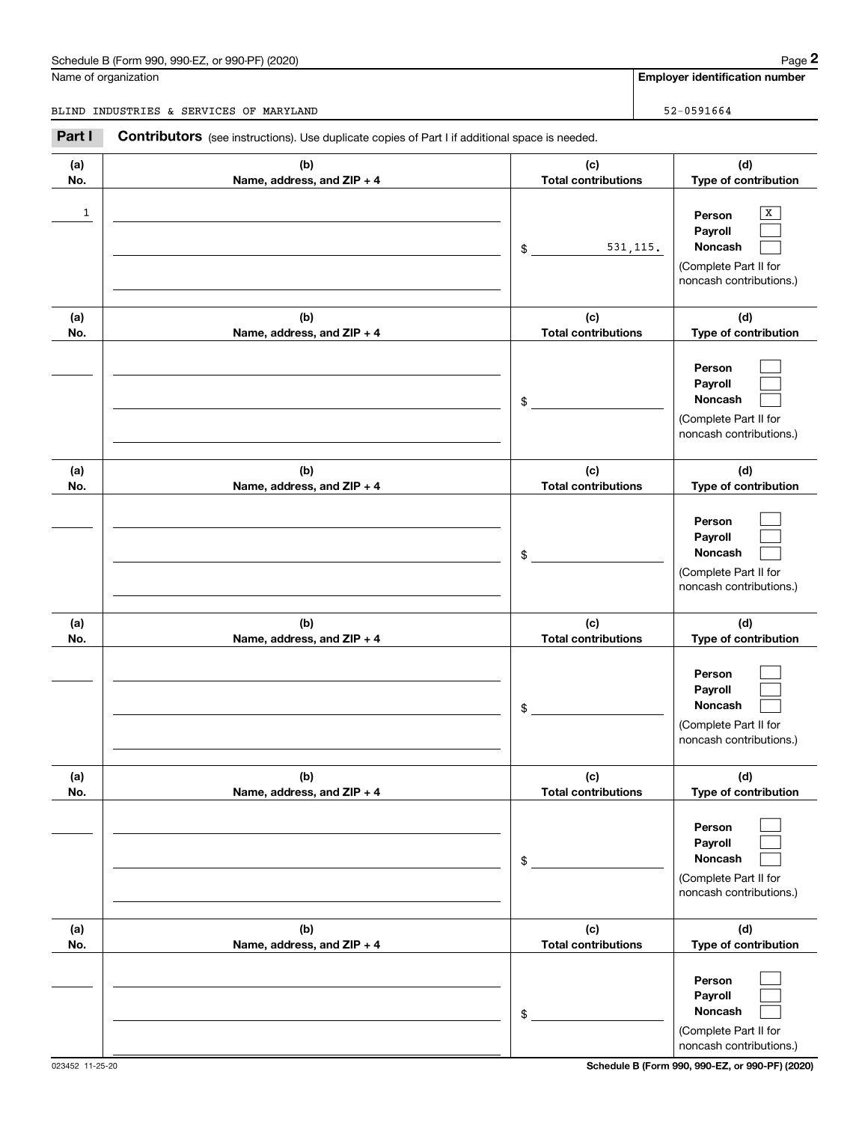# Schedule B (Form 990, 990-EZ, or 990-PF) (2020) Page 2

|            | Schedule B (Form 990, 990-EZ, or 990-PF) (2020)                                                       |                                   | Page 2                                                                                                   |
|------------|-------------------------------------------------------------------------------------------------------|-----------------------------------|----------------------------------------------------------------------------------------------------------|
|            | Name of organization                                                                                  |                                   | <b>Employer identification number</b>                                                                    |
|            | BLIND INDUSTRIES & SERVICES OF MARYLAND                                                               |                                   | 52-0591664                                                                                               |
| Part I     | <b>Contributors</b> (see instructions). Use duplicate copies of Part I if additional space is needed. |                                   |                                                                                                          |
| (a)<br>No. | (b)<br>Name, address, and ZIP + 4                                                                     | (c)<br><b>Total contributions</b> | (d)<br>Type of contribution                                                                              |
| 1          |                                                                                                       | 531, 115.<br>\$                   | х<br>Person<br>Payroll<br>Noncash<br>(Complete Part II for<br>noncash contributions.)                    |
| (a)        | (b)                                                                                                   | (c)                               | (d)                                                                                                      |
| No.        | Name, address, and ZIP + 4                                                                            | <b>Total contributions</b><br>\$  | Type of contribution<br>Person<br>Payroll<br>Noncash<br>(Complete Part II for<br>noncash contributions.) |
| (a)<br>No. | (b)<br>Name, address, and ZIP + 4                                                                     | (c)<br><b>Total contributions</b> | (d)<br>Type of contribution                                                                              |
|            |                                                                                                       | \$                                | Person<br>Payroll<br>Noncash<br>(Complete Part II for<br>noncash contributions.)                         |
| (a)<br>No. | (b)<br>Name, address, and ZIP + 4                                                                     | (c)<br><b>Total contributions</b> | (d)<br>Type of contribution                                                                              |
|            |                                                                                                       | \$                                | Person<br>Payroll<br>Noncash<br>(Complete Part II for<br>noncash contributions.)                         |
| (a)<br>No. | (b)<br>Name, address, and ZIP + 4                                                                     | (c)<br><b>Total contributions</b> | (d)<br>Type of contribution                                                                              |
|            |                                                                                                       | \$                                | Person<br>Payroll<br>Noncash<br>(Complete Part II for<br>noncash contributions.)                         |
| (a)<br>No. | (b)<br>Name, address, and ZIP + 4                                                                     | (c)<br><b>Total contributions</b> | (d)<br>Type of contribution                                                                              |
|            |                                                                                                       | \$                                | Person<br>Payroll<br>Noncash<br>(Complete Part II for<br>noncash contributions.)                         |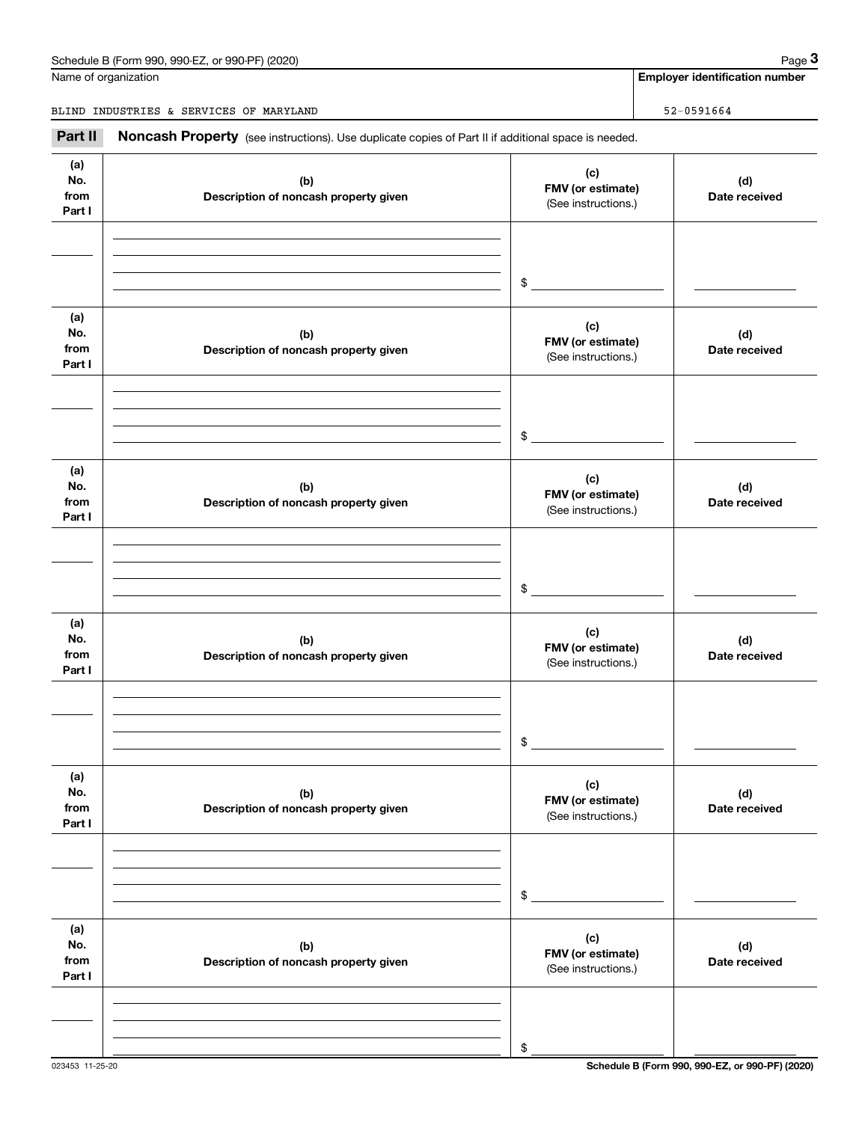# Schedule B (Form 990, 990-EZ, or 990-PF) (2020) Page 3

Name of organization

**Employer identification number**

BLIND INDUSTRIES & SERVICES OF MARYLAND 52-0591664

Chedule B (Form 990, 990-EZ, or 990-PF) (2020)<br> **2 Alame of organization**<br> **32-0591664**<br> **2 Alame II II Noncash Property** (see instructions). Use duplicate copies of Part II if additional space is needed.

| (a)<br>No.<br>from<br>Part I | (b)<br>Description of noncash property given | (c)<br>FMV (or estimate)<br>(See instructions.) | (d)<br>Date received |
|------------------------------|----------------------------------------------|-------------------------------------------------|----------------------|
|                              |                                              | \$                                              |                      |
| (a)<br>No.<br>from<br>Part I | (b)<br>Description of noncash property given | (c)<br>FMV (or estimate)<br>(See instructions.) | (d)<br>Date received |
|                              |                                              | \$                                              |                      |
| (a)<br>No.<br>from<br>Part I | (b)<br>Description of noncash property given | (c)<br>FMV (or estimate)<br>(See instructions.) | (d)<br>Date received |
|                              |                                              | \$                                              |                      |
| (a)<br>No.<br>from<br>Part I | (b)<br>Description of noncash property given | (c)<br>FMV (or estimate)<br>(See instructions.) | (d)<br>Date received |
|                              |                                              | \$                                              |                      |
| (a)<br>No.<br>from<br>Part I | (b)<br>Description of noncash property given | (c)<br>FMV (or estimate)<br>(See instructions.) | (d)<br>Date received |
|                              |                                              | \$                                              |                      |
| (a)<br>No.<br>from<br>Part I | (b)<br>Description of noncash property given | (c)<br>FMV (or estimate)<br>(See instructions.) | (d)<br>Date received |
|                              |                                              | \$                                              |                      |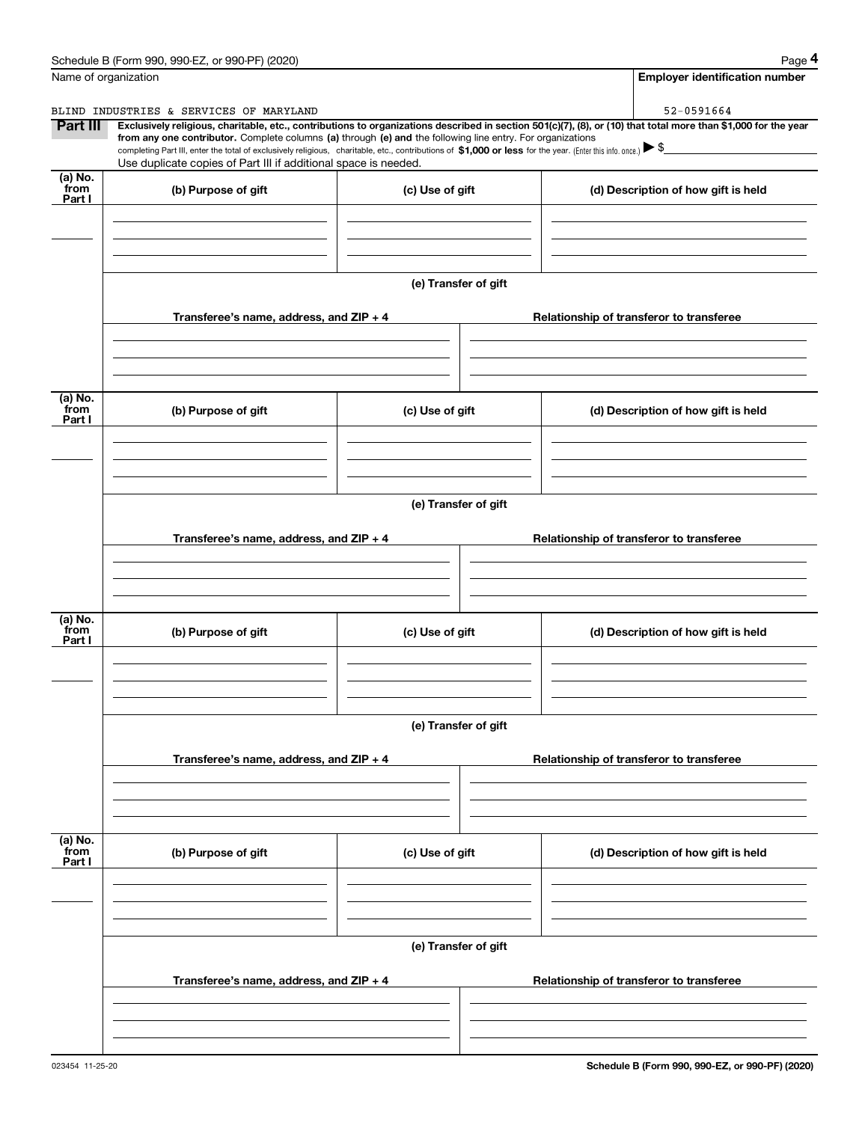|                           | Schedule B (Form 990, 990-EZ, or 990-PF) (2020)                                                                                                                                                                                                                                                 |                      | Page 4                                                                                                                                                         |  |  |
|---------------------------|-------------------------------------------------------------------------------------------------------------------------------------------------------------------------------------------------------------------------------------------------------------------------------------------------|----------------------|----------------------------------------------------------------------------------------------------------------------------------------------------------------|--|--|
|                           | Name of organization                                                                                                                                                                                                                                                                            |                      | <b>Employer identification number</b>                                                                                                                          |  |  |
|                           | BLIND INDUSTRIES & SERVICES OF MARYLAND                                                                                                                                                                                                                                                         |                      | 52-0591664                                                                                                                                                     |  |  |
| Part III                  | from any one contributor. Complete columns (a) through (e) and the following line entry. For organizations<br>completing Part III, enter the total of exclusively religious, charitable, etc., contributions of \$1,000 or less for the year. (Enter this info. once.) $\blacktriangleright$ \$ |                      | Exclusively religious, charitable, etc., contributions to organizations described in section 501(c)(7), (8), or (10) that total more than \$1,000 for the year |  |  |
|                           | Use duplicate copies of Part III if additional space is needed.                                                                                                                                                                                                                                 |                      |                                                                                                                                                                |  |  |
| (a) No.<br>from<br>Part I | (b) Purpose of gift                                                                                                                                                                                                                                                                             | (c) Use of gift      | (d) Description of how gift is held                                                                                                                            |  |  |
|                           |                                                                                                                                                                                                                                                                                                 |                      |                                                                                                                                                                |  |  |
|                           |                                                                                                                                                                                                                                                                                                 | (e) Transfer of gift |                                                                                                                                                                |  |  |
|                           | Transferee's name, address, and ZIP + 4                                                                                                                                                                                                                                                         |                      | Relationship of transferor to transferee                                                                                                                       |  |  |
|                           |                                                                                                                                                                                                                                                                                                 |                      |                                                                                                                                                                |  |  |
| (a) No.<br>from<br>Part I | (b) Purpose of gift                                                                                                                                                                                                                                                                             | (c) Use of gift      | (d) Description of how gift is held                                                                                                                            |  |  |
|                           |                                                                                                                                                                                                                                                                                                 |                      |                                                                                                                                                                |  |  |
|                           | (e) Transfer of gift                                                                                                                                                                                                                                                                            |                      |                                                                                                                                                                |  |  |
|                           | Transferee's name, address, and ZIP + 4                                                                                                                                                                                                                                                         |                      | Relationship of transferor to transferee                                                                                                                       |  |  |
|                           |                                                                                                                                                                                                                                                                                                 |                      |                                                                                                                                                                |  |  |
| (a) No.<br>from<br>Part I | (b) Purpose of gift                                                                                                                                                                                                                                                                             | (c) Use of gift      | (d) Description of how gift is held                                                                                                                            |  |  |
|                           |                                                                                                                                                                                                                                                                                                 |                      |                                                                                                                                                                |  |  |
|                           | (e) Transfer of gift                                                                                                                                                                                                                                                                            |                      |                                                                                                                                                                |  |  |
|                           | Transferee's name, address, and ZIP + 4                                                                                                                                                                                                                                                         |                      | Relationship of transferor to transferee                                                                                                                       |  |  |
|                           |                                                                                                                                                                                                                                                                                                 |                      |                                                                                                                                                                |  |  |
| (a) No.<br>from<br>Part I | (b) Purpose of gift                                                                                                                                                                                                                                                                             | (c) Use of gift      | (d) Description of how gift is held                                                                                                                            |  |  |
|                           |                                                                                                                                                                                                                                                                                                 |                      |                                                                                                                                                                |  |  |
|                           |                                                                                                                                                                                                                                                                                                 | (e) Transfer of gift |                                                                                                                                                                |  |  |
|                           | Transferee's name, address, and ZIP + 4                                                                                                                                                                                                                                                         |                      | Relationship of transferor to transferee                                                                                                                       |  |  |
|                           |                                                                                                                                                                                                                                                                                                 |                      |                                                                                                                                                                |  |  |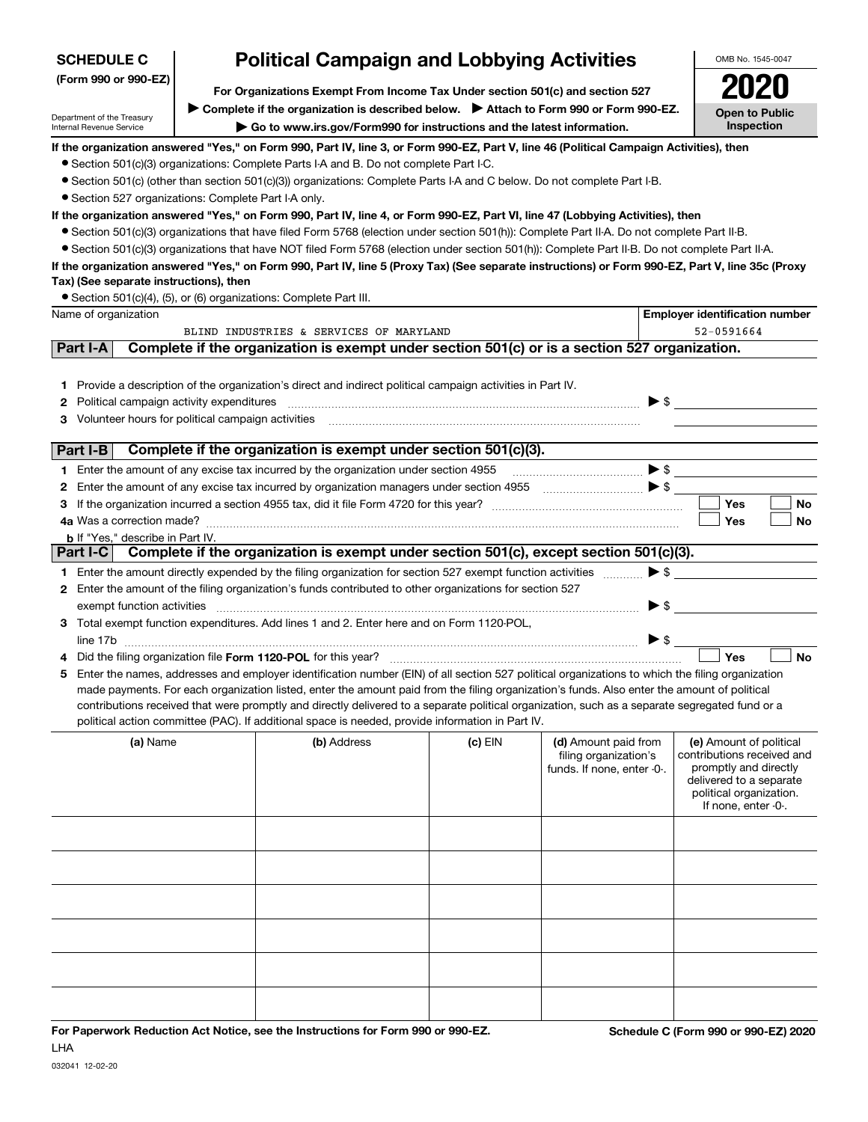| (Form 990 or 990-EZ)<br>For Organizations Exempt From Income Tax Under section 501(c) and section 527<br>Complete if the organization is described below. > Attach to Form 990 or Form 990-EZ.<br><b>Open to Public</b><br>Department of the Treasury<br>Inspection<br>Go to www.irs.gov/Form990 for instructions and the latest information.<br>Internal Revenue Service<br>If the organization answered "Yes," on Form 990, Part IV, line 3, or Form 990-EZ, Part V, line 46 (Political Campaign Activities), then<br>• Section 501(c)(3) organizations: Complete Parts I-A and B. Do not complete Part I-C.<br>• Section 501(c) (other than section 501(c)(3)) organizations: Complete Parts I-A and C below. Do not complete Part I-B.<br>• Section 527 organizations: Complete Part I-A only.<br>If the organization answered "Yes," on Form 990, Part IV, line 4, or Form 990-EZ, Part VI, line 47 (Lobbying Activities), then<br>• Section 501(c)(3) organizations that have filed Form 5768 (election under section 501(h)): Complete Part II-A. Do not complete Part II-B.<br>• Section 501(c)(3) organizations that have NOT filed Form 5768 (election under section 501(h)): Complete Part II-B. Do not complete Part II-A.<br>If the organization answered "Yes," on Form 990, Part IV, line 5 (Proxy Tax) (See separate instructions) or Form 990-EZ, Part V, line 35c (Proxy<br>Tax) (See separate instructions), then |
|--------------------------------------------------------------------------------------------------------------------------------------------------------------------------------------------------------------------------------------------------------------------------------------------------------------------------------------------------------------------------------------------------------------------------------------------------------------------------------------------------------------------------------------------------------------------------------------------------------------------------------------------------------------------------------------------------------------------------------------------------------------------------------------------------------------------------------------------------------------------------------------------------------------------------------------------------------------------------------------------------------------------------------------------------------------------------------------------------------------------------------------------------------------------------------------------------------------------------------------------------------------------------------------------------------------------------------------------------------------------------------------------------------------------------------------|
|                                                                                                                                                                                                                                                                                                                                                                                                                                                                                                                                                                                                                                                                                                                                                                                                                                                                                                                                                                                                                                                                                                                                                                                                                                                                                                                                                                                                                                      |
|                                                                                                                                                                                                                                                                                                                                                                                                                                                                                                                                                                                                                                                                                                                                                                                                                                                                                                                                                                                                                                                                                                                                                                                                                                                                                                                                                                                                                                      |
|                                                                                                                                                                                                                                                                                                                                                                                                                                                                                                                                                                                                                                                                                                                                                                                                                                                                                                                                                                                                                                                                                                                                                                                                                                                                                                                                                                                                                                      |
|                                                                                                                                                                                                                                                                                                                                                                                                                                                                                                                                                                                                                                                                                                                                                                                                                                                                                                                                                                                                                                                                                                                                                                                                                                                                                                                                                                                                                                      |
|                                                                                                                                                                                                                                                                                                                                                                                                                                                                                                                                                                                                                                                                                                                                                                                                                                                                                                                                                                                                                                                                                                                                                                                                                                                                                                                                                                                                                                      |
|                                                                                                                                                                                                                                                                                                                                                                                                                                                                                                                                                                                                                                                                                                                                                                                                                                                                                                                                                                                                                                                                                                                                                                                                                                                                                                                                                                                                                                      |
|                                                                                                                                                                                                                                                                                                                                                                                                                                                                                                                                                                                                                                                                                                                                                                                                                                                                                                                                                                                                                                                                                                                                                                                                                                                                                                                                                                                                                                      |
|                                                                                                                                                                                                                                                                                                                                                                                                                                                                                                                                                                                                                                                                                                                                                                                                                                                                                                                                                                                                                                                                                                                                                                                                                                                                                                                                                                                                                                      |
|                                                                                                                                                                                                                                                                                                                                                                                                                                                                                                                                                                                                                                                                                                                                                                                                                                                                                                                                                                                                                                                                                                                                                                                                                                                                                                                                                                                                                                      |
|                                                                                                                                                                                                                                                                                                                                                                                                                                                                                                                                                                                                                                                                                                                                                                                                                                                                                                                                                                                                                                                                                                                                                                                                                                                                                                                                                                                                                                      |
|                                                                                                                                                                                                                                                                                                                                                                                                                                                                                                                                                                                                                                                                                                                                                                                                                                                                                                                                                                                                                                                                                                                                                                                                                                                                                                                                                                                                                                      |
| • Section 501(c)(4), (5), or (6) organizations: Complete Part III.                                                                                                                                                                                                                                                                                                                                                                                                                                                                                                                                                                                                                                                                                                                                                                                                                                                                                                                                                                                                                                                                                                                                                                                                                                                                                                                                                                   |
| Name of organization<br><b>Employer identification number</b>                                                                                                                                                                                                                                                                                                                                                                                                                                                                                                                                                                                                                                                                                                                                                                                                                                                                                                                                                                                                                                                                                                                                                                                                                                                                                                                                                                        |
| BLIND INDUSTRIES & SERVICES OF MARYLAND<br>52-0591664                                                                                                                                                                                                                                                                                                                                                                                                                                                                                                                                                                                                                                                                                                                                                                                                                                                                                                                                                                                                                                                                                                                                                                                                                                                                                                                                                                                |
| Complete if the organization is exempt under section 501(c) or is a section 527 organization.<br>Part I-A                                                                                                                                                                                                                                                                                                                                                                                                                                                                                                                                                                                                                                                                                                                                                                                                                                                                                                                                                                                                                                                                                                                                                                                                                                                                                                                            |
|                                                                                                                                                                                                                                                                                                                                                                                                                                                                                                                                                                                                                                                                                                                                                                                                                                                                                                                                                                                                                                                                                                                                                                                                                                                                                                                                                                                                                                      |
| 1 Provide a description of the organization's direct and indirect political campaign activities in Part IV.                                                                                                                                                                                                                                                                                                                                                                                                                                                                                                                                                                                                                                                                                                                                                                                                                                                                                                                                                                                                                                                                                                                                                                                                                                                                                                                          |
| $\triangleright$ \$<br>Political campaign activity expenditures<br>2                                                                                                                                                                                                                                                                                                                                                                                                                                                                                                                                                                                                                                                                                                                                                                                                                                                                                                                                                                                                                                                                                                                                                                                                                                                                                                                                                                 |
| Volunteer hours for political campaign activities<br>3                                                                                                                                                                                                                                                                                                                                                                                                                                                                                                                                                                                                                                                                                                                                                                                                                                                                                                                                                                                                                                                                                                                                                                                                                                                                                                                                                                               |
| Complete if the organization is exempt under section 501(c)(3).<br>Part I-B                                                                                                                                                                                                                                                                                                                                                                                                                                                                                                                                                                                                                                                                                                                                                                                                                                                                                                                                                                                                                                                                                                                                                                                                                                                                                                                                                          |
| 1 Enter the amount of any excise tax incurred by the organization under section 4955                                                                                                                                                                                                                                                                                                                                                                                                                                                                                                                                                                                                                                                                                                                                                                                                                                                                                                                                                                                                                                                                                                                                                                                                                                                                                                                                                 |
| Enter the amount of any excise tax incurred by organization managers under section 4955<br>2                                                                                                                                                                                                                                                                                                                                                                                                                                                                                                                                                                                                                                                                                                                                                                                                                                                                                                                                                                                                                                                                                                                                                                                                                                                                                                                                         |
| Yes<br>No<br>3                                                                                                                                                                                                                                                                                                                                                                                                                                                                                                                                                                                                                                                                                                                                                                                                                                                                                                                                                                                                                                                                                                                                                                                                                                                                                                                                                                                                                       |
| Yes<br>No                                                                                                                                                                                                                                                                                                                                                                                                                                                                                                                                                                                                                                                                                                                                                                                                                                                                                                                                                                                                                                                                                                                                                                                                                                                                                                                                                                                                                            |
| <b>b</b> If "Yes," describe in Part IV.                                                                                                                                                                                                                                                                                                                                                                                                                                                                                                                                                                                                                                                                                                                                                                                                                                                                                                                                                                                                                                                                                                                                                                                                                                                                                                                                                                                              |
| Complete if the organization is exempt under section 501(c), except section 501(c)(3).<br>Part I-C                                                                                                                                                                                                                                                                                                                                                                                                                                                                                                                                                                                                                                                                                                                                                                                                                                                                                                                                                                                                                                                                                                                                                                                                                                                                                                                                   |
| $\blacktriangleright$ \$<br>1 Enter the amount directly expended by the filing organization for section 527 exempt function activities                                                                                                                                                                                                                                                                                                                                                                                                                                                                                                                                                                                                                                                                                                                                                                                                                                                                                                                                                                                                                                                                                                                                                                                                                                                                                               |
| Enter the amount of the filing organization's funds contributed to other organizations for section 527<br>2                                                                                                                                                                                                                                                                                                                                                                                                                                                                                                                                                                                                                                                                                                                                                                                                                                                                                                                                                                                                                                                                                                                                                                                                                                                                                                                          |
| $\blacktriangleright$ \$<br>exempt function activities                                                                                                                                                                                                                                                                                                                                                                                                                                                                                                                                                                                                                                                                                                                                                                                                                                                                                                                                                                                                                                                                                                                                                                                                                                                                                                                                                                               |
| 3 Total exempt function expenditures. Add lines 1 and 2. Enter here and on Form 1120-POL,                                                                                                                                                                                                                                                                                                                                                                                                                                                                                                                                                                                                                                                                                                                                                                                                                                                                                                                                                                                                                                                                                                                                                                                                                                                                                                                                            |
| $\blacktriangleright$ \$                                                                                                                                                                                                                                                                                                                                                                                                                                                                                                                                                                                                                                                                                                                                                                                                                                                                                                                                                                                                                                                                                                                                                                                                                                                                                                                                                                                                             |
| Yes<br><b>No</b>                                                                                                                                                                                                                                                                                                                                                                                                                                                                                                                                                                                                                                                                                                                                                                                                                                                                                                                                                                                                                                                                                                                                                                                                                                                                                                                                                                                                                     |
| Enter the names, addresses and employer identification number (EIN) of all section 527 political organizations to which the filing organization<br>5                                                                                                                                                                                                                                                                                                                                                                                                                                                                                                                                                                                                                                                                                                                                                                                                                                                                                                                                                                                                                                                                                                                                                                                                                                                                                 |
| made payments. For each organization listed, enter the amount paid from the filing organization's funds. Also enter the amount of political<br>contributions received that were promptly and directly delivered to a separate political organization, such as a separate segregated fund or a                                                                                                                                                                                                                                                                                                                                                                                                                                                                                                                                                                                                                                                                                                                                                                                                                                                                                                                                                                                                                                                                                                                                        |
| political action committee (PAC). If additional space is needed, provide information in Part IV.                                                                                                                                                                                                                                                                                                                                                                                                                                                                                                                                                                                                                                                                                                                                                                                                                                                                                                                                                                                                                                                                                                                                                                                                                                                                                                                                     |
| (b) Address<br>$(c)$ EIN<br>(d) Amount paid from<br>(a) Name<br>(e) Amount of political<br>contributions received and<br>filing organization's<br>promptly and directly<br>funds. If none, enter -0-.<br>delivered to a separate<br>political organization.<br>If none, enter -0-.                                                                                                                                                                                                                                                                                                                                                                                                                                                                                                                                                                                                                                                                                                                                                                                                                                                                                                                                                                                                                                                                                                                                                   |
|                                                                                                                                                                                                                                                                                                                                                                                                                                                                                                                                                                                                                                                                                                                                                                                                                                                                                                                                                                                                                                                                                                                                                                                                                                                                                                                                                                                                                                      |
|                                                                                                                                                                                                                                                                                                                                                                                                                                                                                                                                                                                                                                                                                                                                                                                                                                                                                                                                                                                                                                                                                                                                                                                                                                                                                                                                                                                                                                      |
|                                                                                                                                                                                                                                                                                                                                                                                                                                                                                                                                                                                                                                                                                                                                                                                                                                                                                                                                                                                                                                                                                                                                                                                                                                                                                                                                                                                                                                      |
|                                                                                                                                                                                                                                                                                                                                                                                                                                                                                                                                                                                                                                                                                                                                                                                                                                                                                                                                                                                                                                                                                                                                                                                                                                                                                                                                                                                                                                      |
|                                                                                                                                                                                                                                                                                                                                                                                                                                                                                                                                                                                                                                                                                                                                                                                                                                                                                                                                                                                                                                                                                                                                                                                                                                                                                                                                                                                                                                      |
|                                                                                                                                                                                                                                                                                                                                                                                                                                                                                                                                                                                                                                                                                                                                                                                                                                                                                                                                                                                                                                                                                                                                                                                                                                                                                                                                                                                                                                      |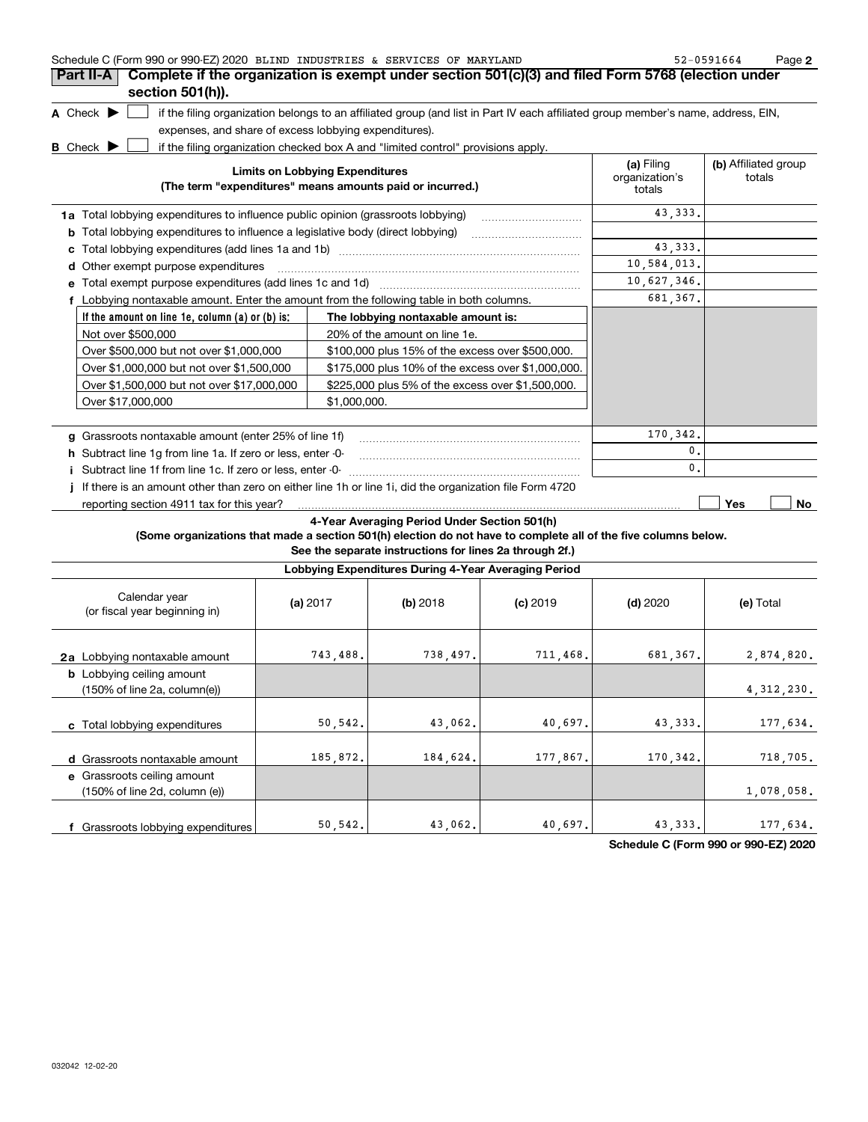| Schedule C (Form 990 or 990-EZ) 2020 BLIND INDUSTRIES & SERVICES OF MARYLAND                                    |                                                       |                                                                                                                                   |            |                                        | 52-0591664<br>Page 2           |
|-----------------------------------------------------------------------------------------------------------------|-------------------------------------------------------|-----------------------------------------------------------------------------------------------------------------------------------|------------|----------------------------------------|--------------------------------|
| Complete if the organization is exempt under section 501(c)(3) and filed Form 5768 (election under<br>Part II-A |                                                       |                                                                                                                                   |            |                                        |                                |
| section 501(h)).                                                                                                |                                                       |                                                                                                                                   |            |                                        |                                |
| A Check $\blacktriangleright$                                                                                   |                                                       | if the filing organization belongs to an affiliated group (and list in Part IV each affiliated group member's name, address, EIN, |            |                                        |                                |
|                                                                                                                 | expenses, and share of excess lobbying expenditures). |                                                                                                                                   |            |                                        |                                |
| <b>B</b> Check $\blacktriangleright$                                                                            |                                                       | if the filing organization checked box A and "limited control" provisions apply.                                                  |            |                                        |                                |
|                                                                                                                 | <b>Limits on Lobbying Expenditures</b>                | (The term "expenditures" means amounts paid or incurred.)                                                                         |            | (a) Filing<br>organization's<br>totals | (b) Affiliated group<br>totals |
| <b>1a</b> Total lobbying expenditures to influence public opinion (grassroots lobbying)                         |                                                       |                                                                                                                                   |            | 43,333.                                |                                |
| <b>b</b> Total lobbying expenditures to influence a legislative body (direct lobbying)                          |                                                       |                                                                                                                                   |            |                                        |                                |
|                                                                                                                 |                                                       |                                                                                                                                   |            | 43,333.                                |                                |
| d Other exempt purpose expenditures                                                                             |                                                       |                                                                                                                                   |            | 10,584,013.                            |                                |
| e Total exempt purpose expenditures (add lines 1c and 1d)                                                       |                                                       |                                                                                                                                   |            | 10,627,346.                            |                                |
| f Lobbying nontaxable amount. Enter the amount from the following table in both columns.                        |                                                       |                                                                                                                                   |            | 681,367.                               |                                |
| If the amount on line 1e, column (a) or (b) is:                                                                 |                                                       | The lobbying nontaxable amount is:                                                                                                |            |                                        |                                |
| Not over \$500,000                                                                                              |                                                       | 20% of the amount on line 1e.                                                                                                     |            |                                        |                                |
| Over \$500,000 but not over \$1,000,000                                                                         |                                                       | \$100,000 plus 15% of the excess over \$500,000.                                                                                  |            |                                        |                                |
| Over \$1,000,000 but not over \$1,500,000                                                                       |                                                       | \$175,000 plus 10% of the excess over \$1,000,000.                                                                                |            |                                        |                                |
| Over \$1,500,000 but not over \$17,000,000                                                                      |                                                       | \$225,000 plus 5% of the excess over \$1,500,000.                                                                                 |            |                                        |                                |
| Over \$17,000,000                                                                                               | \$1.000.000.                                          |                                                                                                                                   |            |                                        |                                |
|                                                                                                                 |                                                       |                                                                                                                                   |            |                                        |                                |
| g Grassroots nontaxable amount (enter 25% of line 1f)                                                           |                                                       |                                                                                                                                   |            | 170,342.                               |                                |
| h Subtract line 1q from line 1a. If zero or less, enter -0-                                                     |                                                       |                                                                                                                                   |            | 0.                                     |                                |
| i Subtract line 1f from line 1c. If zero or less, enter 0                                                       |                                                       |                                                                                                                                   |            | $\mathbf{0}$ .                         |                                |
| If there is an amount other than zero on either line 1h or line 1i, did the organization file Form 4720         |                                                       |                                                                                                                                   |            |                                        |                                |
| reporting section 4911 tax for this year?                                                                       |                                                       |                                                                                                                                   |            |                                        | Yes<br>No                      |
| (Some organizations that made a section 501(h) election do not have to complete all of the five columns below.  |                                                       | 4-Year Averaging Period Under Section 501(h)<br>See the separate instructions for lines 2a through 2f.)                           |            |                                        |                                |
|                                                                                                                 |                                                       | Lobbying Expenditures During 4-Year Averaging Period                                                                              |            |                                        |                                |
| Calendar year<br>(or fiscal year beginning in)                                                                  | (a) 2017                                              | $(b)$ 2018                                                                                                                        | $(c)$ 2019 | $(d)$ 2020                             | (e) Total                      |
| 2a Lobbying nontaxable amount                                                                                   | 743,488.                                              | 738,497.                                                                                                                          | 711,468.   | 681,367.                               | 2,874,820.                     |
| <b>b</b> Lobbying ceiling amount<br>(150% of line 2a, column(e))                                                |                                                       |                                                                                                                                   |            |                                        | 4, 312, 230.                   |
| c Total lobbying expenditures                                                                                   | 50,542.                                               | 43,062.                                                                                                                           | 40,697.    | 43, 333.                               | 177,634.                       |
| d Grassroots nontaxable amount                                                                                  | 185,872.                                              | 184,624.                                                                                                                          | 177,867.   | 170,342.                               | 718,705.                       |
| e Grassroots ceiling amount<br>(150% of line 2d, column (e))                                                    |                                                       |                                                                                                                                   |            |                                        | 1,078,058.                     |

50,542. 43,062. 40,697. 43,333.

**Schedule C (Form 990 or 990-EZ) 2020**

177,634.

**f** Grassroots lobbying expenditures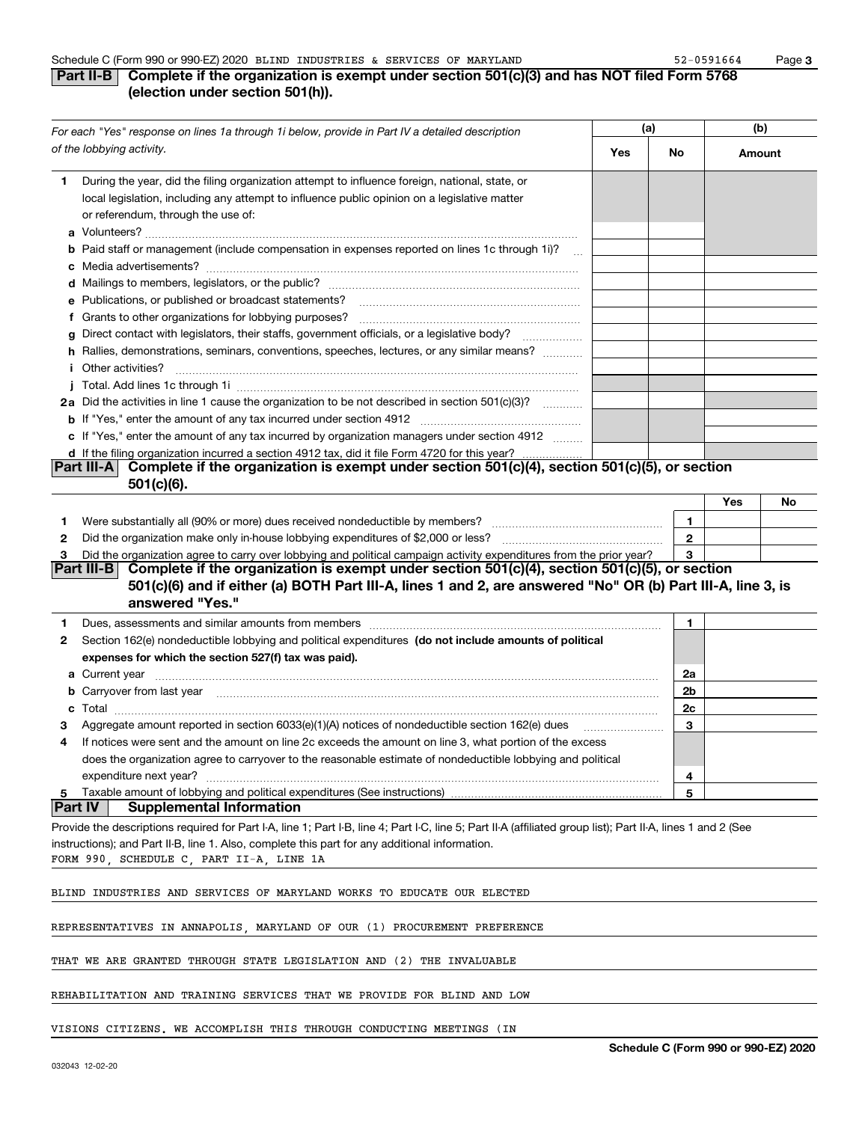## **Part II-B** Complete if the organization is exempt under section 501(c)(3) and has NOT filed Form 5768 **(election under section 501(h)).**

|              | For each "Yes" response on lines 1a through 1i below, provide in Part IV a detailed description                                                                                                                                                                                                                        |     | (a)          | (b)    |    |
|--------------|------------------------------------------------------------------------------------------------------------------------------------------------------------------------------------------------------------------------------------------------------------------------------------------------------------------------|-----|--------------|--------|----|
|              | of the lobbying activity.                                                                                                                                                                                                                                                                                              | Yes | No           | Amount |    |
| 1            | During the year, did the filing organization attempt to influence foreign, national, state, or<br>local legislation, including any attempt to influence public opinion on a legislative matter<br>or referendum, through the use of:                                                                                   |     |              |        |    |
|              | <b>b</b> Paid staff or management (include compensation in expenses reported on lines 1c through 1i)?<br>$\ddotsc$                                                                                                                                                                                                     |     |              |        |    |
|              |                                                                                                                                                                                                                                                                                                                        |     |              |        |    |
|              | e Publications, or published or broadcast statements?                                                                                                                                                                                                                                                                  |     |              |        |    |
|              | f Grants to other organizations for lobbying purposes?                                                                                                                                                                                                                                                                 |     |              |        |    |
| g            | Direct contact with legislators, their staffs, government officials, or a legislative body?                                                                                                                                                                                                                            |     |              |        |    |
|              | h Rallies, demonstrations, seminars, conventions, speeches, lectures, or any similar means?                                                                                                                                                                                                                            |     |              |        |    |
|              | i Other activities?                                                                                                                                                                                                                                                                                                    |     |              |        |    |
|              |                                                                                                                                                                                                                                                                                                                        |     |              |        |    |
|              | 2a Did the activities in line 1 cause the organization to be not described in section 501(c)(3)?                                                                                                                                                                                                                       |     |              |        |    |
|              |                                                                                                                                                                                                                                                                                                                        |     |              |        |    |
|              | c If "Yes," enter the amount of any tax incurred by organization managers under section 4912                                                                                                                                                                                                                           |     |              |        |    |
|              | d If the filing organization incurred a section 4912 tax, did it file Form 4720 for this year?                                                                                                                                                                                                                         |     |              |        |    |
|              | Complete if the organization is exempt under section 501(c)(4), section 501(c)(5), or section<br><b>Part III-A</b>                                                                                                                                                                                                     |     |              |        |    |
|              | $501(c)(6)$ .                                                                                                                                                                                                                                                                                                          |     |              |        |    |
|              |                                                                                                                                                                                                                                                                                                                        |     |              | Yes    | No |
| 1.           |                                                                                                                                                                                                                                                                                                                        |     | 1            |        |    |
| $\mathbf{2}$ |                                                                                                                                                                                                                                                                                                                        |     | $\mathbf{2}$ |        |    |
| 3            | Did the organization agree to carry over lobbying and political campaign activity expenditures from the prior year?                                                                                                                                                                                                    |     | 3            |        |    |
|              | Part III-B Complete if the organization is exempt under section $501(c)(4)$ , section $501(c)(5)$ , or section                                                                                                                                                                                                         |     |              |        |    |
|              | 501(c)(6) and if either (a) BOTH Part III-A, lines 1 and 2, are answered "No" OR (b) Part III-A, line 3, is                                                                                                                                                                                                            |     |              |        |    |
|              | answered "Yes."                                                                                                                                                                                                                                                                                                        |     |              |        |    |
| 1            | Dues, assessments and similar amounts from members [11] matter contracts and similar amounts from members [11] matter contracts and similar amounts from members [11] matter contracts and similar amounts from members [11] m                                                                                         |     | 1.           |        |    |
| 2            | Section 162(e) nondeductible lobbying and political expenditures (do not include amounts of political                                                                                                                                                                                                                  |     |              |        |    |
|              | expenses for which the section 527(f) tax was paid).                                                                                                                                                                                                                                                                   |     |              |        |    |
|              | <b>a</b> Current year                                                                                                                                                                                                                                                                                                  |     | 2a           |        |    |
|              | <b>b</b> Carryover from last year                                                                                                                                                                                                                                                                                      |     | 2b           |        |    |
| c.           | $\textbf{Total} \textcolor{red}{x_1 x_2 x_3 x_4 x_5 x_6 x_7 x_8 x_9 x_1 x_2 x_3 x_4 x_5 x_6 x_7 x_8 x_9 x_1 x_2 x_3 x_4 x_5 x_6 x_7 x_8 x_9 x_1 x_2 x_3 x_4 x_5 x_6 x_7 x_8 x_9 x_1 x_2 x_3 x_4 x_5 x_6 x_7 x_8 x_9 x_1 x_2 x_3 x_4 x_5 x_6 x_7 x_8 x_9 x_1 x_2 x_3 x_4 x_5 x_6 x_7 x_8 x_9 x_1 x_2 x_3 x_4 x_5 x_6 x$ |     | 2c           |        |    |
|              | Aggregate amount reported in section 6033(e)(1)(A) notices of nondeductible section 162(e) dues                                                                                                                                                                                                                        |     | 3            |        |    |
| 4            | If notices were sent and the amount on line 2c exceeds the amount on line 3, what portion of the excess                                                                                                                                                                                                                |     |              |        |    |
|              | does the organization agree to carryover to the reasonable estimate of nondeductible lobbying and political                                                                                                                                                                                                            |     |              |        |    |
|              | expenditure next year?                                                                                                                                                                                                                                                                                                 |     | 4            |        |    |
| 5            | Taxable amount of lobbying and political expenditures (See instructions)<br><b>Part IV</b><br><b>Supplemental Information</b>                                                                                                                                                                                          |     | 5            |        |    |
|              |                                                                                                                                                                                                                                                                                                                        |     |              |        |    |
|              | Provide the descriptions required for Part I-A, line 1; Part I-B, line 4; Part I-C, line 5; Part II-A (affiliated group list); Part II-A, lines 1 and 2 (See                                                                                                                                                           |     |              |        |    |
|              | instructions); and Part II-B, line 1. Also, complete this part for any additional information.<br>FORM 990, SCHEDULE C, PART II-A, LINE 1A                                                                                                                                                                             |     |              |        |    |
|              |                                                                                                                                                                                                                                                                                                                        |     |              |        |    |
|              | BLIND INDUSTRIES AND SERVICES OF MARYLAND WORKS TO EDUCATE OUR ELECTED                                                                                                                                                                                                                                                 |     |              |        |    |
|              | REPRESENTATIVES IN ANNAPOLIS, MARYLAND OF OUR (1) PROCUREMENT PREFERENCE                                                                                                                                                                                                                                               |     |              |        |    |
|              |                                                                                                                                                                                                                                                                                                                        |     |              |        |    |
|              | THAT WE ARE GRANTED THROUGH STATE LEGISLATION AND (2) THE INVALUABLE                                                                                                                                                                                                                                                   |     |              |        |    |
|              | REHABILITATION AND TRAINING SERVICES THAT WE PROVIDE FOR BLIND AND LOW                                                                                                                                                                                                                                                 |     |              |        |    |
|              |                                                                                                                                                                                                                                                                                                                        |     |              |        |    |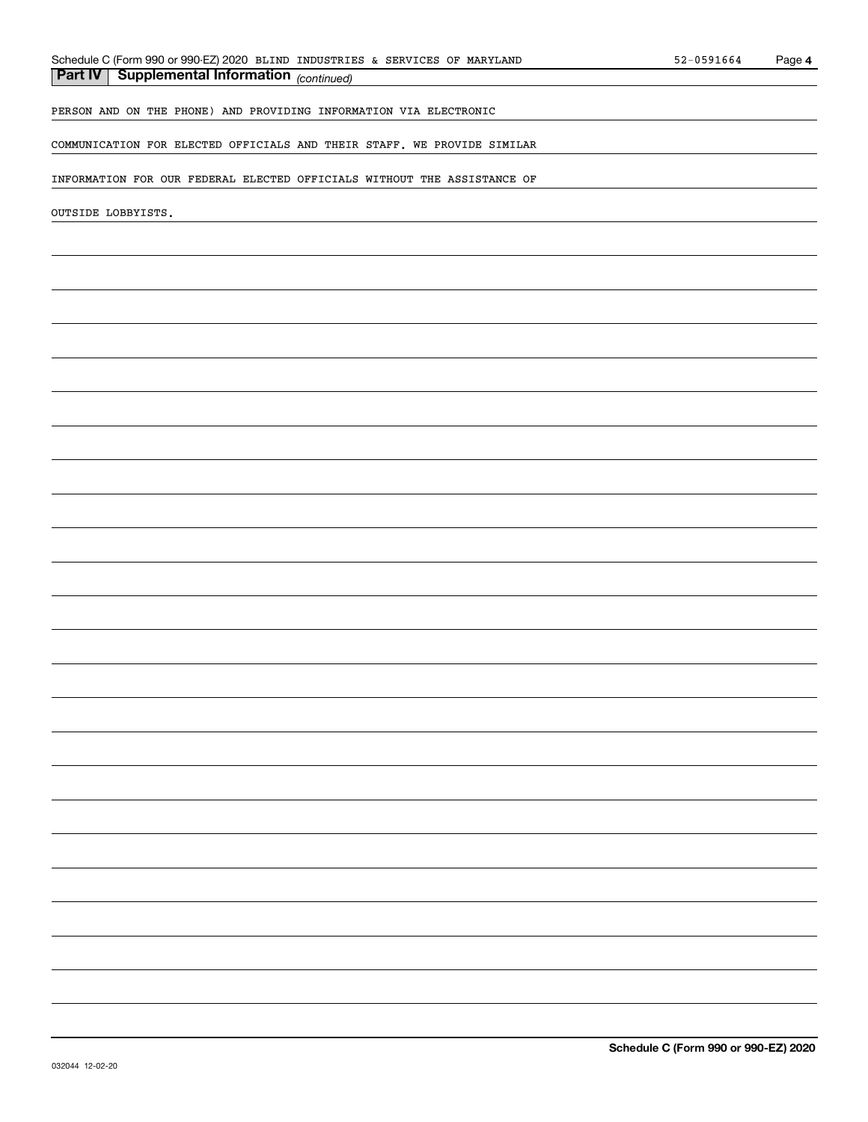# *(continued)* **Part IV Supplemental Information**

PERSON AND ON THE PHONE) AND PROVIDING INFORMATION VIA ELECTRONIC

COMMUNICATION FOR ELECTED OFFICIALS AND THEIR STAFF. WE PROVIDE SIMILAR

INFORMATION FOR OUR FEDERAL ELECTED OFFICIALS WITHOUT THE ASSISTANCE OF

OUTSIDE LOBBYISTS.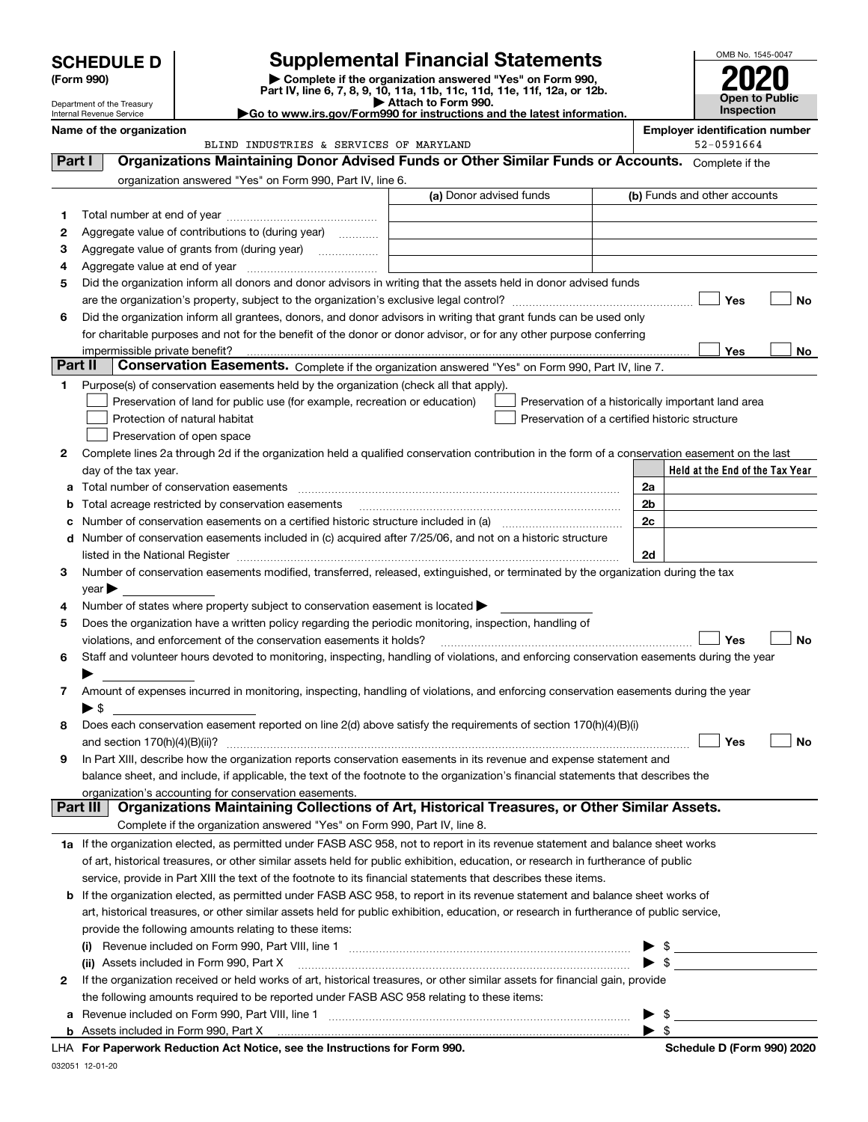| <b>SCHEDULE D</b> |  |
|-------------------|--|
|-------------------|--|

Department of the Treasury Internal Revenue Service

| (Form 990) |  |  |
|------------|--|--|
|------------|--|--|

# **SCHEDULE D Supplemental Financial Statements**

(Form 990)<br>
Pepartment of the Treasury<br>
Department of the Treasury<br>
Department of the Treasury<br>
Department of the Treasury<br> **Co to www.irs.gov/Form990 for instructions and the latest information.**<br> **Co to www.irs.gov/Form9** 



|         | Name of the organization<br>BLIND INDUSTRIES & SERVICES OF MARYLAND                                                                            |                                                | <b>Employer identification number</b><br>52-0591664 |
|---------|------------------------------------------------------------------------------------------------------------------------------------------------|------------------------------------------------|-----------------------------------------------------|
| Part I  | Organizations Maintaining Donor Advised Funds or Other Similar Funds or Accounts. Complete if the                                              |                                                |                                                     |
|         | organization answered "Yes" on Form 990, Part IV, line 6.                                                                                      |                                                |                                                     |
|         | (a) Donor advised funds                                                                                                                        |                                                | (b) Funds and other accounts                        |
| 1       |                                                                                                                                                |                                                |                                                     |
| 2       | Aggregate value of contributions to (during year)                                                                                              |                                                |                                                     |
| 3       | Aggregate value of grants from (during year)                                                                                                   |                                                |                                                     |
| 4       |                                                                                                                                                |                                                |                                                     |
| 5       | Did the organization inform all donors and donor advisors in writing that the assets held in donor advised funds                               |                                                |                                                     |
|         |                                                                                                                                                |                                                | Yes<br>No                                           |
| 6       | Did the organization inform all grantees, donors, and donor advisors in writing that grant funds can be used only                              |                                                |                                                     |
|         | for charitable purposes and not for the benefit of the donor or donor advisor, or for any other purpose conferring                             |                                                |                                                     |
|         |                                                                                                                                                |                                                | <b>Yes</b><br>No                                    |
| Part II | Conservation Easements. Complete if the organization answered "Yes" on Form 990, Part IV, line 7.                                              |                                                |                                                     |
| 1.      | Purpose(s) of conservation easements held by the organization (check all that apply).                                                          |                                                |                                                     |
|         | Preservation of land for public use (for example, recreation or education)                                                                     |                                                | Preservation of a historically important land area  |
|         | Protection of natural habitat                                                                                                                  | Preservation of a certified historic structure |                                                     |
|         | Preservation of open space                                                                                                                     |                                                |                                                     |
| 2       | Complete lines 2a through 2d if the organization held a qualified conservation contribution in the form of a conservation easement on the last |                                                |                                                     |
|         | day of the tax year.                                                                                                                           |                                                | Held at the End of the Tax Year                     |
| а       | Total number of conservation easements                                                                                                         |                                                | 2a                                                  |
| b       | Total acreage restricted by conservation easements                                                                                             |                                                | 2 <sub>b</sub>                                      |
| c       |                                                                                                                                                |                                                | 2c                                                  |
|         | d Number of conservation easements included in (c) acquired after 7/25/06, and not on a historic structure                                     |                                                |                                                     |
|         |                                                                                                                                                |                                                | 2d                                                  |
| З.      | Number of conservation easements modified, transferred, released, extinguished, or terminated by the organization during the tax               |                                                |                                                     |
|         | $year \blacktriangleright$                                                                                                                     |                                                |                                                     |
| 4       | Number of states where property subject to conservation easement is located >                                                                  |                                                |                                                     |
| 5       | Does the organization have a written policy regarding the periodic monitoring, inspection, handling of                                         |                                                |                                                     |
|         | violations, and enforcement of the conservation easements it holds?                                                                            |                                                | Yes<br><b>No</b>                                    |
| 6       | Staff and volunteer hours devoted to monitoring, inspecting, handling of violations, and enforcing conservation easements during the year      |                                                |                                                     |
|         |                                                                                                                                                |                                                |                                                     |
| 7       | Amount of expenses incurred in monitoring, inspecting, handling of violations, and enforcing conservation easements during the year            |                                                |                                                     |
|         | ▶ \$                                                                                                                                           |                                                |                                                     |
| 8       | Does each conservation easement reported on line 2(d) above satisfy the requirements of section 170(h)(4)(B)(i)                                |                                                |                                                     |
|         | and section $170(h)(4)(B)(ii)?$                                                                                                                |                                                | Yes<br>No                                           |
| 9       | In Part XIII, describe how the organization reports conservation easements in its revenue and expense statement and                            |                                                |                                                     |
|         | balance sheet, and include, if applicable, the text of the footnote to the organization's financial statements that describes the              |                                                |                                                     |
|         | organization's accounting for conservation easements.                                                                                          |                                                |                                                     |
|         | Organizations Maintaining Collections of Art, Historical Treasures, or Other Similar Assets.<br>Part III                                       |                                                |                                                     |
|         | Complete if the organization answered "Yes" on Form 990, Part IV, line 8.                                                                      |                                                |                                                     |
|         | 1a If the organization elected, as permitted under FASB ASC 958, not to report in its revenue statement and balance sheet works                |                                                |                                                     |
|         | of art, historical treasures, or other similar assets held for public exhibition, education, or research in furtherance of public              |                                                |                                                     |
|         | service, provide in Part XIII the text of the footnote to its financial statements that describes these items.                                 |                                                |                                                     |
|         | <b>b</b> If the organization elected, as permitted under FASB ASC 958, to report in its revenue statement and balance sheet works of           |                                                |                                                     |
|         | art, historical treasures, or other similar assets held for public exhibition, education, or research in furtherance of public service,        |                                                |                                                     |
|         | provide the following amounts relating to these items:                                                                                         |                                                |                                                     |
|         | (i) Revenue included on Form 990, Part VIII, line 1 [2000] [2010] Contract the included on Form 990, Part VIII, line 1                         |                                                | - \$                                                |
|         | (ii) Assets included in Form 990, Part X                                                                                                       |                                                | - \$                                                |
| 2       | If the organization received or held works of art, historical treasures, or other similar assets for financial gain, provide                   |                                                |                                                     |
|         | the following amounts required to be reported under FASB ASC 958 relating to these items:                                                      |                                                |                                                     |
| а       |                                                                                                                                                |                                                | -\$<br>$\blacktriangleright$ \$                     |
|         |                                                                                                                                                |                                                |                                                     |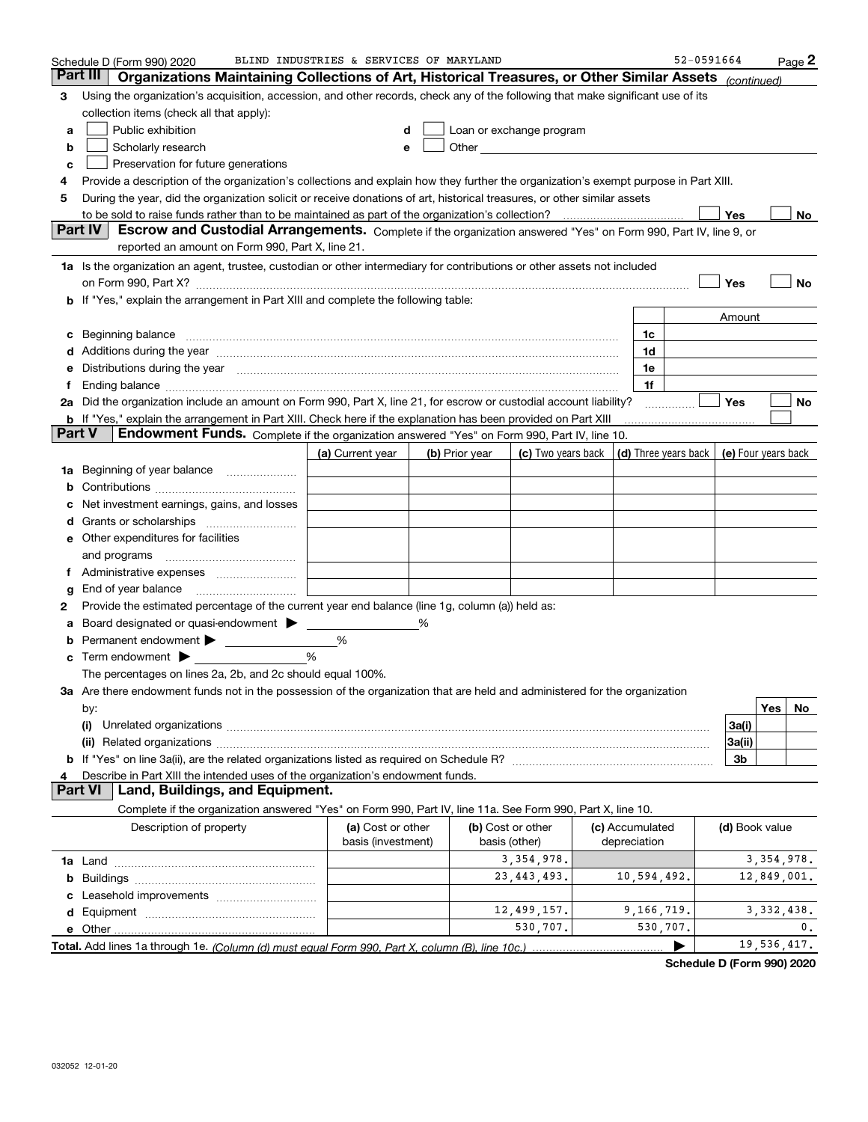|               | Schedule D (Form 990) 2020                                                                                                                                                                                                     | BLIND INDUSTRIES & SERVICES OF MARYLAND |                |                                                                                                                                                                                                                                     |                                                                             | 52-0591664     |              | Page 2 |
|---------------|--------------------------------------------------------------------------------------------------------------------------------------------------------------------------------------------------------------------------------|-----------------------------------------|----------------|-------------------------------------------------------------------------------------------------------------------------------------------------------------------------------------------------------------------------------------|-----------------------------------------------------------------------------|----------------|--------------|--------|
|               | Part III<br>Organizations Maintaining Collections of Art, Historical Treasures, or Other Similar Assets (continued)                                                                                                            |                                         |                |                                                                                                                                                                                                                                     |                                                                             |                |              |        |
| 3             | Using the organization's acquisition, accession, and other records, check any of the following that make significant use of its                                                                                                |                                         |                |                                                                                                                                                                                                                                     |                                                                             |                |              |        |
|               | collection items (check all that apply):                                                                                                                                                                                       |                                         |                |                                                                                                                                                                                                                                     |                                                                             |                |              |        |
| a             | Public exhibition                                                                                                                                                                                                              | d                                       |                | Loan or exchange program                                                                                                                                                                                                            |                                                                             |                |              |        |
| b             | Scholarly research                                                                                                                                                                                                             | e                                       |                | Other <b>Community</b> Change of the Community of the Community Change of the Community Change of the Community Change of the Community Change of the Community Change of the Community Change of the Community Change of the Commu |                                                                             |                |              |        |
| c             | Preservation for future generations                                                                                                                                                                                            |                                         |                |                                                                                                                                                                                                                                     |                                                                             |                |              |        |
| 4             | Provide a description of the organization's collections and explain how they further the organization's exempt purpose in Part XIII.                                                                                           |                                         |                |                                                                                                                                                                                                                                     |                                                                             |                |              |        |
| 5             | During the year, did the organization solicit or receive donations of art, historical treasures, or other similar assets                                                                                                       |                                         |                |                                                                                                                                                                                                                                     |                                                                             |                |              |        |
|               |                                                                                                                                                                                                                                |                                         |                |                                                                                                                                                                                                                                     |                                                                             | Yes            |              | No     |
|               | Part IV<br>Escrow and Custodial Arrangements. Complete if the organization answered "Yes" on Form 990, Part IV, line 9, or                                                                                                     |                                         |                |                                                                                                                                                                                                                                     |                                                                             |                |              |        |
|               | reported an amount on Form 990, Part X, line 21.                                                                                                                                                                               |                                         |                |                                                                                                                                                                                                                                     |                                                                             |                |              |        |
|               | 1a Is the organization an agent, trustee, custodian or other intermediary for contributions or other assets not included                                                                                                       |                                         |                |                                                                                                                                                                                                                                     |                                                                             |                |              |        |
|               | on Form 990, Part X? [11] matter contracts and contracts and contracts are contracted as a function of the set of the set of the set of the set of the set of the set of the set of the set of the set of the set of the set o |                                         |                |                                                                                                                                                                                                                                     |                                                                             | Yes            |              | No     |
|               | b If "Yes," explain the arrangement in Part XIII and complete the following table:                                                                                                                                             |                                         |                |                                                                                                                                                                                                                                     |                                                                             |                |              |        |
|               |                                                                                                                                                                                                                                |                                         |                |                                                                                                                                                                                                                                     |                                                                             | Amount         |              |        |
| c             |                                                                                                                                                                                                                                |                                         |                |                                                                                                                                                                                                                                     | 1c                                                                          |                |              |        |
|               |                                                                                                                                                                                                                                |                                         |                |                                                                                                                                                                                                                                     | 1d                                                                          |                |              |        |
|               | e Distributions during the year manufactured and contain an account of the state of the state of the state of the state of the state of the state of the state of the state of the state of the state of the state of the stat |                                         |                |                                                                                                                                                                                                                                     | 1e                                                                          |                |              |        |
|               |                                                                                                                                                                                                                                |                                         |                |                                                                                                                                                                                                                                     | 1f                                                                          |                |              |        |
|               | 2a Did the organization include an amount on Form 990, Part X, line 21, for escrow or custodial account liability?                                                                                                             |                                         |                |                                                                                                                                                                                                                                     |                                                                             | <b>Yes</b>     |              | No     |
| <b>Part V</b> | <b>b</b> If "Yes," explain the arrangement in Part XIII. Check here if the explanation has been provided on Part XIII                                                                                                          |                                         |                |                                                                                                                                                                                                                                     |                                                                             |                |              |        |
|               | Endowment Funds. Complete if the organization answered "Yes" on Form 990, Part IV, line 10.                                                                                                                                    |                                         |                |                                                                                                                                                                                                                                     |                                                                             |                |              |        |
|               |                                                                                                                                                                                                                                | (a) Current year                        | (b) Prior year |                                                                                                                                                                                                                                     | (c) Two years back $\vert$ (d) Three years back $\vert$ (e) Four years back |                |              |        |
|               | <b>1a</b> Beginning of year balance <i>manumerance</i>                                                                                                                                                                         |                                         |                |                                                                                                                                                                                                                                     |                                                                             |                |              |        |
| b             |                                                                                                                                                                                                                                |                                         |                |                                                                                                                                                                                                                                     |                                                                             |                |              |        |
| c             | Net investment earnings, gains, and losses                                                                                                                                                                                     |                                         |                |                                                                                                                                                                                                                                     |                                                                             |                |              |        |
|               |                                                                                                                                                                                                                                |                                         |                |                                                                                                                                                                                                                                     |                                                                             |                |              |        |
|               | e Other expenditures for facilities                                                                                                                                                                                            |                                         |                |                                                                                                                                                                                                                                     |                                                                             |                |              |        |
|               | and programs                                                                                                                                                                                                                   |                                         |                |                                                                                                                                                                                                                                     |                                                                             |                |              |        |
|               |                                                                                                                                                                                                                                |                                         |                |                                                                                                                                                                                                                                     |                                                                             |                |              |        |
| g             | End of year balance                                                                                                                                                                                                            |                                         |                |                                                                                                                                                                                                                                     |                                                                             |                |              |        |
| 2             | Provide the estimated percentage of the current year end balance (line 1g, column (a)) held as:                                                                                                                                |                                         |                |                                                                                                                                                                                                                                     |                                                                             |                |              |        |
|               | a Board designated or quasi-endowment >                                                                                                                                                                                        |                                         | ℅              |                                                                                                                                                                                                                                     |                                                                             |                |              |        |
| b             |                                                                                                                                                                                                                                | %                                       |                |                                                                                                                                                                                                                                     |                                                                             |                |              |        |
|               | $\mathbf c$ Term endowment $\blacktriangleright$                                                                                                                                                                               | %                                       |                |                                                                                                                                                                                                                                     |                                                                             |                |              |        |
|               | The percentages on lines 2a, 2b, and 2c should equal 100%.                                                                                                                                                                     |                                         |                |                                                                                                                                                                                                                                     |                                                                             |                |              |        |
|               | 3a Are there endowment funds not in the possession of the organization that are held and administered for the organization                                                                                                     |                                         |                |                                                                                                                                                                                                                                     |                                                                             |                |              |        |
|               | by:                                                                                                                                                                                                                            |                                         |                |                                                                                                                                                                                                                                     |                                                                             |                | Yes          | No     |
|               | (i)                                                                                                                                                                                                                            |                                         |                |                                                                                                                                                                                                                                     |                                                                             | 3a(i)          |              |        |
|               |                                                                                                                                                                                                                                |                                         |                |                                                                                                                                                                                                                                     |                                                                             | 3a(ii)<br>3b   |              |        |
| 4             | Describe in Part XIII the intended uses of the organization's endowment funds.                                                                                                                                                 |                                         |                |                                                                                                                                                                                                                                     |                                                                             |                |              |        |
|               | Land, Buildings, and Equipment.<br><b>Part VI</b>                                                                                                                                                                              |                                         |                |                                                                                                                                                                                                                                     |                                                                             |                |              |        |
|               | Complete if the organization answered "Yes" on Form 990, Part IV, line 11a. See Form 990, Part X, line 10.                                                                                                                     |                                         |                |                                                                                                                                                                                                                                     |                                                                             |                |              |        |
|               | Description of property                                                                                                                                                                                                        | (a) Cost or other                       |                | (b) Cost or other                                                                                                                                                                                                                   | (c) Accumulated                                                             | (d) Book value |              |        |
|               |                                                                                                                                                                                                                                | basis (investment)                      |                | basis (other)                                                                                                                                                                                                                       | depreciation                                                                |                |              |        |
|               |                                                                                                                                                                                                                                |                                         |                | 3, 354, 978.                                                                                                                                                                                                                        |                                                                             |                | 3, 354, 978. |        |
|               |                                                                                                                                                                                                                                |                                         |                | 23, 443, 493.                                                                                                                                                                                                                       | 10,594,492.                                                                 |                | 12,849,001.  |        |
|               |                                                                                                                                                                                                                                |                                         |                |                                                                                                                                                                                                                                     |                                                                             |                |              |        |
|               |                                                                                                                                                                                                                                |                                         |                | 12,499,157.                                                                                                                                                                                                                         | 9,166,719.                                                                  |                | 3,332,438.   |        |
|               |                                                                                                                                                                                                                                |                                         |                | 530,707.                                                                                                                                                                                                                            | 530,707.                                                                    |                |              | 0.     |
|               |                                                                                                                                                                                                                                |                                         |                |                                                                                                                                                                                                                                     | ▶                                                                           |                | 19,536,417.  |        |
|               |                                                                                                                                                                                                                                |                                         |                |                                                                                                                                                                                                                                     |                                                                             |                |              |        |

**Schedule D (Form 990) 2020**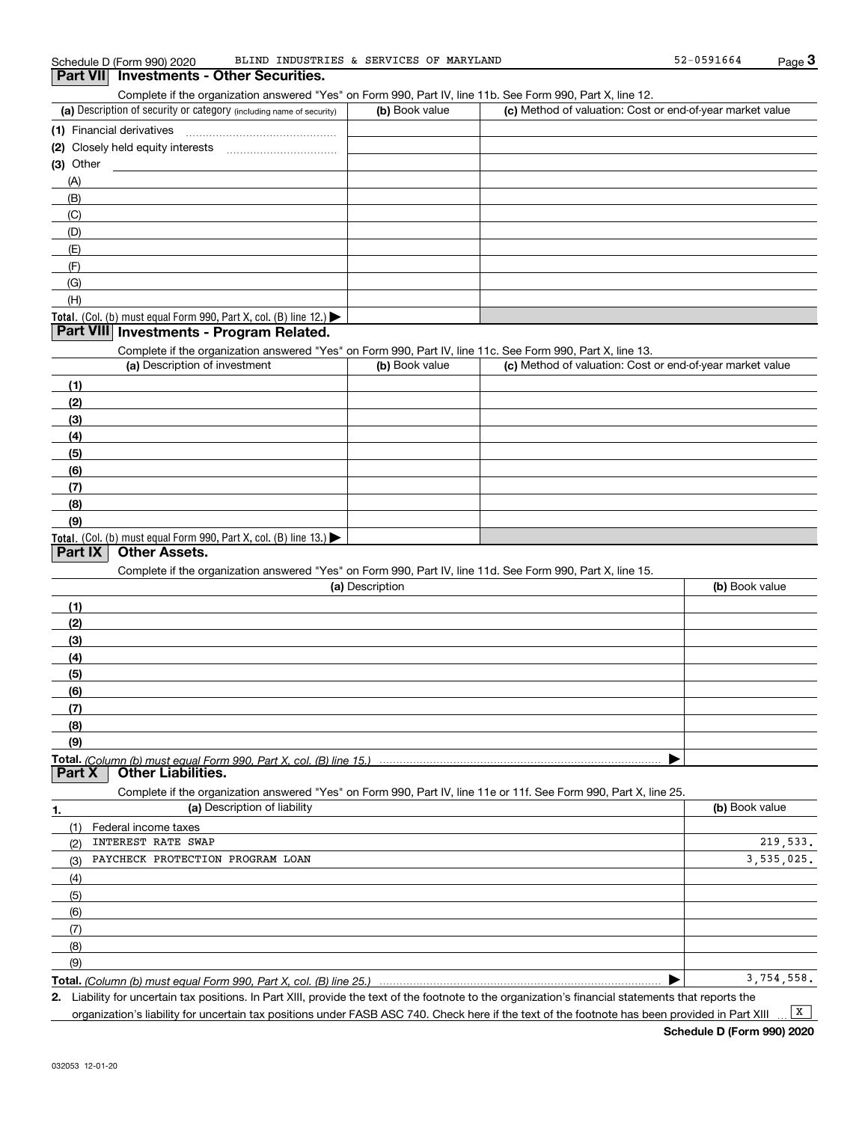Complete if the organization answered "Yes" on Form 990, Part IV, line 11b. See Form 990, Part X, line 12.

| (a) Description of security or category (including name of security)                   | (b) Book value | (c) Method of valuation: Cost or end-of-year market value |
|----------------------------------------------------------------------------------------|----------------|-----------------------------------------------------------|
| (1) Financial derivatives                                                              |                |                                                           |
| (2) Closely held equity interests                                                      |                |                                                           |
| $(3)$ Other                                                                            |                |                                                           |
| (A)                                                                                    |                |                                                           |
| (B)                                                                                    |                |                                                           |
| (C)                                                                                    |                |                                                           |
| (D)                                                                                    |                |                                                           |
| (E)                                                                                    |                |                                                           |
| (F)                                                                                    |                |                                                           |
| (G)                                                                                    |                |                                                           |
| (H)                                                                                    |                |                                                           |
| Total. (Col. (b) must equal Form 990, Part X, col. (B) line 12.) $\blacktriangleright$ |                |                                                           |

## **Part VIII Investments - Program Related.**

Complete if the organization answered "Yes" on Form 990, Part IV, line 11c. See Form 990, Part X, line 13.

| (a) Description of investment                                    | (b) Book value | (c) Method of valuation: Cost or end-of-year market value |
|------------------------------------------------------------------|----------------|-----------------------------------------------------------|
| (1)                                                              |                |                                                           |
| (2)                                                              |                |                                                           |
| (3)                                                              |                |                                                           |
| (4)                                                              |                |                                                           |
| (5)                                                              |                |                                                           |
| (6)                                                              |                |                                                           |
| (7)                                                              |                |                                                           |
| (8)                                                              |                |                                                           |
| (9)                                                              |                |                                                           |
| Total. (Col. (b) must equal Form 990, Part X, col. (B) line 13.) |                |                                                           |

## **Part IX Other Assets.**

Complete if the organization answered "Yes" on Form 990, Part IV, line 11d. See Form 990, Part X, line 15.

|        | (a) Description                                                                                                   | (b) Book value |
|--------|-------------------------------------------------------------------------------------------------------------------|----------------|
| (1)    |                                                                                                                   |                |
| (2)    |                                                                                                                   |                |
| (3)    |                                                                                                                   |                |
| (4)    |                                                                                                                   |                |
| (5)    |                                                                                                                   |                |
| (6)    |                                                                                                                   |                |
| (7)    |                                                                                                                   |                |
| (8)    |                                                                                                                   |                |
| (9)    |                                                                                                                   |                |
|        |                                                                                                                   |                |
| Part X | <b>Other Liabilities.</b>                                                                                         |                |
|        | Complete if the organization answered "Yes" on Form 990, Part IV, line 11e or 11f. See Form 990, Part X, line 25. |                |
| 1.     | (a) Description of liability                                                                                      | (b) Book value |
|        | $(4)$ Federal increased to $(4)$                                                                                  |                |

| Federal income taxes<br>(1)             |            |
|-----------------------------------------|------------|
| INTEREST RATE SWAP<br>(2)               | 219,533.   |
| PAYCHECK PROTECTION PROGRAM LOAN<br>(3) | 3,535,025. |
| (4)                                     |            |
| (5)                                     |            |
| (6)                                     |            |
| (7)                                     |            |
| (8)                                     |            |
| (9)                                     |            |
|                                         | 3.754.558. |

**Total.**  *(Column (b) must equal Form 990, Part X, col. (B) line 25.)*

**2.** Liability for uncertain tax positions. In Part XIII, provide the text of the footnote to the organization's financial statements that reports the organization's liability for uncertain tax positions under FASB ASC 740. Check here if the text of the footnote has been provided in Part XIII  $\boxed{\mathbf{X}}$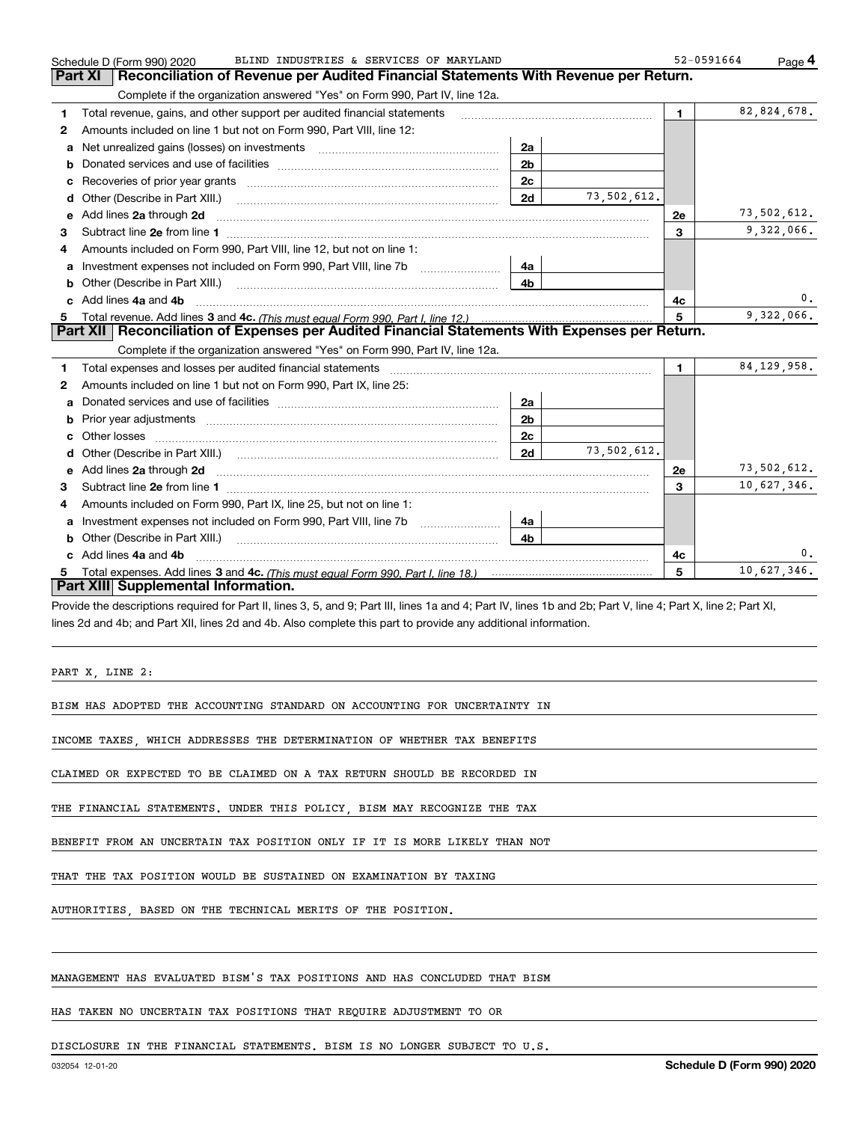|    | BLIND INDUSTRIES & SERVICES OF MARYLAND<br>Schedule D (Form 990) 2020                                                                                                                                                               |                |             | 52-0591664     | Page 4        |
|----|-------------------------------------------------------------------------------------------------------------------------------------------------------------------------------------------------------------------------------------|----------------|-------------|----------------|---------------|
|    | Reconciliation of Revenue per Audited Financial Statements With Revenue per Return.<br>Part XI                                                                                                                                      |                |             |                |               |
|    | Complete if the organization answered "Yes" on Form 990, Part IV, line 12a.                                                                                                                                                         |                |             |                |               |
| 1. | Total revenue, gains, and other support per audited financial statements                                                                                                                                                            |                |             | $\blacksquare$ | 82,824,678.   |
| 2  | Amounts included on line 1 but not on Form 990, Part VIII, line 12:                                                                                                                                                                 |                |             |                |               |
| a  |                                                                                                                                                                                                                                     | 2a             |             |                |               |
| b  |                                                                                                                                                                                                                                     | 2 <sub>b</sub> |             |                |               |
|    |                                                                                                                                                                                                                                     | 2c             |             |                |               |
| d  | Other (Describe in Part XIII.) <b>Construction Contract Construction</b> Construction Construction Construction Construction Construction Construction Construction Construction Construction Construction Construction Constructio | 2d             | 73,502,612. |                |               |
| е  | Add lines 2a through 2d                                                                                                                                                                                                             |                |             | <b>2e</b>      | 73,502,612.   |
| 3  |                                                                                                                                                                                                                                     |                |             | 3              | 9,322,066.    |
| 4  | Amounts included on Form 990. Part VIII, line 12, but not on line 1:                                                                                                                                                                |                |             |                |               |
|    |                                                                                                                                                                                                                                     | 4a             |             |                |               |
| b  |                                                                                                                                                                                                                                     | 4b             |             |                |               |
|    | Add lines 4a and 4b                                                                                                                                                                                                                 |                |             | 4с             | 0.            |
| c. |                                                                                                                                                                                                                                     |                |             |                |               |
|    |                                                                                                                                                                                                                                     |                |             | 5              | 9,322,066.    |
|    | Part XII   Reconciliation of Expenses per Audited Financial Statements With Expenses per Return.                                                                                                                                    |                |             |                |               |
|    | Complete if the organization answered "Yes" on Form 990, Part IV, line 12a.                                                                                                                                                         |                |             |                |               |
| 1  | Total expenses and losses per audited financial statements [11] [11] Total expenses and losses per audited financial statements [11] [11] Total expenses and losses per audited financial statements                                |                |             | 1.             | 84, 129, 958. |
| 2  | Amounts included on line 1 but not on Form 990, Part IX, line 25:                                                                                                                                                                   |                |             |                |               |
| a  |                                                                                                                                                                                                                                     | 2a             |             |                |               |
| b  |                                                                                                                                                                                                                                     | 2 <sub>b</sub> |             |                |               |
| c  |                                                                                                                                                                                                                                     | 2c             |             |                |               |
| d  |                                                                                                                                                                                                                                     | 2d             | 73,502,612. |                |               |
| е  |                                                                                                                                                                                                                                     |                |             | <b>2e</b>      | 73,502,612.   |
| 3  | Add lines 2a through 2d <b>contained a contained a contained a contained a</b> contained a contained a contained a contained a contained a contained a contained a contained a contained a contained a contained a contained a cont |                |             | 3              | 10,627,346.   |
| 4  | Amounts included on Form 990, Part IX, line 25, but not on line 1:                                                                                                                                                                  |                |             |                |               |
| a  | Investment expenses not included on Form 990, Part VIII, line 7b [1000000000000000000000000000000000                                                                                                                                | 4a             |             |                |               |
| b  | Other (Describe in Part XIII.) <b>Construction Contract Construction</b> Chern Construction Construction Construction                                                                                                               | 4b.            |             |                |               |
|    | c Add lines 4a and 4b                                                                                                                                                                                                               |                |             | 4c             | 0.            |
|    |                                                                                                                                                                                                                                     |                |             | 5              | 10,627,346.   |
|    | Part XIII Supplemental Information.                                                                                                                                                                                                 |                |             |                |               |

Provide the descriptions required for Part II, lines 3, 5, and 9; Part III, lines 1a and 4; Part IV, lines 1b and 2b; Part V, line 4; Part X, line 2; Part XI, lines 2d and 4b; and Part XII, lines 2d and 4b. Also complete this part to provide any additional information.

PART X, LINE 2:

BISM HAS ADOPTED THE ACCOUNTING STANDARD ON ACCOUNTING FOR UNCERTAINTY IN

INCOME TAXES, WHICH ADDRESSES THE DETERMINATION OF WHETHER TAX BENEFITS

CLAIMED OR EXPECTED TO BE CLAIMED ON A TAX RETURN SHOULD BE RECORDED IN

THE FINANCIAL STATEMENTS. UNDER THIS POLICY, BISM MAY RECOGNIZE THE TAX

BENEFIT FROM AN UNCERTAIN TAX POSITION ONLY IF IT IS MORE LIKELY THAN NOT

THAT THE TAX POSITION WOULD BE SUSTAINED ON EXAMINATION BY TAXING

AUTHORITIES, BASED ON THE TECHNICAL MERITS OF THE POSITION.

## MANAGEMENT HAS EVALUATED BISM'S TAX POSITIONS AND HAS CONCLUDED THAT BISM

HAS TAKEN NO UNCERTAIN TAX POSITIONS THAT REQUIRE ADJUSTMENT TO OR

DISCLOSURE IN THE FINANCIAL STATEMENTS. BISM IS NO LONGER SUBJECT TO U.S.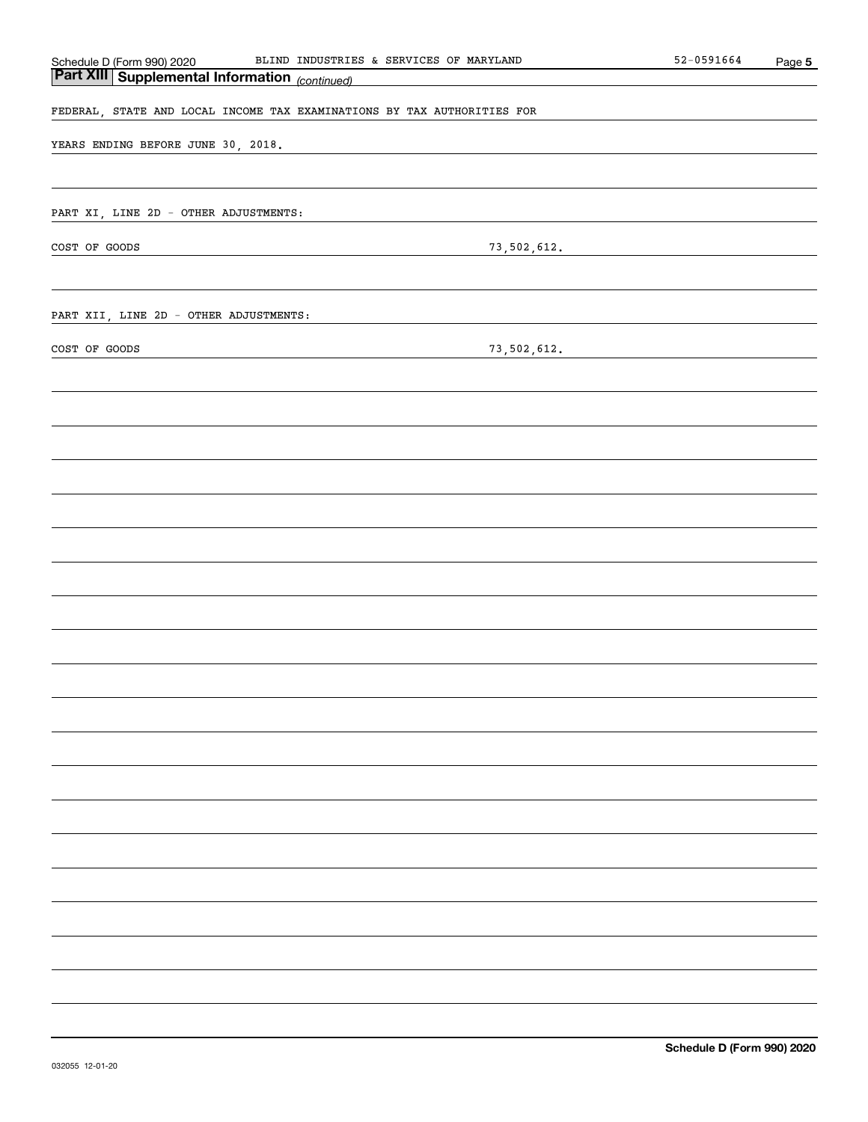|                                                                                                       | BLIND INDUSTRIES & SERVICES OF MARYLAND                                 | $52 - 0591664$ | Page 5 |
|-------------------------------------------------------------------------------------------------------|-------------------------------------------------------------------------|----------------|--------|
| Schedule D (Form 990) 2020 BLIND INDUSTRIE<br><b>Part XIII   Supplemental Information</b> (continued) |                                                                         |                |        |
|                                                                                                       | FEDERAL, STATE AND LOCAL INCOME TAX EXAMINATIONS BY TAX AUTHORITIES FOR |                |        |
|                                                                                                       |                                                                         |                |        |
| YEARS ENDING BEFORE JUNE 30, 2018.                                                                    | the control of the control of the control of the                        |                |        |
|                                                                                                       |                                                                         |                |        |
|                                                                                                       |                                                                         |                |        |
| PART XI, LINE 2D - OTHER ADJUSTMENTS:                                                                 |                                                                         |                |        |
| COST OF GOODS                                                                                         | 73,502,612.                                                             |                |        |
|                                                                                                       |                                                                         |                |        |
|                                                                                                       |                                                                         |                |        |
| PART XII, LINE 2D - OTHER ADJUSTMENTS:                                                                |                                                                         |                |        |
|                                                                                                       |                                                                         |                |        |
| COST OF GOODS                                                                                         | 73,502,612.                                                             |                |        |
|                                                                                                       |                                                                         |                |        |
|                                                                                                       |                                                                         |                |        |
|                                                                                                       |                                                                         |                |        |
|                                                                                                       |                                                                         |                |        |
|                                                                                                       |                                                                         |                |        |
|                                                                                                       |                                                                         |                |        |
|                                                                                                       |                                                                         |                |        |
|                                                                                                       |                                                                         |                |        |
|                                                                                                       |                                                                         |                |        |
|                                                                                                       |                                                                         |                |        |
|                                                                                                       |                                                                         |                |        |
|                                                                                                       |                                                                         |                |        |
|                                                                                                       |                                                                         |                |        |
|                                                                                                       |                                                                         |                |        |
|                                                                                                       |                                                                         |                |        |
|                                                                                                       |                                                                         |                |        |
|                                                                                                       |                                                                         |                |        |
|                                                                                                       |                                                                         |                |        |
|                                                                                                       |                                                                         |                |        |
|                                                                                                       |                                                                         |                |        |
|                                                                                                       |                                                                         |                |        |
|                                                                                                       |                                                                         |                |        |
|                                                                                                       |                                                                         |                |        |
|                                                                                                       |                                                                         |                |        |
|                                                                                                       |                                                                         |                |        |
|                                                                                                       |                                                                         |                |        |
|                                                                                                       |                                                                         |                |        |
|                                                                                                       |                                                                         |                |        |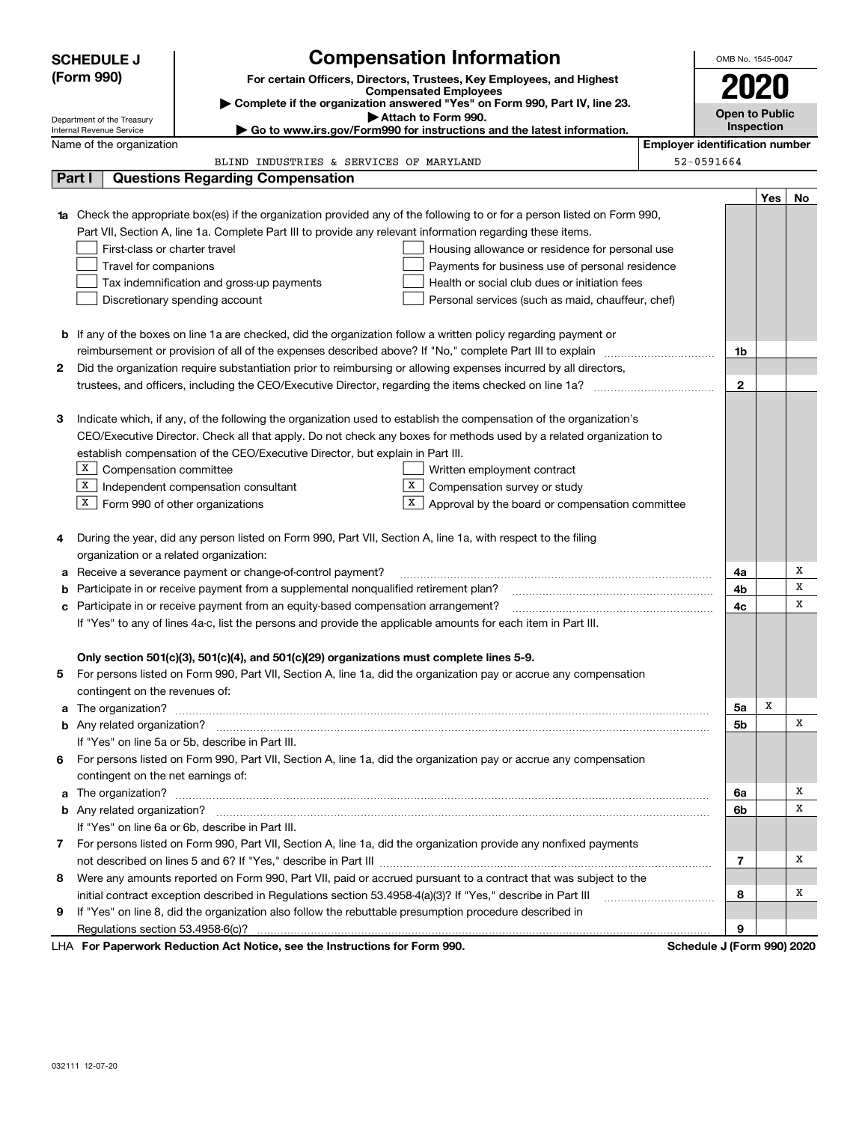|        | <b>SCHEDULE J</b>                                      | <b>Compensation Information</b>                                                                                                  |                                       | OMB No. 1545-0047          |     |    |
|--------|--------------------------------------------------------|----------------------------------------------------------------------------------------------------------------------------------|---------------------------------------|----------------------------|-----|----|
|        | (Form 990)                                             | For certain Officers, Directors, Trustees, Key Employees, and Highest                                                            |                                       |                            |     |    |
|        |                                                        | <b>Compensated Employees</b>                                                                                                     |                                       | 2020                       |     |    |
|        |                                                        | Complete if the organization answered "Yes" on Form 990, Part IV, line 23.<br>Attach to Form 990.                                |                                       | <b>Open to Public</b>      |     |    |
|        | Department of the Treasury<br>Internal Revenue Service | Go to www.irs.gov/Form990 for instructions and the latest information.                                                           |                                       | Inspection                 |     |    |
|        | Name of the organization                               |                                                                                                                                  | <b>Employer identification number</b> |                            |     |    |
|        |                                                        | BLIND INDUSTRIES & SERVICES OF MARYLAND                                                                                          |                                       | 52-0591664                 |     |    |
| Part I |                                                        | <b>Questions Regarding Compensation</b>                                                                                          |                                       |                            |     |    |
|        |                                                        |                                                                                                                                  |                                       |                            | Yes | No |
|        |                                                        | <b>1a</b> Check the appropriate box(es) if the organization provided any of the following to or for a person listed on Form 990, |                                       |                            |     |    |
|        |                                                        | Part VII, Section A, line 1a. Complete Part III to provide any relevant information regarding these items.                       |                                       |                            |     |    |
|        | First-class or charter travel                          | Housing allowance or residence for personal use                                                                                  |                                       |                            |     |    |
|        | Travel for companions                                  | Payments for business use of personal residence                                                                                  |                                       |                            |     |    |
|        |                                                        | Health or social club dues or initiation fees<br>Tax indemnification and gross-up payments                                       |                                       |                            |     |    |
|        |                                                        | Discretionary spending account<br>Personal services (such as maid, chauffeur, chef)                                              |                                       |                            |     |    |
|        |                                                        |                                                                                                                                  |                                       |                            |     |    |
|        |                                                        | <b>b</b> If any of the boxes on line 1a are checked, did the organization follow a written policy regarding payment or           |                                       |                            |     |    |
|        |                                                        | reimbursement or provision of all of the expenses described above? If "No," complete Part III to explain                         |                                       | 1b                         |     |    |
| 2      |                                                        | Did the organization require substantiation prior to reimbursing or allowing expenses incurred by all directors,                 |                                       |                            |     |    |
|        |                                                        |                                                                                                                                  |                                       | $\mathbf{2}$               |     |    |
|        |                                                        |                                                                                                                                  |                                       |                            |     |    |
| З      |                                                        | Indicate which, if any, of the following the organization used to establish the compensation of the organization's               |                                       |                            |     |    |
|        |                                                        | CEO/Executive Director. Check all that apply. Do not check any boxes for methods used by a related organization to               |                                       |                            |     |    |
|        |                                                        | establish compensation of the CEO/Executive Director, but explain in Part III.                                                   |                                       |                            |     |    |
|        | X  <br>Compensation committee                          | Written employment contract                                                                                                      |                                       |                            |     |    |
|        | X                                                      | х<br>Independent compensation consultant<br>Compensation survey or study<br>х                                                    |                                       |                            |     |    |
|        | $X$ Form 990 of other organizations                    | Approval by the board or compensation committee                                                                                  |                                       |                            |     |    |
| 4      |                                                        | During the year, did any person listed on Form 990, Part VII, Section A, line 1a, with respect to the filing                     |                                       |                            |     |    |
|        | organization or a related organization:                |                                                                                                                                  |                                       |                            |     |    |
| а      |                                                        | Receive a severance payment or change-of-control payment?                                                                        |                                       | 4a                         |     | х  |
| b      |                                                        | Participate in or receive payment from a supplemental nonqualified retirement plan?                                              |                                       | 4b                         |     | х  |
| с      |                                                        | Participate in or receive payment from an equity-based compensation arrangement?                                                 |                                       | 4с                         |     | Х  |
|        |                                                        | If "Yes" to any of lines 4a-c, list the persons and provide the applicable amounts for each item in Part III.                    |                                       |                            |     |    |
|        |                                                        |                                                                                                                                  |                                       |                            |     |    |
|        |                                                        | Only section 501(c)(3), 501(c)(4), and 501(c)(29) organizations must complete lines 5-9.                                         |                                       |                            |     |    |
|        |                                                        | For persons listed on Form 990, Part VII, Section A, line 1a, did the organization pay or accrue any compensation                |                                       |                            |     |    |
|        | contingent on the revenues of:                         |                                                                                                                                  |                                       |                            |     |    |
|        |                                                        | a The organization? <b>Constitution</b> and the organization? <b>Constitution</b> and the organization?                          |                                       | 5a                         | X   |    |
|        |                                                        |                                                                                                                                  |                                       | 5b                         |     | х  |
|        |                                                        | If "Yes" on line 5a or 5b, describe in Part III.                                                                                 |                                       |                            |     |    |
| 6.     |                                                        | For persons listed on Form 990, Part VII, Section A, line 1a, did the organization pay or accrue any compensation                |                                       |                            |     |    |
|        | contingent on the net earnings of:                     |                                                                                                                                  |                                       |                            |     |    |
|        |                                                        | a The organization? <b>Entitled Strategies and Strategies and Strategies</b> and The organization?                               |                                       | 6a                         |     | x  |
|        |                                                        |                                                                                                                                  |                                       | 6b                         |     | х  |
|        |                                                        | If "Yes" on line 6a or 6b, describe in Part III.                                                                                 |                                       |                            |     |    |
|        |                                                        | 7 For persons listed on Form 990, Part VII, Section A, line 1a, did the organization provide any nonfixed payments               |                                       |                            |     |    |
|        |                                                        |                                                                                                                                  |                                       | 7                          |     | х  |
| 8      |                                                        | Were any amounts reported on Form 990, Part VII, paid or accrued pursuant to a contract that was subject to the                  |                                       |                            |     |    |
|        |                                                        | initial contract exception described in Regulations section 53.4958-4(a)(3)? If "Yes," describe in Part III                      |                                       | 8                          |     | х  |
| 9      |                                                        | If "Yes" on line 8, did the organization also follow the rebuttable presumption procedure described in                           |                                       |                            |     |    |
|        |                                                        |                                                                                                                                  |                                       | 9                          |     |    |
|        |                                                        | LHA For Paperwork Reduction Act Notice, see the Instructions for Form 990.                                                       |                                       | Schedule J (Form 990) 2020 |     |    |

032111 12-07-20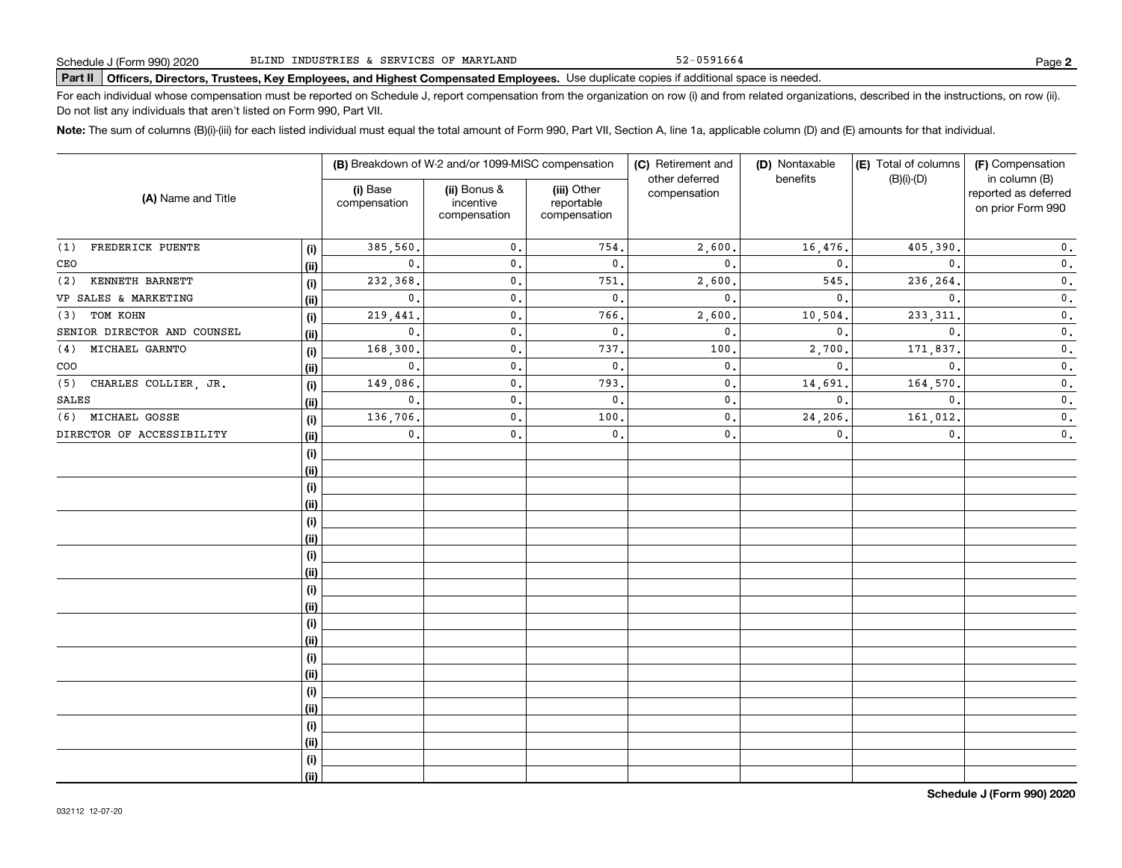52-0591664

# **Part II Officers, Directors, Trustees, Key Employees, and Highest Compensated Employees.**  Schedule J (Form 990) 2020 Page Use duplicate copies if additional space is needed.

For each individual whose compensation must be reported on Schedule J, report compensation from the organization on row (i) and from related organizations, described in the instructions, on row (ii). Do not list any individuals that aren't listed on Form 990, Part VII.

**Note:**  The sum of columns (B)(i)-(iii) for each listed individual must equal the total amount of Form 990, Part VII, Section A, line 1a, applicable column (D) and (E) amounts for that individual.

|                             |      |                          | (B) Breakdown of W-2 and/or 1099-MISC compensation |                                           | (C) Retirement and             | (D) Nontaxable | (E) Total of columns | (F) Compensation                                           |  |
|-----------------------------|------|--------------------------|----------------------------------------------------|-------------------------------------------|--------------------------------|----------------|----------------------|------------------------------------------------------------|--|
| (A) Name and Title          |      | (i) Base<br>compensation | (ii) Bonus &<br>incentive<br>compensation          | (iii) Other<br>reportable<br>compensation | other deferred<br>compensation | benefits       | $(B)(i)-(D)$         | in column (B)<br>reported as deferred<br>on prior Form 990 |  |
| FREDERICK PUENTE<br>(1)     | (i)  | 385,560.                 | 0.                                                 | 754.                                      | 2,600.                         | 16,476.        | 405,390.             | $\mathbf 0$ .                                              |  |
| CEO                         | (ii) | $\mathbf{0}$ .           | $\mathbf{0}$ .                                     | $\mathbf{0}$ .                            | $\mathbf{0}$ .                 | 0.             | 0.                   | $\mathfrak o$ .                                            |  |
| KENNETH BARNETT<br>(2)      | (i)  | 232,368.                 | 0.                                                 | 751,                                      | 2,600                          | 545.           | 236,264.             | $\mathfrak o$ .                                            |  |
| VP SALES & MARKETING        | (ii) | $\mathbf 0$ .            | $\mathbf{0}$ .                                     | $\mathfrak o$ .                           | $\mathbf{0}$ .                 | 0.             | $\mathbf{0}$ .       | $\mathbf 0$ .                                              |  |
| TOM KOHN<br>(3)             | (i)  | 219,441.                 | 0.                                                 | 766.                                      | 2,600                          | 10,504.        | 233, 311.            | $\mathbf 0$ .                                              |  |
| SENIOR DIRECTOR AND COUNSEL | (ii) | $\mathbf{0}$ .           | $0$ .                                              | $\mathsf{0}\,.$                           | $\mathbf{0}$                   | 0.             | $\mathbf{0}$ .       | $\mathbf 0$ .                                              |  |
| MICHAEL GARNTO<br>(4)       | (i)  | 168,300.                 | $\mathfrak o$ .                                    | 737.                                      | 100                            | 2,700.         | 171,837.             | $\mathfrak o$ .                                            |  |
| COO                         | (ii) | $\mathbf{0}$ .           | $\mathbf{0}$ .                                     | $\mathsf{0}\,.$                           | $\mathbf{0}$ .                 | 0.             | $\mathbf{0}$ .       | $\mathfrak o$ .                                            |  |
| CHARLES COLLIER, JR.<br>(5) | (i)  | 149,086.                 | $\mathbf{0}$ .                                     | 793.                                      | 0.                             | 14,691         | 164,570.             | $\mathbf 0$ .                                              |  |
| <b>SALES</b>                | (ii) | $\mathbf{0}$ .           | 0.                                                 | $\mathsf{0}\,.$                           | 0.                             | 0.             | $\mathbf{0}$ .       | $\mathbf 0$ .                                              |  |
| MICHAEL GOSSE<br>(6)        | (i)  | 136,706.                 | $\mathfrak o$ .                                    | 100.                                      | 0.                             | 24,206.        | 161,012.             | $\mathfrak o$ .                                            |  |
| DIRECTOR OF ACCESSIBILITY   | (ii) | $\mathbf{0}$ .           | 0.                                                 | $\mathsf{0}$ .                            | 0.                             | 0.             | $\mathsf{0}$ .       | $\mathbf 0$ .                                              |  |
|                             | (i)  |                          |                                                    |                                           |                                |                |                      |                                                            |  |
|                             | (ii) |                          |                                                    |                                           |                                |                |                      |                                                            |  |
|                             | (i)  |                          |                                                    |                                           |                                |                |                      |                                                            |  |
|                             | (ii) |                          |                                                    |                                           |                                |                |                      |                                                            |  |
|                             | (i)  |                          |                                                    |                                           |                                |                |                      |                                                            |  |
|                             | (ii) |                          |                                                    |                                           |                                |                |                      |                                                            |  |
|                             | (i)  |                          |                                                    |                                           |                                |                |                      |                                                            |  |
|                             | (ii) |                          |                                                    |                                           |                                |                |                      |                                                            |  |
|                             | (i)  |                          |                                                    |                                           |                                |                |                      |                                                            |  |
|                             | (ii) |                          |                                                    |                                           |                                |                |                      |                                                            |  |
|                             | (i)  |                          |                                                    |                                           |                                |                |                      |                                                            |  |
|                             | (ii) |                          |                                                    |                                           |                                |                |                      |                                                            |  |
|                             | (i)  |                          |                                                    |                                           |                                |                |                      |                                                            |  |
|                             | (ii) |                          |                                                    |                                           |                                |                |                      |                                                            |  |
|                             | (i)  |                          |                                                    |                                           |                                |                |                      |                                                            |  |
|                             | (ii) |                          |                                                    |                                           |                                |                |                      |                                                            |  |
|                             | (i)  |                          |                                                    |                                           |                                |                |                      |                                                            |  |
|                             | (ii) |                          |                                                    |                                           |                                |                |                      |                                                            |  |
|                             | (i)  |                          |                                                    |                                           |                                |                |                      |                                                            |  |
|                             | (ii) |                          |                                                    |                                           |                                |                |                      |                                                            |  |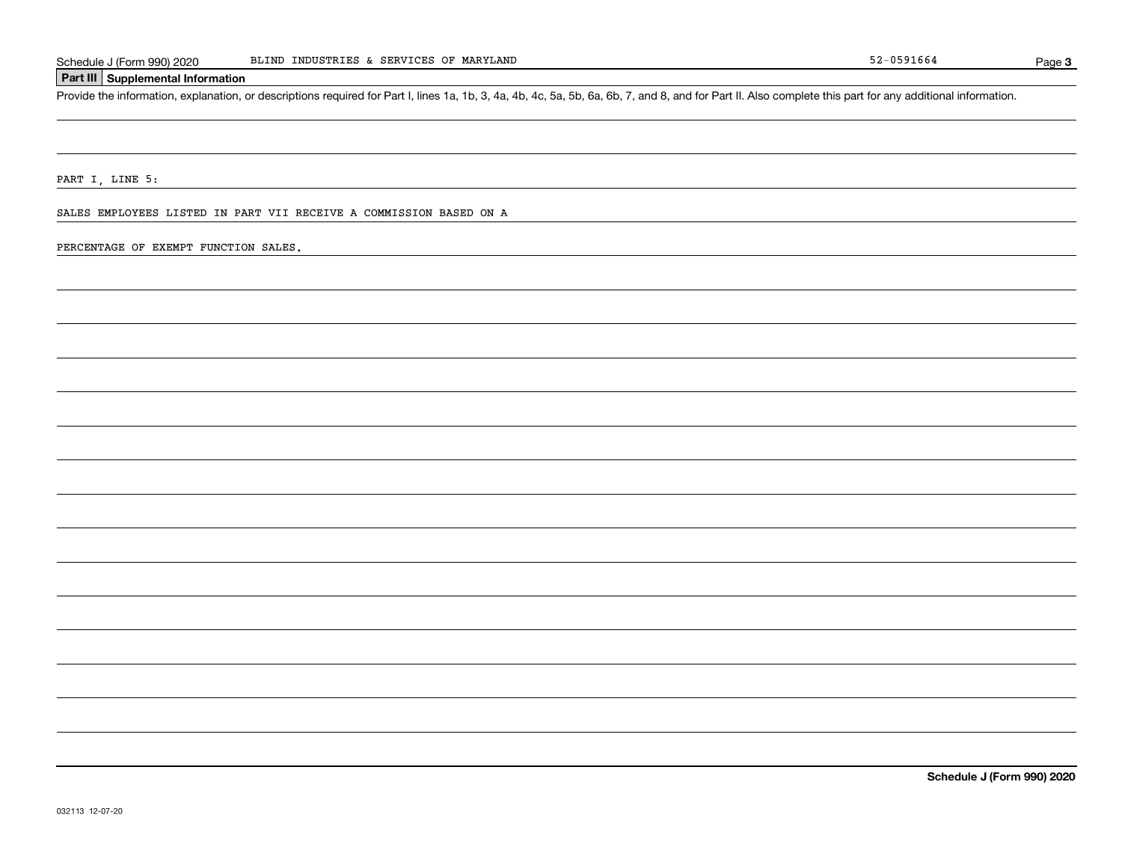## **Part III Supplemental Information**

Schedule J (Form 990) 2020 BLIND INDUSTRIES & SERVICES OF MARYLAND<br>Part III Supplemental Information<br>Provide the information, explanation, or descriptions required for Part I, lines 1a, 1b, 3, 4a, 4b, 4c, 5a, 5b, 6a, 6b, 7

PART I, LINE 5:

SALES EMPLOYEES LISTED IN PART VII RECEIVE A COMMISSION BASED ON A

PERCENTAGE OF EXEMPT FUNCTION SALES.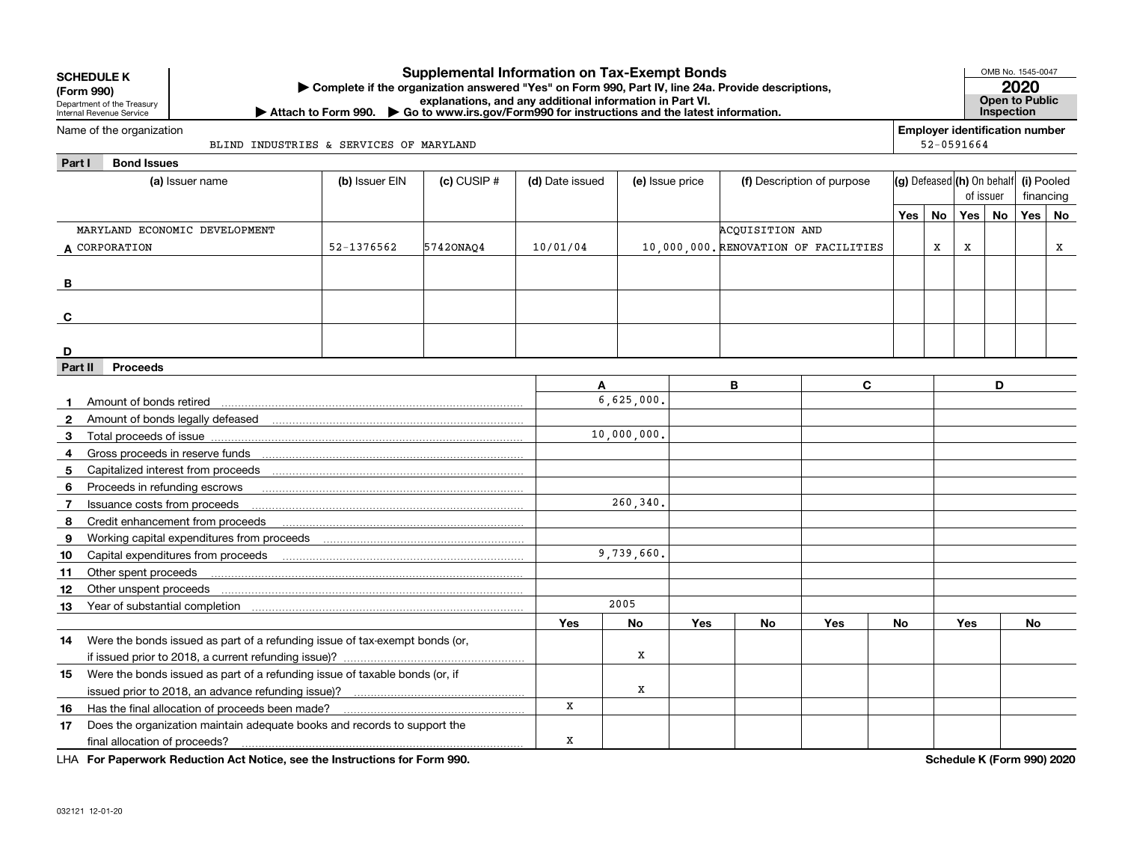|         | <b>Supplemental Information on Tax-Exempt Bonds</b><br><b>SCHEDULE K</b><br>Complete if the organization answered "Yes" on Form 990, Part IV, line 24a. Provide descriptions,<br>(Form 990)<br>explanations, and any additional information in Part VI.<br>Department of the Treasury<br>▶ Attach to Form 990. ▶ Go to www.irs.gov/Form990 for instructions and the latest information.<br>Internal Revenue Service |                                   |           |          |                                    |            |                                      |                            |                            |    | OMB No. 1545-0047<br>Open to Public<br>Inspection | 2020      |           |            |
|---------|---------------------------------------------------------------------------------------------------------------------------------------------------------------------------------------------------------------------------------------------------------------------------------------------------------------------------------------------------------------------------------------------------------------------|-----------------------------------|-----------|----------|------------------------------------|------------|--------------------------------------|----------------------------|----------------------------|----|---------------------------------------------------|-----------|-----------|------------|
|         | Name of the organization                                                                                                                                                                                                                                                                                                                                                                                            |                                   |           |          |                                    |            |                                      |                            |                            |    | <b>Employer identification number</b>             |           |           |            |
|         | BLIND INDUSTRIES & SERVICES OF MARYLAND                                                                                                                                                                                                                                                                                                                                                                             |                                   |           |          |                                    |            |                                      |                            |                            |    | 52-0591664                                        |           |           |            |
| Part I  | <b>Bond Issues</b>                                                                                                                                                                                                                                                                                                                                                                                                  |                                   |           |          |                                    |            |                                      |                            |                            |    |                                                   |           |           |            |
|         | (a) Issuer name                                                                                                                                                                                                                                                                                                                                                                                                     | (b) Issuer EIN<br>$(c)$ CUSIP $#$ |           |          | (d) Date issued<br>(e) Issue price |            |                                      | (f) Description of purpose | (g) Defeased (h) On behalf |    |                                                   | of issuer |           | (i) Pooled |
|         |                                                                                                                                                                                                                                                                                                                                                                                                                     |                                   |           |          |                                    |            |                                      |                            |                            |    |                                                   | financing |           |            |
|         |                                                                                                                                                                                                                                                                                                                                                                                                                     |                                   |           |          |                                    |            |                                      |                            | Yes $ $                    | No | Yes                                               | No        | Yes       | No         |
|         | MARYLAND ECONOMIC DEVELOPMENT                                                                                                                                                                                                                                                                                                                                                                                       | 52-1376562                        |           | 10/01/04 |                                    |            | ACQUISITION AND                      |                            |                            | X  |                                                   |           |           |            |
|         | A CORPORATION                                                                                                                                                                                                                                                                                                                                                                                                       |                                   | 57420NA04 |          |                                    |            | 10,000,000, RENOVATION OF FACILITIES |                            |                            |    | X                                                 |           |           | х          |
|         |                                                                                                                                                                                                                                                                                                                                                                                                                     |                                   |           |          |                                    |            |                                      |                            |                            |    |                                                   |           |           |            |
| В       |                                                                                                                                                                                                                                                                                                                                                                                                                     |                                   |           |          |                                    |            |                                      |                            |                            |    |                                                   |           |           |            |
|         |                                                                                                                                                                                                                                                                                                                                                                                                                     |                                   |           |          |                                    |            |                                      |                            |                            |    |                                                   |           |           |            |
| C       |                                                                                                                                                                                                                                                                                                                                                                                                                     |                                   |           |          |                                    |            |                                      |                            |                            |    |                                                   |           |           |            |
| D       |                                                                                                                                                                                                                                                                                                                                                                                                                     |                                   |           |          |                                    |            |                                      |                            |                            |    |                                                   |           |           |            |
| Part II | <b>Proceeds</b>                                                                                                                                                                                                                                                                                                                                                                                                     |                                   |           |          |                                    |            |                                      |                            |                            |    |                                                   |           |           |            |
|         |                                                                                                                                                                                                                                                                                                                                                                                                                     |                                   |           | A        |                                    |            | B                                    | C                          |                            |    |                                                   | D         |           |            |
|         | Amount of bonds retired                                                                                                                                                                                                                                                                                                                                                                                             |                                   |           |          | 6,625,000.                         |            |                                      |                            |                            |    |                                                   |           |           |            |
|         |                                                                                                                                                                                                                                                                                                                                                                                                                     |                                   |           |          |                                    |            |                                      |                            |                            |    |                                                   |           |           |            |
| 3       |                                                                                                                                                                                                                                                                                                                                                                                                                     |                                   |           |          | 10,000,000.                        |            |                                      |                            |                            |    |                                                   |           |           |            |
| 4       |                                                                                                                                                                                                                                                                                                                                                                                                                     |                                   |           |          |                                    |            |                                      |                            |                            |    |                                                   |           |           |            |
| 5       |                                                                                                                                                                                                                                                                                                                                                                                                                     |                                   |           |          |                                    |            |                                      |                            |                            |    |                                                   |           |           |            |
| 6       | Proceeds in refunding escrows                                                                                                                                                                                                                                                                                                                                                                                       |                                   |           |          |                                    |            |                                      |                            |                            |    |                                                   |           |           |            |
| 7       | Issuance costs from proceeds                                                                                                                                                                                                                                                                                                                                                                                        |                                   |           |          | 260,340.                           |            |                                      |                            |                            |    |                                                   |           |           |            |
| 8       | Credit enhancement from proceeds                                                                                                                                                                                                                                                                                                                                                                                    |                                   |           |          |                                    |            |                                      |                            |                            |    |                                                   |           |           |            |
| 9       |                                                                                                                                                                                                                                                                                                                                                                                                                     |                                   |           |          |                                    |            |                                      |                            |                            |    |                                                   |           |           |            |
| 10      |                                                                                                                                                                                                                                                                                                                                                                                                                     |                                   |           |          | 9,739,660.                         |            |                                      |                            |                            |    |                                                   |           |           |            |
| 11      | Other spent proceeds                                                                                                                                                                                                                                                                                                                                                                                                |                                   |           |          |                                    |            |                                      |                            |                            |    |                                                   |           |           |            |
| 12      | Other unspent proceeds                                                                                                                                                                                                                                                                                                                                                                                              |                                   |           |          |                                    |            |                                      |                            |                            |    |                                                   |           |           |            |
| 13      |                                                                                                                                                                                                                                                                                                                                                                                                                     |                                   |           |          | 2005                               |            |                                      |                            |                            |    |                                                   |           |           |            |
|         |                                                                                                                                                                                                                                                                                                                                                                                                                     |                                   |           | Yes      | No                                 | <b>Yes</b> | <b>No</b>                            | Yes                        | No                         |    | Yes                                               |           | <b>No</b> |            |
| 14      | Were the bonds issued as part of a refunding issue of tax-exempt bonds (or,                                                                                                                                                                                                                                                                                                                                         |                                   |           |          |                                    |            |                                      |                            |                            |    |                                                   |           |           |            |
|         |                                                                                                                                                                                                                                                                                                                                                                                                                     |                                   |           |          | x                                  |            |                                      |                            |                            |    |                                                   |           |           |            |
| 15      | Were the bonds issued as part of a refunding issue of taxable bonds (or, if                                                                                                                                                                                                                                                                                                                                         |                                   |           |          |                                    |            |                                      |                            |                            |    |                                                   |           |           |            |
|         |                                                                                                                                                                                                                                                                                                                                                                                                                     |                                   |           |          | x                                  |            |                                      |                            |                            |    |                                                   |           |           |            |
| 16      |                                                                                                                                                                                                                                                                                                                                                                                                                     |                                   |           | x        |                                    |            |                                      |                            |                            |    |                                                   |           |           |            |
| 17      | Does the organization maintain adequate books and records to support the                                                                                                                                                                                                                                                                                                                                            |                                   |           |          |                                    |            |                                      |                            |                            |    |                                                   |           |           |            |
|         | final allocation of proceeds?                                                                                                                                                                                                                                                                                                                                                                                       |                                   |           | x        |                                    |            |                                      |                            |                            |    |                                                   |           |           |            |

**For Paperwork Reduction Act Notice, see the Instructions for Form 990. Schedule K (Form 990) 2020** LHA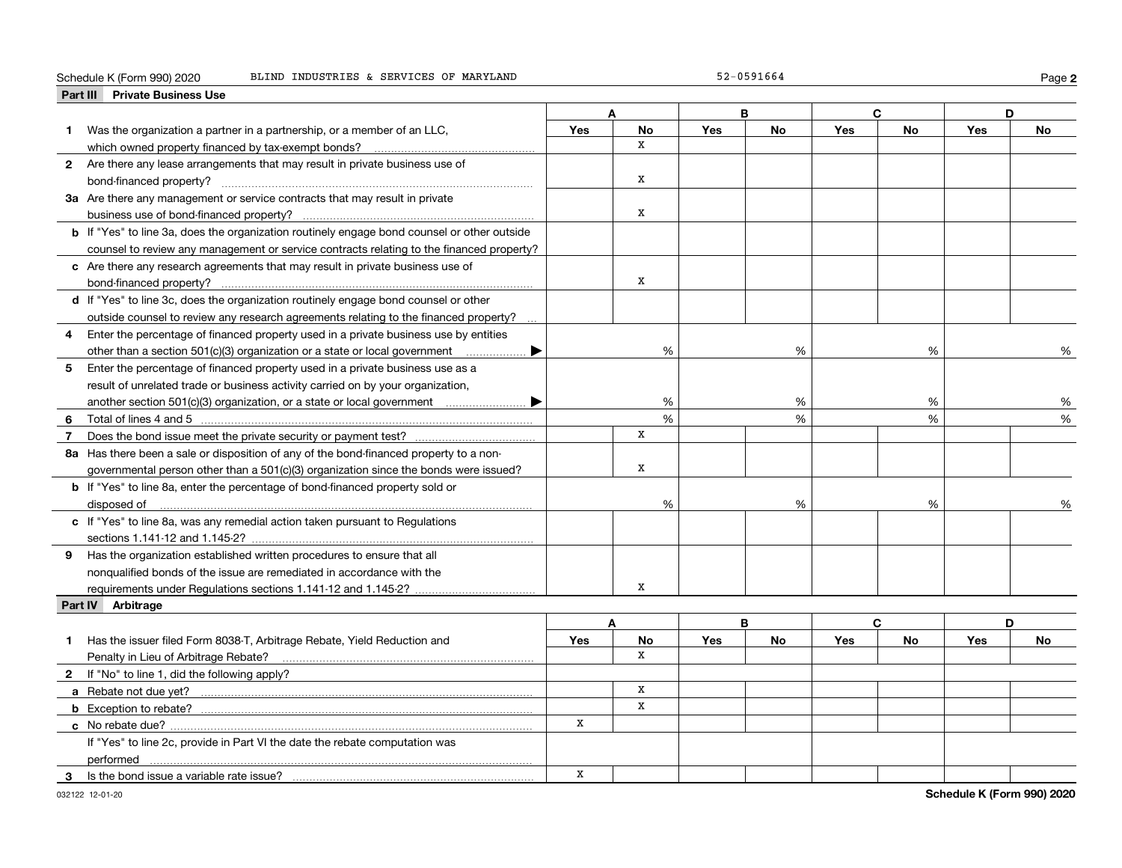#### Schedule K (Form 990) 2020 Page BLIND INDUSTRIES & SERVICES OF MARYLAND 52-0591664

**2**

|                | <b>Private Business Use</b><br>Part III                                                            |            |              |            |           |            |           |            |           |
|----------------|----------------------------------------------------------------------------------------------------|------------|--------------|------------|-----------|------------|-----------|------------|-----------|
|                |                                                                                                    |            | A            |            | в         | C          |           |            | D         |
| 1.             | Was the organization a partner in a partnership, or a member of an LLC,                            | Yes        | <b>No</b>    | Yes        | <b>No</b> | Yes        | <b>No</b> | Yes        | No        |
|                |                                                                                                    |            | $\mathbf{x}$ |            |           |            |           |            |           |
|                | 2 Are there any lease arrangements that may result in private business use of                      |            |              |            |           |            |           |            |           |
|                | bond-financed property?                                                                            |            | $\mathbf x$  |            |           |            |           |            |           |
|                | 3a Are there any management or service contracts that may result in private                        |            |              |            |           |            |           |            |           |
|                |                                                                                                    |            | x            |            |           |            |           |            |           |
|                | <b>b</b> If "Yes" to line 3a, does the organization routinely engage bond counsel or other outside |            |              |            |           |            |           |            |           |
|                | counsel to review any management or service contracts relating to the financed property?           |            |              |            |           |            |           |            |           |
|                | c Are there any research agreements that may result in private business use of                     |            |              |            |           |            |           |            |           |
|                |                                                                                                    |            | x            |            |           |            |           |            |           |
|                | d If "Yes" to line 3c, does the organization routinely engage bond counsel or other                |            |              |            |           |            |           |            |           |
|                | outside counsel to review any research agreements relating to the financed property?               |            |              |            |           |            |           |            |           |
| 4              | Enter the percentage of financed property used in a private business use by entities               |            |              |            |           |            |           |            |           |
|                | other than a section 501(c)(3) organization or a state or local government<br>▶                    |            | %            |            | %         |            | %         |            | %         |
| 5              | Enter the percentage of financed property used in a private business use as a                      |            |              |            |           |            |           |            |           |
|                | result of unrelated trade or business activity carried on by your organization,                    |            |              |            |           |            |           |            |           |
|                |                                                                                                    |            | %            |            | %         |            | %         |            | %         |
| 6.             |                                                                                                    |            | %            |            | %         |            | %         |            | %         |
| $\overline{7}$ |                                                                                                    |            | x            |            |           |            |           |            |           |
|                | 8a Has there been a sale or disposition of any of the bond-financed property to a non-             |            |              |            |           |            |           |            |           |
|                | governmental person other than a 501(c)(3) organization since the bonds were issued?               |            | $\mathbf x$  |            |           |            |           |            |           |
|                | <b>b</b> If "Yes" to line 8a, enter the percentage of bond-financed property sold or               |            |              |            |           |            |           |            |           |
|                | disposed of <u>www.communications.communications.communications.com</u>                            |            | %            |            | %         |            | %         |            | %         |
|                | c If "Yes" to line 8a, was any remedial action taken pursuant to Regulations                       |            |              |            |           |            |           |            |           |
|                |                                                                                                    |            |              |            |           |            |           |            |           |
|                | 9 Has the organization established written procedures to ensure that all                           |            |              |            |           |            |           |            |           |
|                | nonqualified bonds of the issue are remediated in accordance with the                              |            |              |            |           |            |           |            |           |
|                |                                                                                                    |            | X            |            |           |            |           |            |           |
|                | Part IV Arbitrage                                                                                  |            |              |            |           |            |           |            |           |
|                |                                                                                                    |            | A            |            | В         | C          |           |            | D         |
| 1              | Has the issuer filed Form 8038-T, Arbitrage Rebate, Yield Reduction and                            | <b>Yes</b> | No           | <b>Yes</b> | <b>No</b> | <b>Yes</b> | <b>No</b> | <b>Yes</b> | <b>No</b> |
|                |                                                                                                    |            | $\mathbf{x}$ |            |           |            |           |            |           |
|                | 2 If "No" to line 1, did the following apply?                                                      |            |              |            |           |            |           |            |           |
|                |                                                                                                    |            | x            |            |           |            |           |            |           |
|                |                                                                                                    |            | x            |            |           |            |           |            |           |
|                |                                                                                                    | x          |              |            |           |            |           |            |           |
|                | If "Yes" to line 2c, provide in Part VI the date the rebate computation was                        |            |              |            |           |            |           |            |           |
|                |                                                                                                    |            |              |            |           |            |           |            |           |
| 3              | Is the bond issue a variable rate issue?                                                           | X          |              |            |           |            |           |            |           |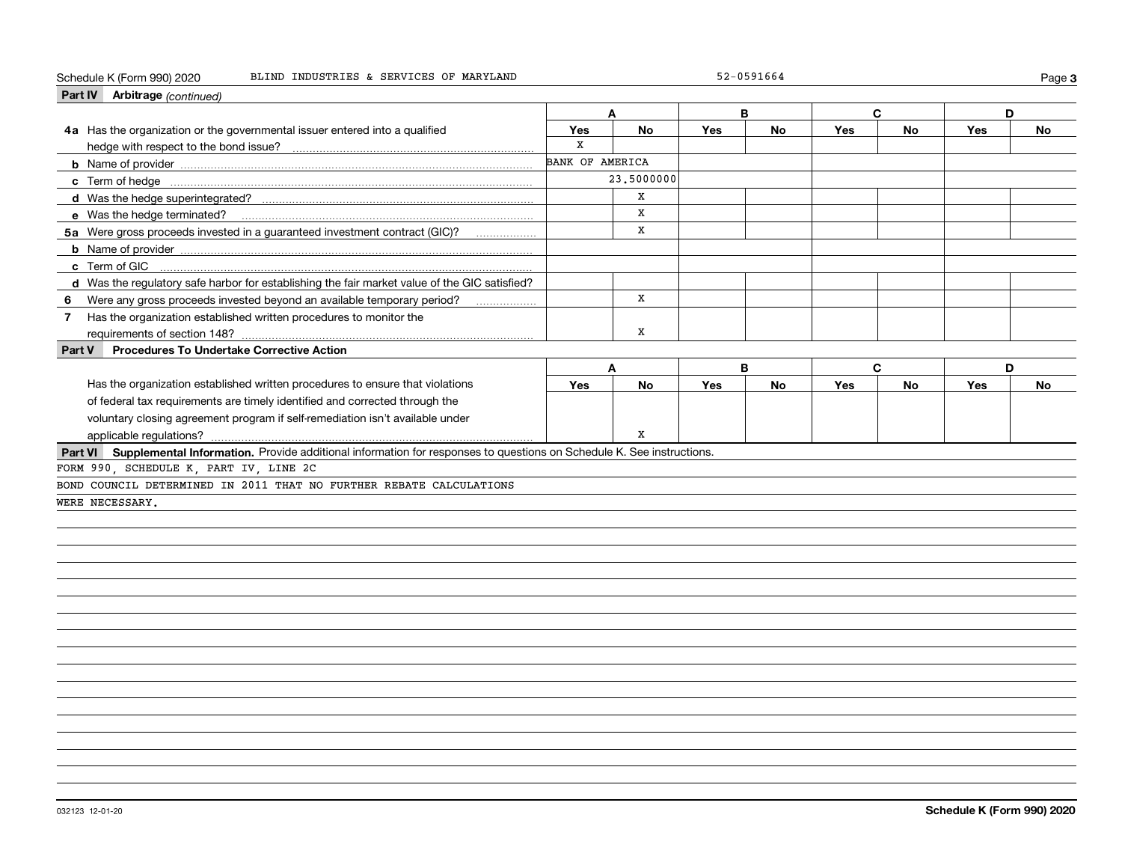#### Schedule K (Form 990) 2020 Page BLIND INDUSTRIES & SERVICES OF MARYLAND 52-0591664

| Part IV Arbitrage (continued)                                                                                                |                        |              |     |           |     |           |     |           |
|------------------------------------------------------------------------------------------------------------------------------|------------------------|--------------|-----|-----------|-----|-----------|-----|-----------|
|                                                                                                                              |                        | A            | B   |           |     | C         | D   |           |
| 4a Has the organization or the governmental issuer entered into a qualified                                                  | Yes                    | No           | Yes | No        | Yes | <b>No</b> | Yes | No        |
|                                                                                                                              | $\mathbf x$            |              |     |           |     |           |     |           |
|                                                                                                                              | <b>BANK OF AMERICA</b> |              |     |           |     |           |     |           |
|                                                                                                                              |                        | 23,5000000   |     |           |     |           |     |           |
|                                                                                                                              |                        | x            |     |           |     |           |     |           |
|                                                                                                                              |                        | x            |     |           |     |           |     |           |
| 5a Were gross proceeds invested in a guaranteed investment contract (GIC)?                                                   |                        | x            |     |           |     |           |     |           |
|                                                                                                                              |                        |              |     |           |     |           |     |           |
| c Term of GIC                                                                                                                |                        |              |     |           |     |           |     |           |
| d Was the regulatory safe harbor for establishing the fair market value of the GIC satisfied?                                |                        |              |     |           |     |           |     |           |
| Were any gross proceeds invested beyond an available temporary period?<br>6                                                  |                        | X            |     |           |     |           |     |           |
| Has the organization established written procedures to monitor the<br>$\mathbf{7}$                                           |                        |              |     |           |     |           |     |           |
| requirements of section 148?                                                                                                 |                        | x            |     |           |     |           |     |           |
| <b>Procedures To Undertake Corrective Action</b><br>Part V                                                                   |                        |              |     |           |     |           |     |           |
|                                                                                                                              |                        | $\mathbf{A}$ | B   |           | C   |           | D   |           |
| Has the organization established written procedures to ensure that violations                                                | Yes                    | <b>No</b>    | Yes | <b>No</b> | Yes | <b>No</b> | Yes | <b>No</b> |
| of federal tax requirements are timely identified and corrected through the                                                  |                        |              |     |           |     |           |     |           |
| voluntary closing agreement program if self-remediation isn't available under                                                |                        |              |     |           |     |           |     |           |
| applicable regulations?                                                                                                      |                        | x            |     |           |     |           |     |           |
| Part VI Supplemental Information. Provide additional information for responses to questions on Schedule K. See instructions. |                        |              |     |           |     |           |     |           |
| FORM 990, SCHEDULE K, PART IV, LINE 2C                                                                                       |                        |              |     |           |     |           |     |           |
| BOND COUNCIL DETERMINED IN 2011 THAT NO FURTHER REBATE CALCULATIONS                                                          |                        |              |     |           |     |           |     |           |
| WERE NECESSARY.                                                                                                              |                        |              |     |           |     |           |     |           |
|                                                                                                                              |                        |              |     |           |     |           |     |           |
|                                                                                                                              |                        |              |     |           |     |           |     |           |
|                                                                                                                              |                        |              |     |           |     |           |     |           |
|                                                                                                                              |                        |              |     |           |     |           |     |           |
|                                                                                                                              |                        |              |     |           |     |           |     |           |
|                                                                                                                              |                        |              |     |           |     |           |     |           |
|                                                                                                                              |                        |              |     |           |     |           |     |           |
|                                                                                                                              |                        |              |     |           |     |           |     |           |
|                                                                                                                              |                        |              |     |           |     |           |     |           |
|                                                                                                                              |                        |              |     |           |     |           |     |           |
|                                                                                                                              |                        |              |     |           |     |           |     |           |
|                                                                                                                              |                        |              |     |           |     |           |     |           |
|                                                                                                                              |                        |              |     |           |     |           |     |           |

**3**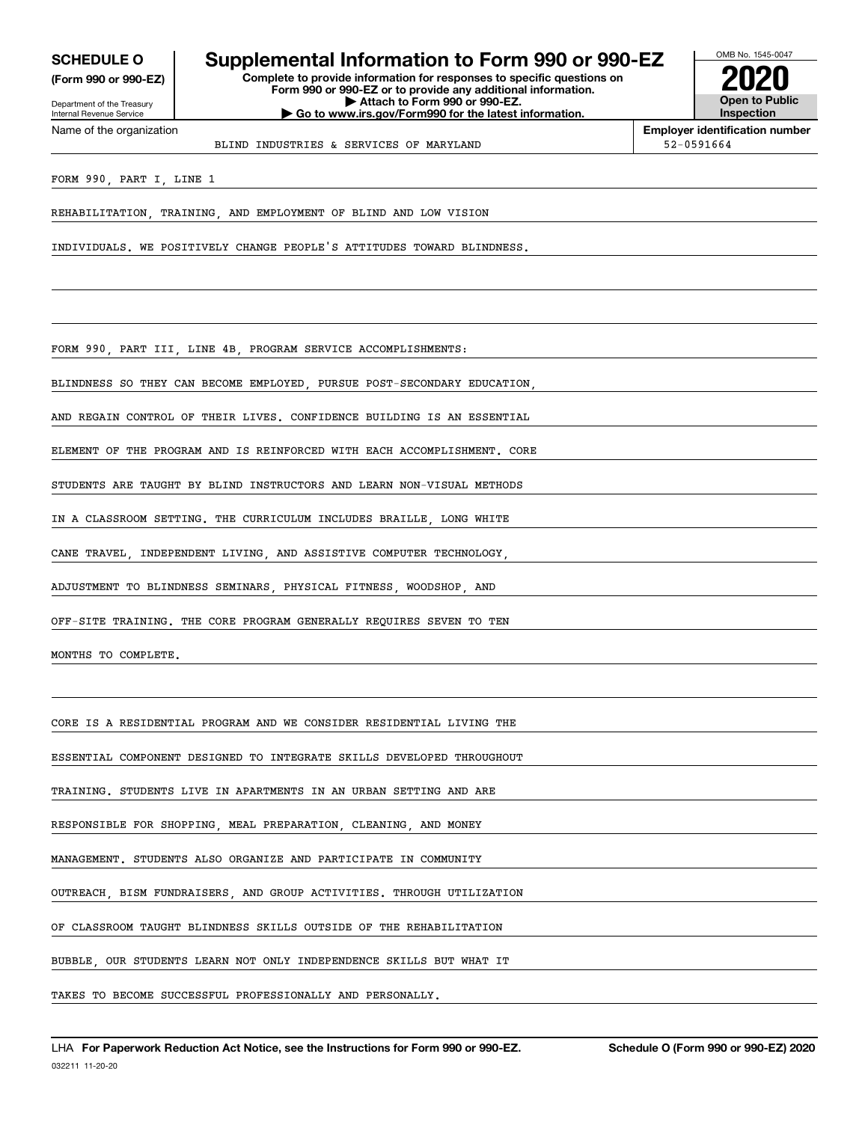**(Form 990 or 990-EZ)**

Department of the Treasury Internal Revenue Service Name of the organization

# **SCHEDULE O Supplemental Information to Form 990 or 990-EZ**

**Complete to provide information for responses to specific questions on Form 990 or 990-EZ or to provide any additional information. | Attach to Form 990 or 990-EZ. | Go to www.irs.gov/Form990 for the latest information.**



**Employer identification number**

BLIND INDUSTRIES & SERVICES OF MARYLAND  $\vert$  52-0591664

FORM 990, PART I, LINE 1

REHABILITATION, TRAINING, AND EMPLOYMENT OF BLIND AND LOW VISION

INDIVIDUALS. WE POSITIVELY CHANGE PEOPLE'S ATTITUDES TOWARD BLINDNESS.

FORM 990, PART III, LINE 4B, PROGRAM SERVICE ACCOMPLISHMENTS:

BLINDNESS SO THEY CAN BECOME EMPLOYED, PURSUE POST-SECONDARY EDUCATION,

AND REGAIN CONTROL OF THEIR LIVES. CONFIDENCE BUILDING IS AN ESSENTIAL

ELEMENT OF THE PROGRAM AND IS REINFORCED WITH EACH ACCOMPLISHMENT. CORE

STUDENTS ARE TAUGHT BY BLIND INSTRUCTORS AND LEARN NON-VISUAL METHODS

IN A CLASSROOM SETTING. THE CURRICULUM INCLUDES BRAILLE, LONG WHITE

CANE TRAVEL, INDEPENDENT LIVING, AND ASSISTIVE COMPUTER TECHNOLOGY,

ADJUSTMENT TO BLINDNESS SEMINARS, PHYSICAL FITNESS, WOODSHOP, AND

OFF-SITE TRAINING. THE CORE PROGRAM GENERALLY REQUIRES SEVEN TO TEN

MONTHS TO COMPLETE.

CORE IS A RESIDENTIAL PROGRAM AND WE CONSIDER RESIDENTIAL LIVING THE

ESSENTIAL COMPONENT DESIGNED TO INTEGRATE SKILLS DEVELOPED THROUGHOUT

TRAINING. STUDENTS LIVE IN APARTMENTS IN AN URBAN SETTING AND ARE

RESPONSIBLE FOR SHOPPING, MEAL PREPARATION, CLEANING, AND MONEY

MANAGEMENT. STUDENTS ALSO ORGANIZE AND PARTICIPATE IN COMMUNITY

OUTREACH, BISM FUNDRAISERS, AND GROUP ACTIVITIES. THROUGH UTILIZATION

OF CLASSROOM TAUGHT BLINDNESS SKILLS OUTSIDE OF THE REHABILITATION

BUBBLE, OUR STUDENTS LEARN NOT ONLY INDEPENDENCE SKILLS BUT WHAT IT

TAKES TO BECOME SUCCESSFUL PROFESSIONALLY AND PERSONALLY.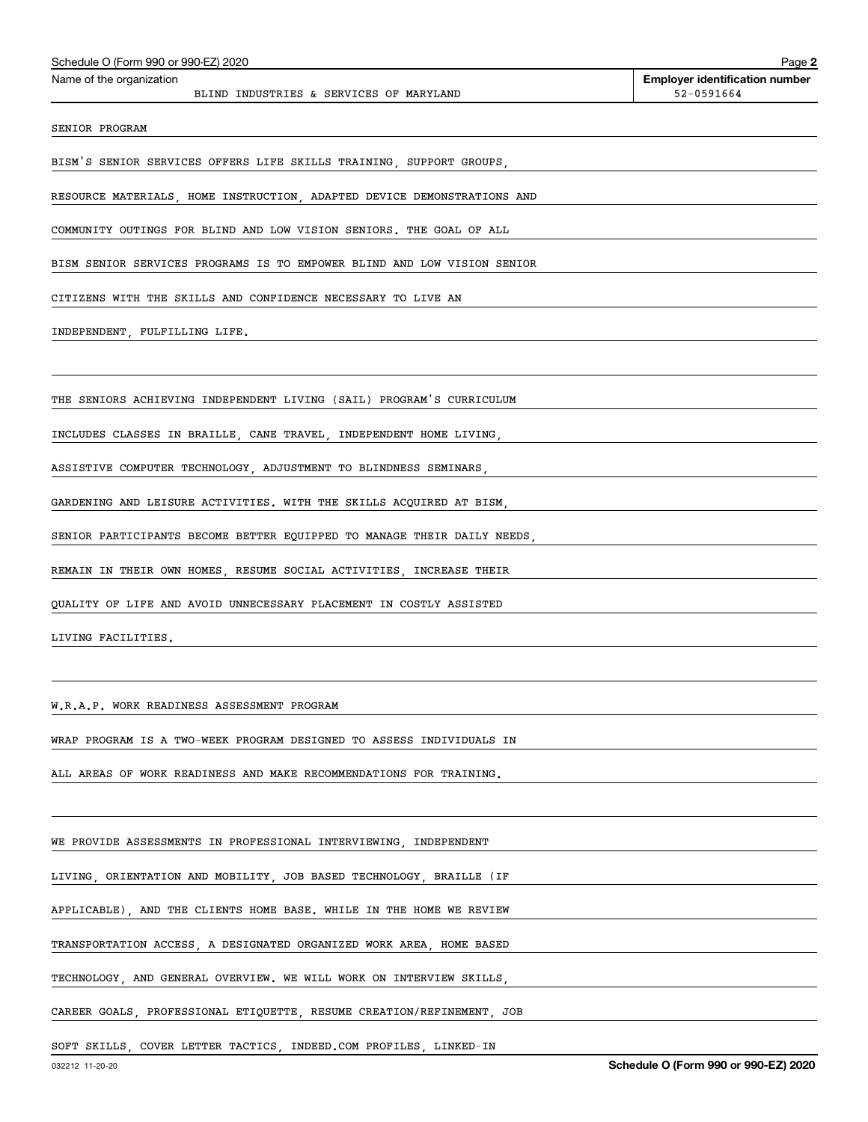| Schedule O (Form 990 or 990-EZ) 2020                             |                                         |                                                                         | Page 2                                              |
|------------------------------------------------------------------|-----------------------------------------|-------------------------------------------------------------------------|-----------------------------------------------------|
| Name of the organization                                         | BLIND INDUSTRIES & SERVICES OF MARYLAND |                                                                         | <b>Employer identification number</b><br>52-0591664 |
| SENIOR PROGRAM                                                   |                                         |                                                                         |                                                     |
|                                                                  |                                         | BISM'S SENIOR SERVICES OFFERS LIFE SKILLS TRAINING, SUPPORT GROUPS,     |                                                     |
|                                                                  |                                         | RESOURCE MATERIALS, HOME INSTRUCTION, ADAPTED DEVICE DEMONSTRATIONS AND |                                                     |
|                                                                  |                                         | COMMUNITY OUTINGS FOR BLIND AND LOW VISION SENIORS. THE GOAL OF ALL     |                                                     |
|                                                                  |                                         | BISM SENIOR SERVICES PROGRAMS IS TO EMPOWER BLIND AND LOW VISION SENIOR |                                                     |
| CITIZENS WITH THE SKILLS AND CONFIDENCE NECESSARY TO LIVE AN     |                                         |                                                                         |                                                     |
|                                                                  |                                         | INDEPENDENT, FULFILLING LIFE.                                           |                                                     |
|                                                                  |                                         |                                                                         |                                                     |
|                                                                  |                                         | THE SENIORS ACHIEVING INDEPENDENT LIVING (SAIL) PROGRAM'S CURRICULUM    |                                                     |
|                                                                  |                                         | INCLUDES CLASSES IN BRAILLE, CANE TRAVEL, INDEPENDENT HOME LIVING,      |                                                     |
|                                                                  |                                         | ASSISTIVE COMPUTER TECHNOLOGY, ADJUSTMENT TO BLINDNESS SEMINARS,        |                                                     |
|                                                                  |                                         | GARDENING AND LEISURE ACTIVITIES. WITH THE SKILLS ACQUIRED AT BISM,     |                                                     |
|                                                                  |                                         | SENIOR PARTICIPANTS BECOME BETTER EQUIPPED TO MANAGE THEIR DAILY NEEDS, |                                                     |
|                                                                  |                                         | REMAIN IN THEIR OWN HOMES, RESUME SOCIAL ACTIVITIES, INCREASE THEIR     |                                                     |
|                                                                  |                                         | QUALITY OF LIFE AND AVOID UNNECESSARY PLACEMENT IN COSTLY ASSISTED      |                                                     |
| LIVING FACILITIES.                                               |                                         |                                                                         |                                                     |
|                                                                  |                                         |                                                                         |                                                     |
| W.R.A.P. WORK READINESS ASSESSMENT PROGRAM                       |                                         |                                                                         |                                                     |
|                                                                  |                                         | WRAP PROGRAM IS A TWO-WEEK PROGRAM DESIGNED TO ASSESS INDIVIDUALS IN    |                                                     |
|                                                                  |                                         | ALL AREAS OF WORK READINESS AND MAKE RECOMMENDATIONS FOR TRAINING.      |                                                     |
|                                                                  |                                         |                                                                         |                                                     |
| WE PROVIDE ASSESSMENTS IN PROFESSIONAL INTERVIEWING, INDEPENDENT |                                         |                                                                         |                                                     |
|                                                                  |                                         | LIVING, ORIENTATION AND MOBILITY, JOB BASED TECHNOLOGY, BRAILLE (IF     |                                                     |

APPLICABLE), AND THE CLIENTS HOME BASE. WHILE IN THE HOME WE REVIEW

TRANSPORTATION ACCESS, A DESIGNATED ORGANIZED WORK AREA, HOME BASED

TECHNOLOGY, AND GENERAL OVERVIEW. WE WILL WORK ON INTERVIEW SKILLS,

CAREER GOALS, PROFESSIONAL ETIQUETTE, RESUME CREATION/REFINEMENT, JOB

SOFT SKILLS, COVER LETTER TACTICS, INDEED.COM PROFILES, LINKED-IN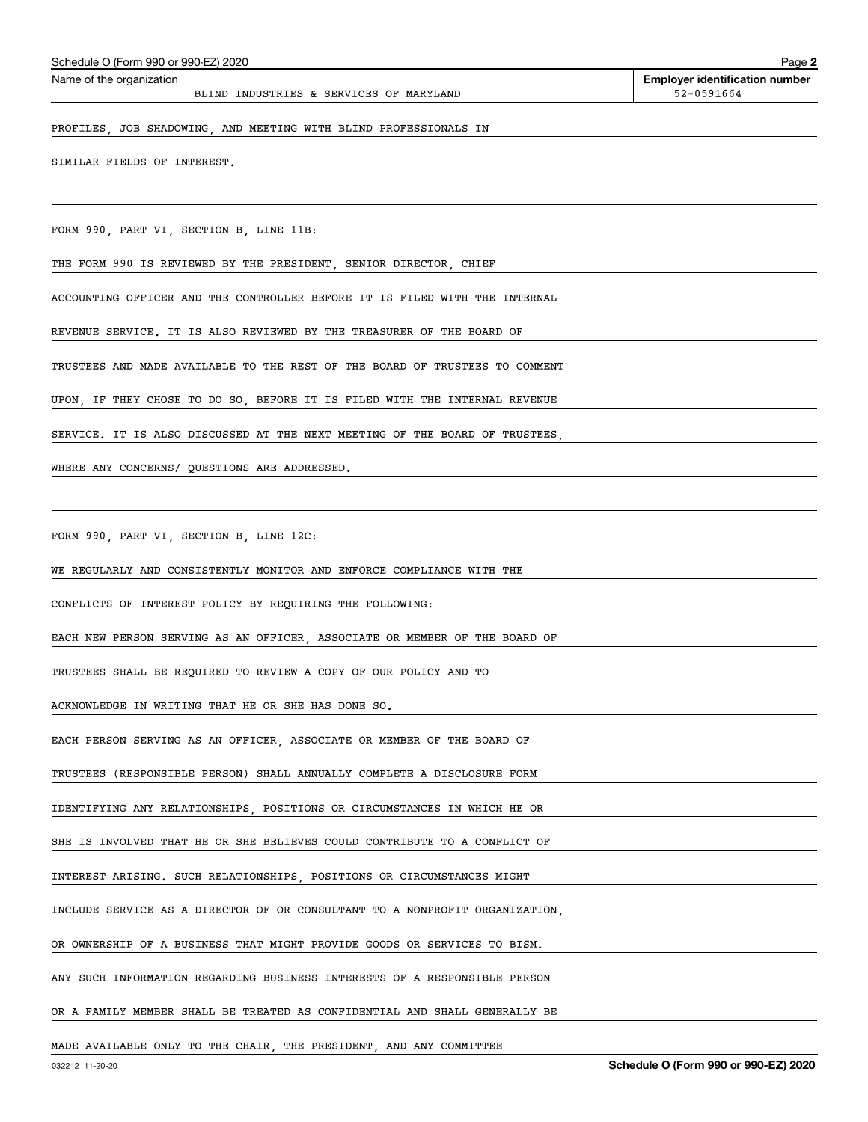#### PROFILES, JOB SHADOWING, AND MEETING WITH BLIND PROFESSIONALS IN

SIMILAR FIELDS OF INTEREST.

FORM 990, PART VI, SECTION B, LINE 11B:

THE FORM 990 IS REVIEWED BY THE PRESIDENT, SENIOR DIRECTOR, CHIEF

ACCOUNTING OFFICER AND THE CONTROLLER BEFORE IT IS FILED WITH THE INTERNAL

REVENUE SERVICE. IT IS ALSO REVIEWED BY THE TREASURER OF THE BOARD OF

TRUSTEES AND MADE AVAILABLE TO THE REST OF THE BOARD OF TRUSTEES TO COMMENT

UPON, IF THEY CHOSE TO DO SO, BEFORE IT IS FILED WITH THE INTERNAL REVENUE

SERVICE. IT IS ALSO DISCUSSED AT THE NEXT MEETING OF THE BOARD OF TRUSTEES,

WHERE ANY CONCERNS/ QUESTIONS ARE ADDRESSED.

FORM 990, PART VI, SECTION B, LINE 12C:

WE REGULARLY AND CONSISTENTLY MONITOR AND ENFORCE COMPLIANCE WITH THE

CONFLICTS OF INTEREST POLICY BY REQUIRING THE FOLLOWING:

EACH NEW PERSON SERVING AS AN OFFICER, ASSOCIATE OR MEMBER OF THE BOARD OF

TRUSTEES SHALL BE REQUIRED TO REVIEW A COPY OF OUR POLICY AND TO

ACKNOWLEDGE IN WRITING THAT HE OR SHE HAS DONE SO.

EACH PERSON SERVING AS AN OFFICER, ASSOCIATE OR MEMBER OF THE BOARD OF

TRUSTEES (RESPONSIBLE PERSON) SHALL ANNUALLY COMPLETE A DISCLOSURE FORM

IDENTIFYING ANY RELATIONSHIPS, POSITIONS OR CIRCUMSTANCES IN WHICH HE OR

SHE IS INVOLVED THAT HE OR SHE BELIEVES COULD CONTRIBUTE TO A CONFLICT OF

INTEREST ARISING. SUCH RELATIONSHIPS, POSITIONS OR CIRCUMSTANCES MIGHT

INCLUDE SERVICE AS A DIRECTOR OF OR CONSULTANT TO A NONPROFIT ORGANIZATION,

OR OWNERSHIP OF A BUSINESS THAT MIGHT PROVIDE GOODS OR SERVICES TO BISM.

ANY SUCH INFORMATION REGARDING BUSINESS INTERESTS OF A RESPONSIBLE PERSON

OR A FAMILY MEMBER SHALL BE TREATED AS CONFIDENTIAL AND SHALL GENERALLY BE

MADE AVAILABLE ONLY TO THE CHAIR, THE PRESIDENT, AND ANY COMMITTEE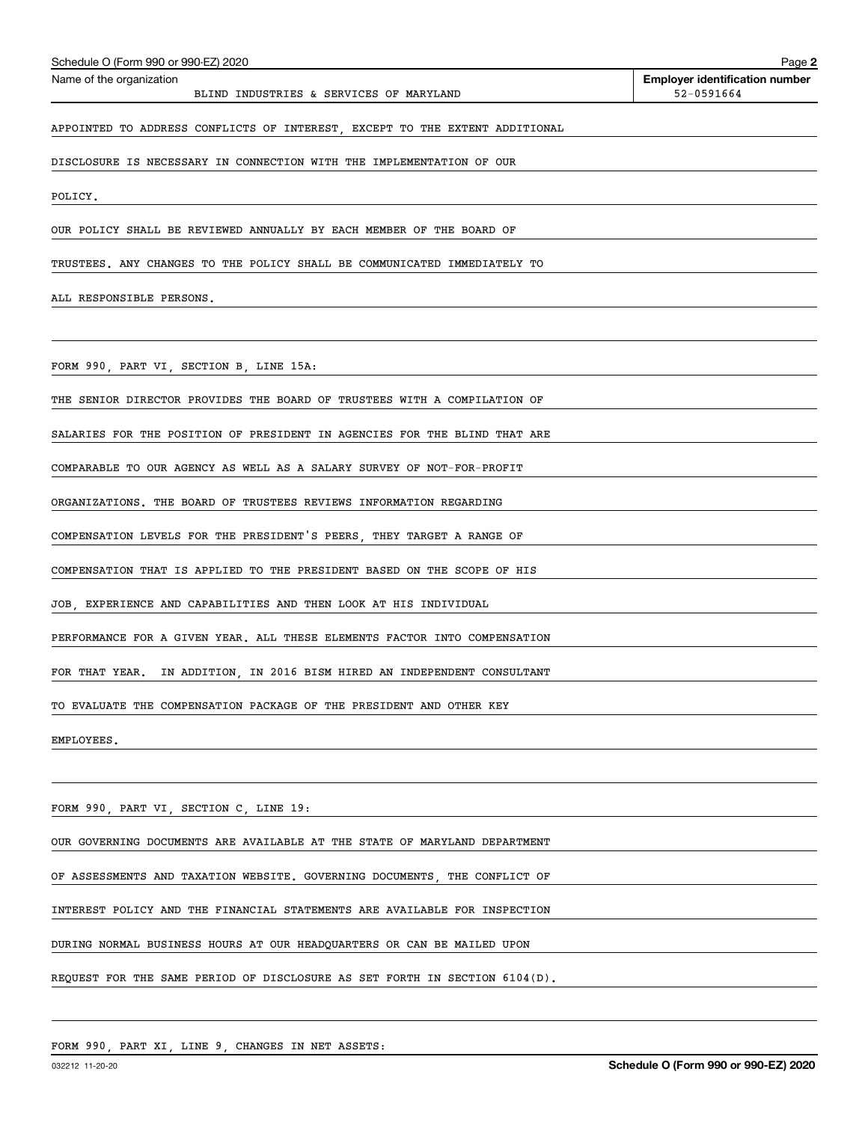| Schedule O (Form 990 or 990-EZ) 2020                                        | Page 2                                              |
|-----------------------------------------------------------------------------|-----------------------------------------------------|
| Name of the organization<br>BLIND INDUSTRIES & SERVICES OF MARYLAND         | <b>Employer identification number</b><br>52-0591664 |
| APPOINTED TO ADDRESS CONFLICTS OF INTEREST, EXCEPT TO THE EXTENT ADDITIONAL |                                                     |
| DISCLOSURE IS NECESSARY IN CONNECTION WITH THE IMPLEMENTATION OF OUR        |                                                     |
| POLICY.                                                                     |                                                     |
| OUR POLICY SHALL BE REVIEWED ANNUALLY BY EACH MEMBER OF THE BOARD OF        |                                                     |
| TRUSTEES. ANY CHANGES TO THE POLICY SHALL BE COMMUNICATED IMMEDIATELY TO    |                                                     |
| ALL RESPONSIBLE PERSONS.                                                    |                                                     |
|                                                                             |                                                     |
| FORM 990, PART VI, SECTION B, LINE 15A:                                     |                                                     |
| THE SENIOR DIRECTOR PROVIDES THE BOARD OF TRUSTEES WITH A COMPILATION OF    |                                                     |
| SALARIES FOR THE POSITION OF PRESIDENT IN AGENCIES FOR THE BLIND THAT ARE   |                                                     |
| COMPARABLE TO OUR AGENCY AS WELL AS A SALARY SURVEY OF NOT-FOR-PROFIT       |                                                     |
| ORGANIZATIONS. THE BOARD OF TRUSTEES REVIEWS INFORMATION REGARDING          |                                                     |
| COMPENSATION LEVELS FOR THE PRESIDENT'S PEERS, THEY TARGET A RANGE OF       |                                                     |
| COMPENSATION THAT IS APPLIED TO THE PRESIDENT BASED ON THE SCOPE OF HIS     |                                                     |
| JOB, EXPERIENCE AND CAPABILITIES AND THEN LOOK AT HIS INDIVIDUAL            |                                                     |
| PERFORMANCE FOR A GIVEN YEAR. ALL THESE ELEMENTS FACTOR INTO COMPENSATION   |                                                     |
| FOR THAT YEAR. IN ADDITION, IN 2016 BISM HIRED AN INDEPENDENT CONSULTANT    |                                                     |
| TO EVALUATE THE COMPENSATION PACKAGE OF THE PRESIDENT AND OTHER KEY         |                                                     |
| EMPLOYEES.                                                                  |                                                     |
|                                                                             |                                                     |
| FORM 990, PART VI, SECTION C, LINE 19:                                      |                                                     |
| OUR GOVERNING DOCUMENTS ARE AVAILABLE AT THE STATE OF MARYLAND DEPARTMENT   |                                                     |
| OF ASSESSMENTS AND TAXATION WEBSITE. GOVERNING DOCUMENTS, THE CONFLICT OF   |                                                     |
| INTEREST POLICY AND THE FINANCIAL STATEMENTS ARE AVAILABLE FOR INSPECTION   |                                                     |
| DURING NORMAL BUSINESS HOURS AT OUR HEADQUARTERS OR CAN BE MAILED UPON      |                                                     |
| REQUEST FOR THE SAME PERIOD OF DISCLOSURE AS SET FORTH IN SECTION 6104(D).  |                                                     |
|                                                                             |                                                     |

FORM 990, PART XI, LINE 9, CHANGES IN NET ASSETS: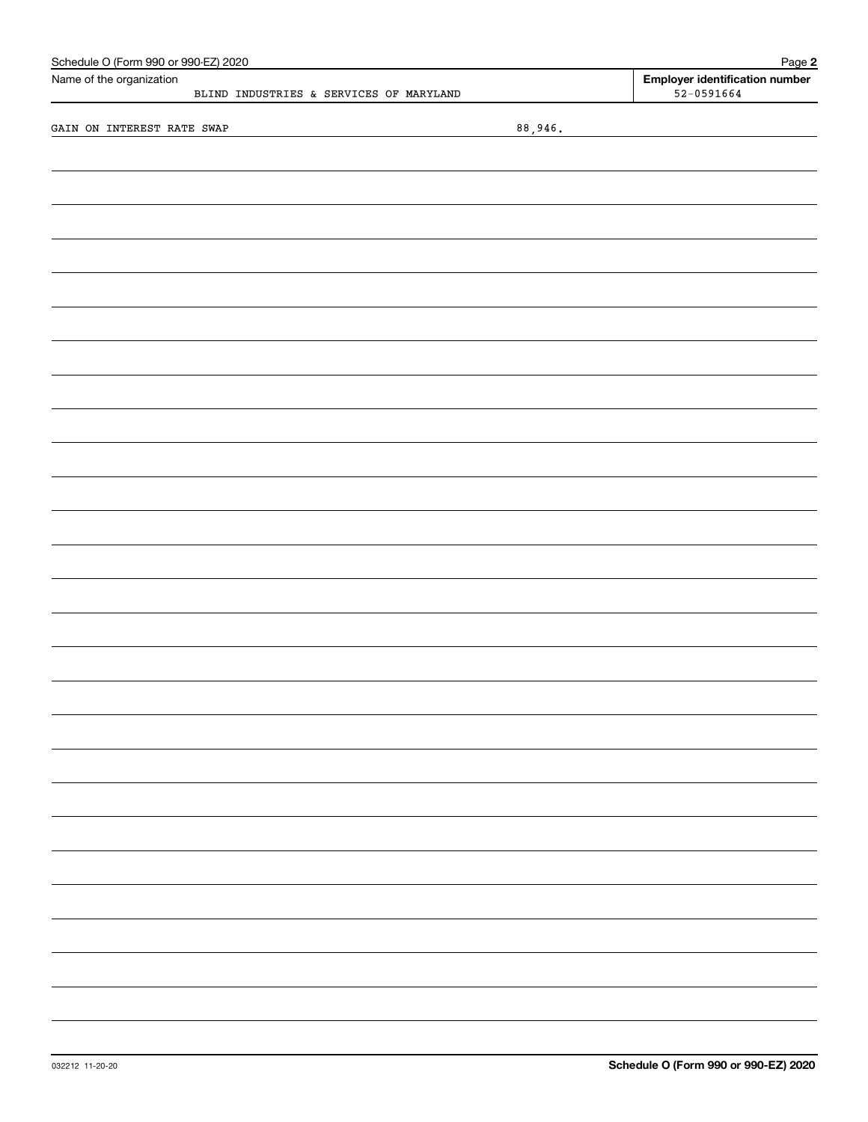| Schedule O (Form 990 or 990-EZ) 2020<br>Name of the organization |         | Page 2<br><b>Employer identification number</b> |
|------------------------------------------------------------------|---------|-------------------------------------------------|
| BLIND INDUSTRIES & SERVICES OF MARYLAND                          |         | $52 - 0591664$                                  |
|                                                                  |         |                                                 |
| GAIN ON INTEREST RATE SWAP                                       | 88,946. |                                                 |
|                                                                  |         |                                                 |
|                                                                  |         |                                                 |
|                                                                  |         |                                                 |
|                                                                  |         |                                                 |
|                                                                  |         |                                                 |
|                                                                  |         |                                                 |
|                                                                  |         |                                                 |
|                                                                  |         |                                                 |
|                                                                  |         |                                                 |
|                                                                  |         |                                                 |
|                                                                  |         |                                                 |
|                                                                  |         |                                                 |
|                                                                  |         |                                                 |
|                                                                  |         |                                                 |
|                                                                  |         |                                                 |
|                                                                  |         |                                                 |
|                                                                  |         |                                                 |
|                                                                  |         |                                                 |
|                                                                  |         |                                                 |
|                                                                  |         |                                                 |
|                                                                  |         |                                                 |
|                                                                  |         |                                                 |
|                                                                  |         |                                                 |
|                                                                  |         |                                                 |
|                                                                  |         |                                                 |
|                                                                  |         |                                                 |
|                                                                  |         |                                                 |
|                                                                  |         |                                                 |
|                                                                  |         |                                                 |
|                                                                  |         |                                                 |
|                                                                  |         |                                                 |
|                                                                  |         |                                                 |
|                                                                  |         |                                                 |
|                                                                  |         |                                                 |
|                                                                  |         |                                                 |
|                                                                  |         |                                                 |
|                                                                  |         |                                                 |
|                                                                  |         |                                                 |
|                                                                  |         |                                                 |
|                                                                  |         |                                                 |
|                                                                  |         |                                                 |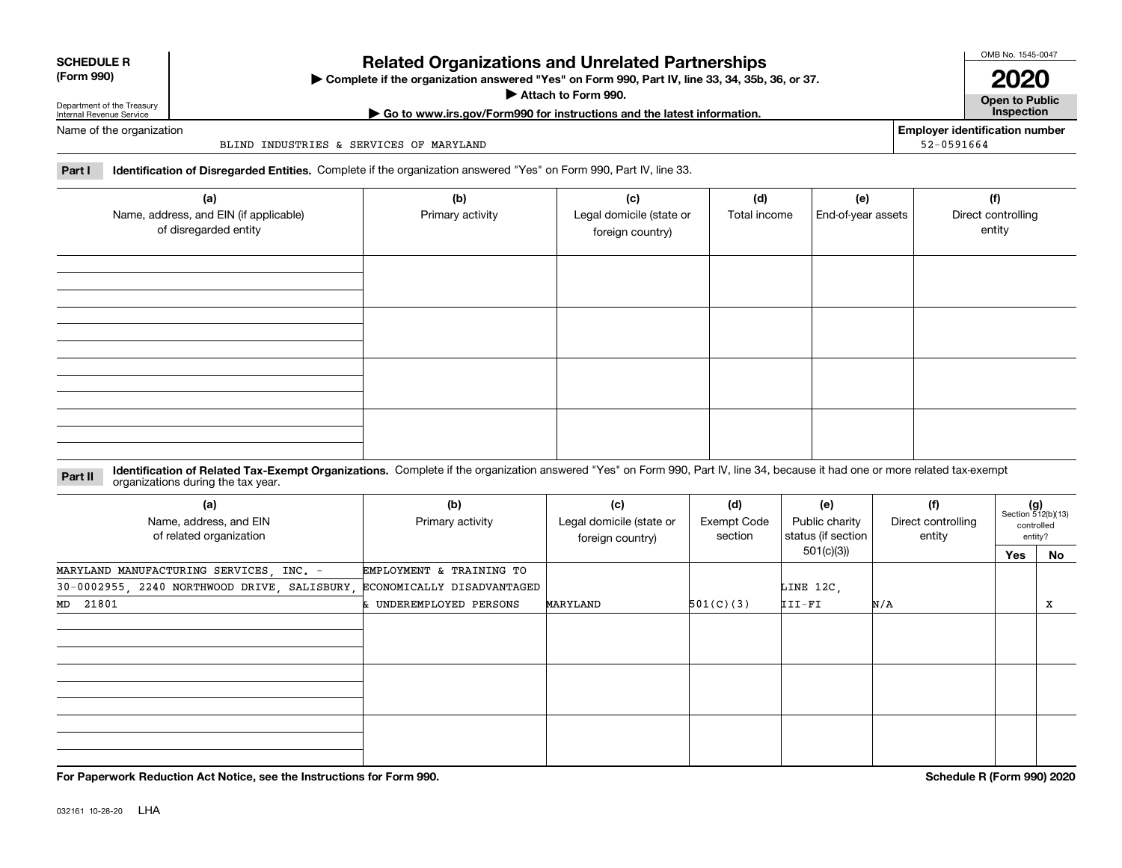| <b>SCHEDULE R</b> |  |
|-------------------|--|
|                   |  |

## **(Form 990)**

**Related Organizations and Unrelated Partnerships**

**Complete if the organization answered "Yes" on Form 990, Part IV, line 33, 34, 35b, 36, or 37.** |

**Attach to Form 990.**  |

OMB No. 1545-0047

**Open to Public | Go to www.irs.gov/Form990 for instructions and the latest information. Inspection 2020**

**Employer identification number**

52-0591664

Department of the Treasury Internal Revenue Service Name of the organization

BLIND INDUSTRIES & SERVICES OF MARYLAND

**Part I Identification of Disregarded Entities.**  Complete if the organization answered "Yes" on Form 990, Part IV, line 33.

| (a)<br>Name, address, and EIN (if applicable)<br>of disregarded entity | (b)<br>Primary activity | (c)<br>Legal domicile (state or<br>foreign country) | (d)<br>Total income | (e)<br>End-of-year assets | (f)<br>Direct controlling<br>entity |
|------------------------------------------------------------------------|-------------------------|-----------------------------------------------------|---------------------|---------------------------|-------------------------------------|
|                                                                        |                         |                                                     |                     |                           |                                     |
|                                                                        |                         |                                                     |                     |                           |                                     |
|                                                                        |                         |                                                     |                     |                           |                                     |
|                                                                        |                         |                                                     |                     |                           |                                     |

**Identification of Related Tax-Exempt Organizations.** Complete if the organization answered "Yes" on Form 990, Part IV, line 34, because it had one or more related tax-exempt **Part II** organizations during the tax year.

| (a)<br>Name, address, and EIN<br>of related organization                | (b)<br>Primary activity  | (c)<br>Legal domicile (state or<br>foreign country) | (d)<br><b>Exempt Code</b><br>section | (e)<br>Public charity<br>status (if section | (f)<br>Direct controlling<br>entity |     | $(g)$<br>Section 512(b)(13)<br>controlled<br>entity? |  |
|-------------------------------------------------------------------------|--------------------------|-----------------------------------------------------|--------------------------------------|---------------------------------------------|-------------------------------------|-----|------------------------------------------------------|--|
|                                                                         |                          |                                                     |                                      | 501(c)(3)                                   |                                     | Yes | No                                                   |  |
| MARYLAND MANUFACTURING SERVICES, INC. -                                 | EMPLOYMENT & TRAINING TO |                                                     |                                      |                                             |                                     |     |                                                      |  |
| 30-0002955, 2240 NORTHWOOD DRIVE, SALISBURY, ECONOMICALLY DISADVANTAGED |                          |                                                     |                                      | LINE 12C,                                   |                                     |     |                                                      |  |
| MD 21801                                                                | & UNDEREMPLOYED PERSONS  | MARYLAND                                            | 501(C)(3)                            | III-FI                                      | N/A                                 |     | х                                                    |  |
|                                                                         |                          |                                                     |                                      |                                             |                                     |     |                                                      |  |
|                                                                         |                          |                                                     |                                      |                                             |                                     |     |                                                      |  |
|                                                                         |                          |                                                     |                                      |                                             |                                     |     |                                                      |  |

**For Paperwork Reduction Act Notice, see the Instructions for Form 990. Schedule R (Form 990) 2020**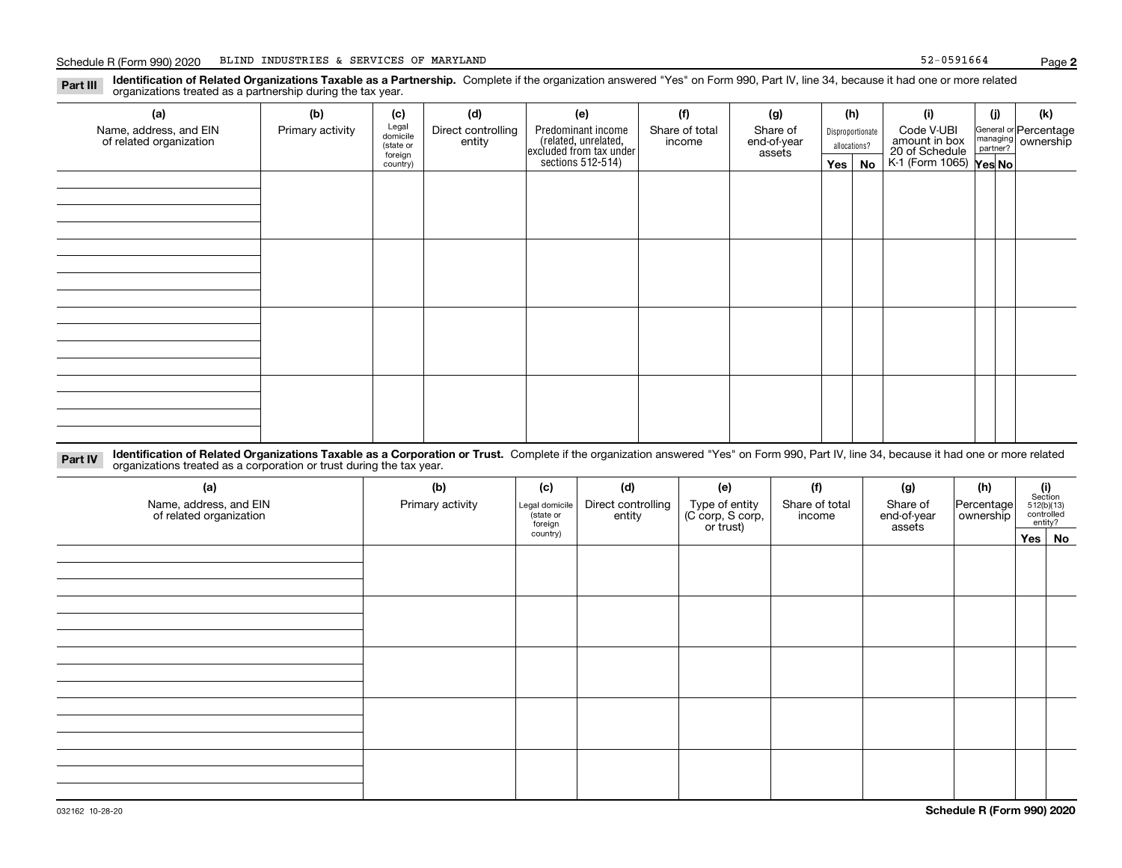**Identification of Related Organizations Taxable as a Partnership.** Complete if the organization answered "Yes" on Form 990, Part IV, line 34, because it had one or more related **Part III** organizations treated as a partnership during the tax year.

| (a)<br>Name, address, and EIN<br>of related organization | (b)<br>Primary activity | (c)<br>Legal<br>domicile<br>(state or<br>foreign<br>country) | (d)<br>Direct controlling<br>entity | (e)<br>Predominant income<br>related, unrelated,<br>excluded from tax under<br>sections 512-514) | (f)<br>Share of total<br>income | (g)<br>Share of<br>end-of-year<br>assets | (h)<br>Disproportionate<br>allocations?<br>$Yes \mid$<br>No |  | (i)<br>Code V-UBI<br>amount in box<br>20 of Schedule<br>K-1 (Form 1065) Yes No | (i) | (k)<br>General or Percentage<br>managing ownership<br>partner? |
|----------------------------------------------------------|-------------------------|--------------------------------------------------------------|-------------------------------------|--------------------------------------------------------------------------------------------------|---------------------------------|------------------------------------------|-------------------------------------------------------------|--|--------------------------------------------------------------------------------|-----|----------------------------------------------------------------|
|                                                          |                         |                                                              |                                     |                                                                                                  |                                 |                                          |                                                             |  |                                                                                |     |                                                                |
|                                                          |                         |                                                              |                                     |                                                                                                  |                                 |                                          |                                                             |  |                                                                                |     |                                                                |
|                                                          |                         |                                                              |                                     |                                                                                                  |                                 |                                          |                                                             |  |                                                                                |     |                                                                |
|                                                          |                         |                                                              |                                     |                                                                                                  |                                 |                                          |                                                             |  |                                                                                |     |                                                                |

**Identification of Related Organizations Taxable as a Corporation or Trust.** Complete if the organization answered "Yes" on Form 990, Part IV, line 34, because it had one or more related **Part IV** organizations treated as a corporation or trust during the tax year.

| (a)<br>Name, address, and EIN<br>of related organization | (b)<br>Primary activity | (c)<br>Legal domicile<br>(state or<br>foreign | (d)<br>Direct controlling<br>entity | (e)<br>Type of entity<br>(C corp, S corp,<br>or trust) | (f)<br>Share of total<br>income | (g)<br>Share of<br>end-of-year<br>assets | (h)<br>Percentage<br>  ownership | $\begin{array}{c} \textbf{(i)}\\ \text{Section}\\ 512 \text{(b)} \text{(13)}\\ \text{controlled}\end{array}$<br>entity? |  |
|----------------------------------------------------------|-------------------------|-----------------------------------------------|-------------------------------------|--------------------------------------------------------|---------------------------------|------------------------------------------|----------------------------------|-------------------------------------------------------------------------------------------------------------------------|--|
|                                                          |                         | country)                                      |                                     |                                                        |                                 |                                          |                                  | $Yes \mid No$                                                                                                           |  |
|                                                          |                         |                                               |                                     |                                                        |                                 |                                          |                                  |                                                                                                                         |  |
|                                                          |                         |                                               |                                     |                                                        |                                 |                                          |                                  |                                                                                                                         |  |
|                                                          |                         |                                               |                                     |                                                        |                                 |                                          |                                  |                                                                                                                         |  |
|                                                          |                         |                                               |                                     |                                                        |                                 |                                          |                                  |                                                                                                                         |  |
|                                                          |                         |                                               |                                     |                                                        |                                 |                                          |                                  |                                                                                                                         |  |
|                                                          |                         |                                               |                                     |                                                        |                                 |                                          |                                  |                                                                                                                         |  |
|                                                          |                         |                                               |                                     |                                                        |                                 |                                          |                                  |                                                                                                                         |  |
|                                                          |                         |                                               |                                     |                                                        |                                 |                                          |                                  |                                                                                                                         |  |
|                                                          |                         |                                               |                                     |                                                        |                                 |                                          |                                  |                                                                                                                         |  |
|                                                          |                         |                                               |                                     |                                                        |                                 |                                          |                                  |                                                                                                                         |  |
|                                                          |                         |                                               |                                     |                                                        |                                 |                                          |                                  |                                                                                                                         |  |
|                                                          |                         |                                               |                                     |                                                        |                                 |                                          |                                  |                                                                                                                         |  |
|                                                          |                         |                                               |                                     |                                                        |                                 |                                          |                                  |                                                                                                                         |  |
|                                                          |                         |                                               |                                     |                                                        |                                 |                                          |                                  |                                                                                                                         |  |
|                                                          |                         |                                               |                                     |                                                        |                                 |                                          |                                  |                                                                                                                         |  |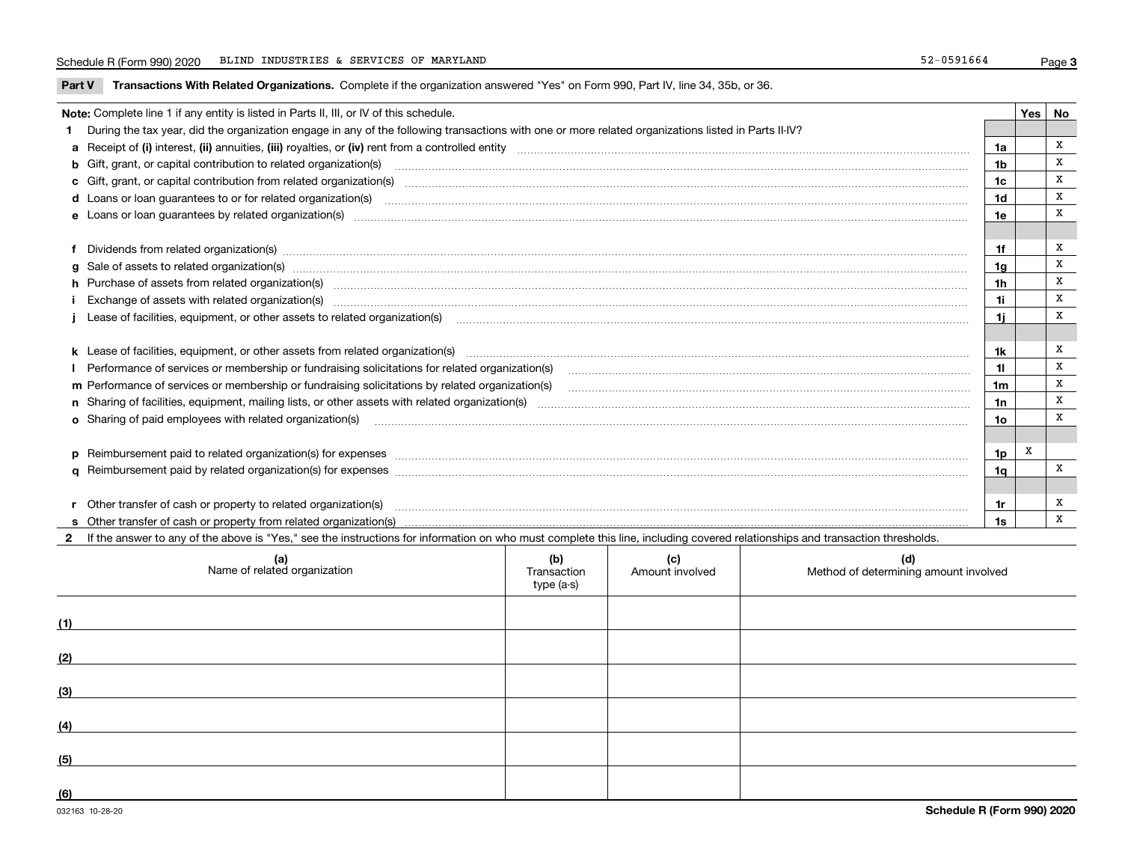**Part V** T**ransactions With Related Organizations.** Complete if the organization answered "Yes" on Form 990, Part IV, line 34, 35b, or 36.

| Note: Complete line 1 if any entity is listed in Parts II, III, or IV of this schedule.                                                                                                                                        |                | $Yes \mid No$ |   |
|--------------------------------------------------------------------------------------------------------------------------------------------------------------------------------------------------------------------------------|----------------|---------------|---|
| 1 During the tax year, did the organization engage in any of the following transactions with one or more related organizations listed in Parts II-IV?                                                                          |                |               |   |
|                                                                                                                                                                                                                                | 1a             |               | x |
| b Gift, grant, or capital contribution to related organization(s) material content and contribution to related organization(s)                                                                                                 | 1b             |               | x |
| c Gift, grant, or capital contribution from related organization(s) matches contains and contribution from related organization(s) matches contains and contribution from related organization(s) matches contains and contain | 1c             |               | x |
|                                                                                                                                                                                                                                | 1d             |               | x |
|                                                                                                                                                                                                                                | 1e             |               | X |
|                                                                                                                                                                                                                                |                |               |   |
| f Dividends from related organization(s) manufactured contains and contained and contained contained and contained and contained and contained and contained and contained and contained and contained and contained and conta | 1f             |               | x |
|                                                                                                                                                                                                                                | 1 <sub>q</sub> |               | X |
| h Purchase of assets from related organization(s) manufactured and content and content and content and content and content and content and content and content and content and content and content and content and content and | 1 <sub>h</sub> |               | X |
| Exchange of assets with related organization(s) www.array.com/www.array.com/www.array.com/www.array.com/www.array.com/www.array.com/www.array.com/www.array.com/www.array.com/www.array.com/www.array.com/www.array.com/www.ar | 1i             |               | x |
|                                                                                                                                                                                                                                | 11             |               | x |
|                                                                                                                                                                                                                                |                |               |   |
|                                                                                                                                                                                                                                | 1k             |               | x |
|                                                                                                                                                                                                                                | 11             |               | x |
| m Performance of services or membership or fundraising solicitations by related organization(s)                                                                                                                                | 1 <sub>m</sub> |               | x |
|                                                                                                                                                                                                                                | 1n             |               | x |
| <b>o</b> Sharing of paid employees with related organization(s)                                                                                                                                                                | 1o             |               | X |
|                                                                                                                                                                                                                                |                |               |   |
| p Reimbursement paid to related organization(s) for expenses [11111] [12] manufacture manufacture manufacture manufacture manufacture manufacture manufacture manufacture manufacture manufacture manufacture manufacture manu | 1p             | X             |   |
|                                                                                                                                                                                                                                | 1q             |               | x |
|                                                                                                                                                                                                                                |                |               |   |
| r Other transfer of cash or property to related organization(s)                                                                                                                                                                | 1r             |               | x |
|                                                                                                                                                                                                                                | 1s             |               | X |
| 2 If the answer to any of the above is "Yes," see the instructions for information on who must complete this line, including covered relationships and transaction thresholds.                                                 |                |               |   |

| (a)<br>Name of related organization | (b)<br>Transaction<br>type (a-s) | (c)<br>Amount involved | (d)<br>Method of determining amount involved |
|-------------------------------------|----------------------------------|------------------------|----------------------------------------------|
| (1)                                 |                                  |                        |                                              |
| (2)                                 |                                  |                        |                                              |
| (3)                                 |                                  |                        |                                              |
| (4)                                 |                                  |                        |                                              |
| (5)                                 |                                  |                        |                                              |
| (6)                                 |                                  |                        |                                              |

 $\overline{\phantom{a}}$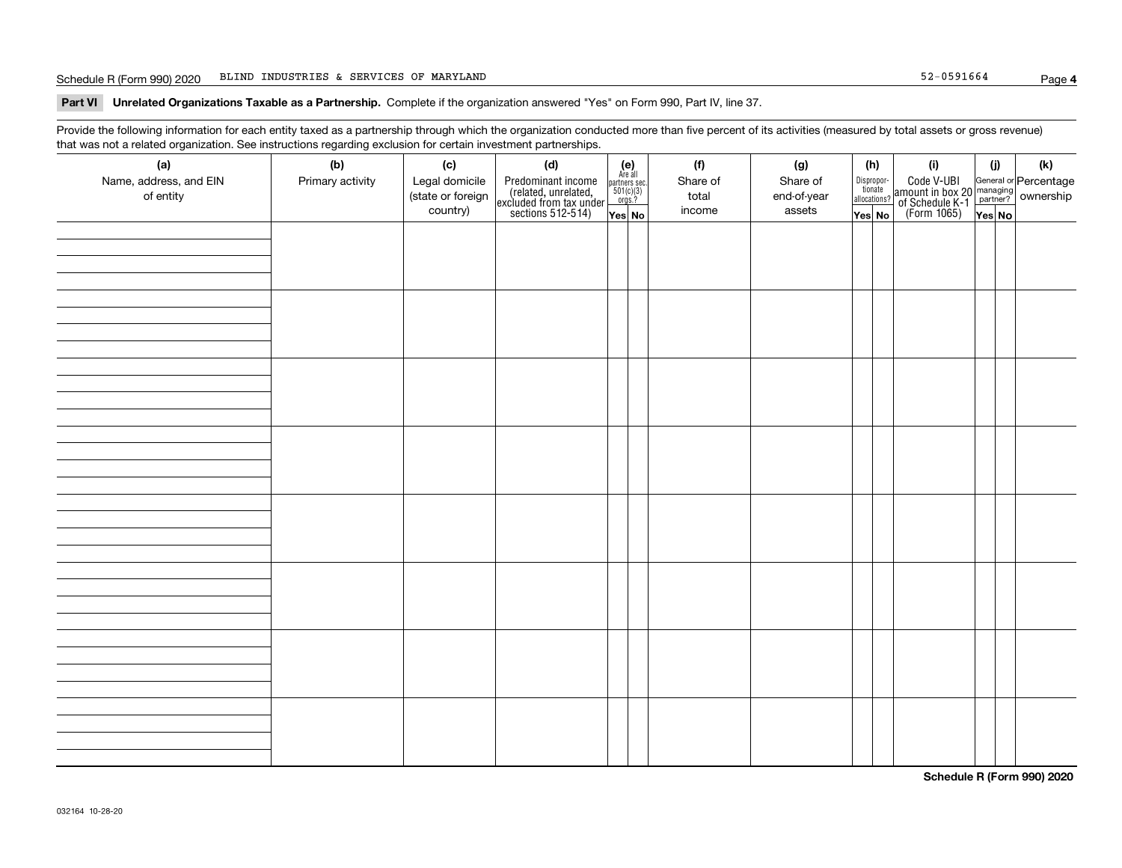#### Schedule R (Form 990) 2020 Page BLIND INDUSTRIES & SERVICES OF MARYLAND 52-0591664

**Part VI Unrelated Organizations Taxable as a Partnership. Complete if the organization answered "Yes" on Form 990, Part IV, line 37.** 

Provide the following information for each entity taxed as a partnership through which the organization conducted more than five percent of its activities (measured by total assets or gross revenue) that was not a related organization. See instructions regarding exclusion for certain investment partnerships.

| $\overline{\phantom{a}}$<br>(a)<br>Name, address, and EIN<br>of entity | ັ<br>$\overline{\phantom{a}}$<br>(b)<br>Primary activity | (c)<br>Legal domicile<br>(state or foreign<br>country) | (d)<br>Predominant income<br>(related, unrelated,<br>excluded from tax under<br>sections 512-514) | Yes No | (e)<br>Are all<br>partners sec.<br>$501(c)(3)$<br>$orgs.?$ | (f)<br>Share of<br>total<br>income | (g)<br>Share of<br>end-of-year<br>assets | (h)<br>Disproportionate<br>allocations?<br>Yes No | (i)<br>Code V-UBI<br>amount in box 20 managing<br>of Schedule K-1 partner?<br>(Form 1065)<br>ves No | (i) | $\left( \mathsf{k}\right)$ |
|------------------------------------------------------------------------|----------------------------------------------------------|--------------------------------------------------------|---------------------------------------------------------------------------------------------------|--------|------------------------------------------------------------|------------------------------------|------------------------------------------|---------------------------------------------------|-----------------------------------------------------------------------------------------------------|-----|----------------------------|
|                                                                        |                                                          |                                                        |                                                                                                   |        |                                                            |                                    |                                          |                                                   |                                                                                                     |     |                            |
|                                                                        |                                                          |                                                        |                                                                                                   |        |                                                            |                                    |                                          |                                                   |                                                                                                     |     |                            |
|                                                                        |                                                          |                                                        |                                                                                                   |        |                                                            |                                    |                                          |                                                   |                                                                                                     |     |                            |
|                                                                        |                                                          |                                                        |                                                                                                   |        |                                                            |                                    |                                          |                                                   |                                                                                                     |     |                            |
|                                                                        |                                                          |                                                        |                                                                                                   |        |                                                            |                                    |                                          |                                                   |                                                                                                     |     |                            |
|                                                                        |                                                          |                                                        |                                                                                                   |        |                                                            |                                    |                                          |                                                   |                                                                                                     |     |                            |
|                                                                        |                                                          |                                                        |                                                                                                   |        |                                                            |                                    |                                          |                                                   |                                                                                                     |     |                            |
|                                                                        |                                                          |                                                        |                                                                                                   |        |                                                            |                                    |                                          |                                                   |                                                                                                     |     |                            |

**Schedule R (Form 990) 2020**